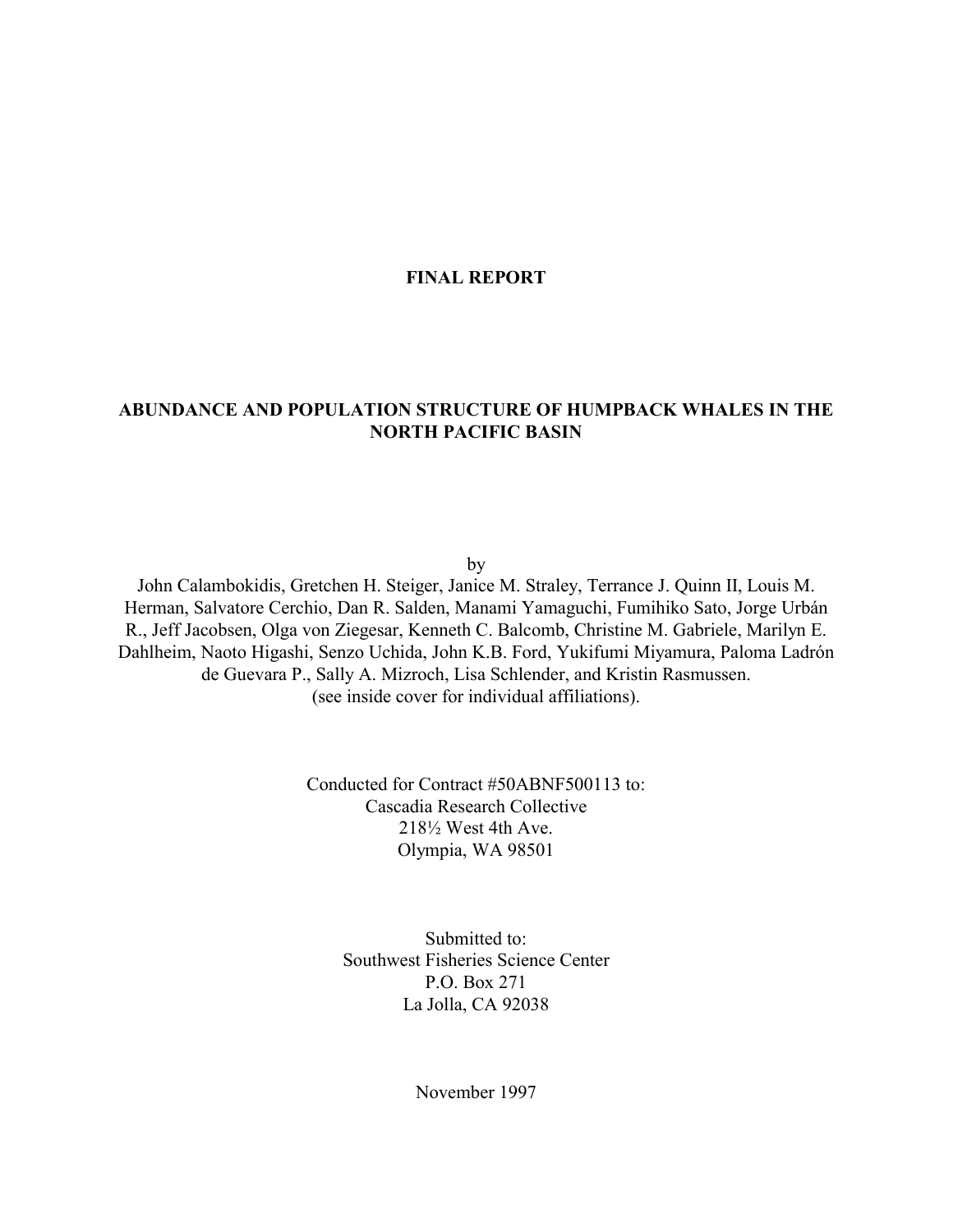## **FINAL REPORT**

# **ABUNDANCE AND POPULATION STRUCTURE OF HUMPBACK WHALES IN THE NORTH PACIFIC BASIN**

by

John Calambokidis, Gretchen H. Steiger, Janice M. Straley, Terrance J. Quinn II, Louis M. Herman, Salvatore Cerchio, Dan R. Salden, Manami Yamaguchi, Fumihiko Sato, Jorge Urbán R., Jeff Jacobsen, Olga von Ziegesar, Kenneth C. Balcomb, Christine M. Gabriele, Marilyn E. Dahlheim, Naoto Higashi, Senzo Uchida, John K.B. Ford, Yukifumi Miyamura, Paloma Ladrón de Guevara P., Sally A. Mizroch, Lisa Schlender, and Kristin Rasmussen. (see inside cover for individual affiliations).

> Conducted for Contract #50ABNF500113 to: Cascadia Research Collective 218½ West 4th Ave. Olympia, WA 98501

> > Submitted to: Southwest Fisheries Science Center P.O. Box 271 La Jolla, CA 92038

> > > November 1997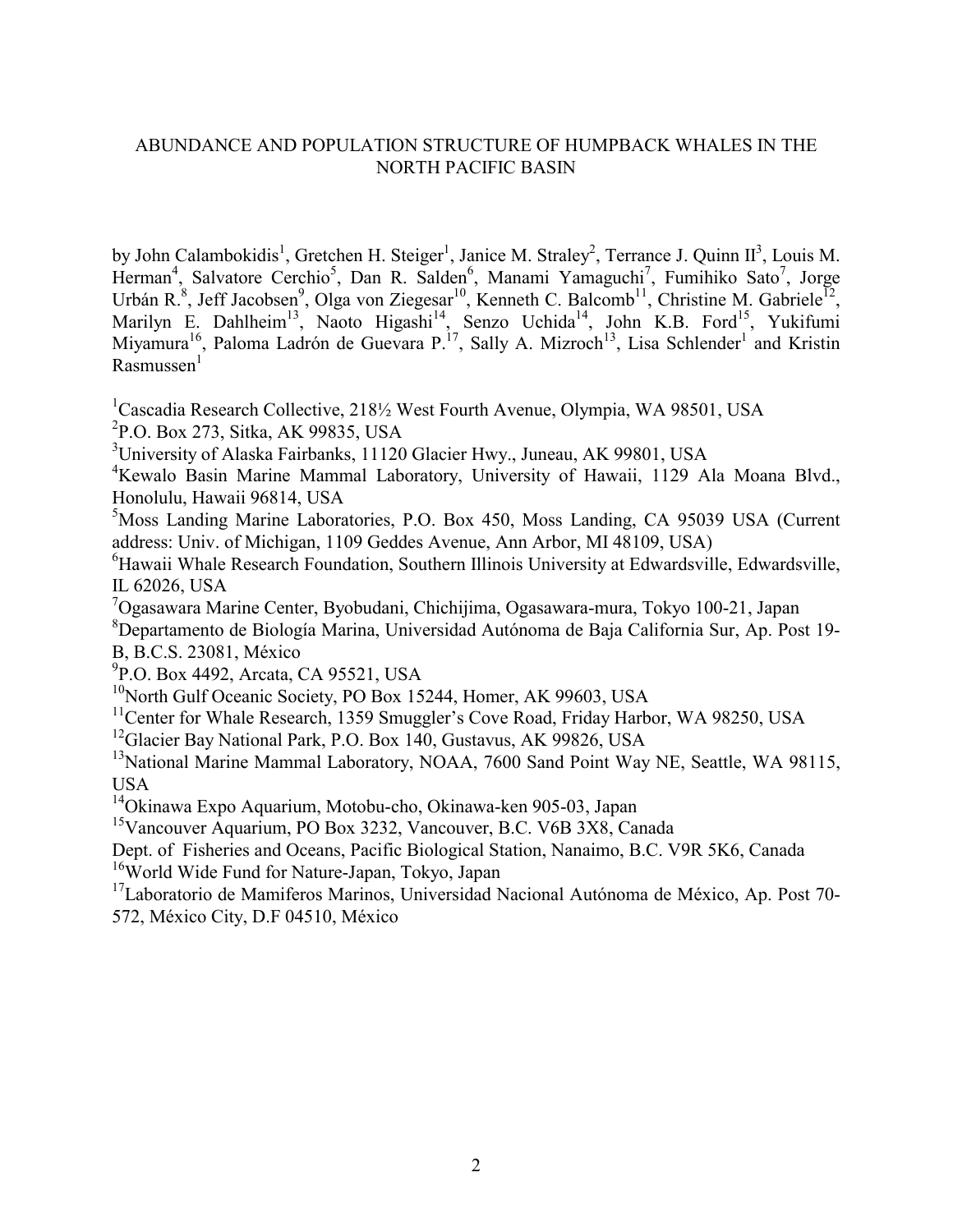# ABUNDANCE AND POPULATION STRUCTURE OF HUMPBACK WHALES IN THE NORTH PACIFIC BASIN

by John Calambokidis<sup>1</sup>, Gretchen H. Steiger<sup>1</sup>, Janice M. Straley<sup>2</sup>, Terrance J. Quinn II<sup>3</sup>, Louis M. Herman<sup>4</sup>, Salvatore Cerchio<sup>5</sup>, Dan R. Salden<sup>6</sup>, Manami Yamaguchi<sup>7</sup>, Fumihiko Sato<sup>7</sup>, Jorge Urbán R.<sup>8</sup>, Jeff Jacobsen<sup>9</sup>, Olga von Ziegesar<sup>10</sup>, Kenneth C. Balcomb<sup>11</sup>, Christine M. Gabriele<sup>12</sup>, Marilyn E. Dahlheim<sup>13</sup>, Naoto Higashi<sup>14</sup>, Senzo Uchida<sup>14</sup>, John K.B. Ford<sup>15</sup>, Yukifumi Miyamura<sup>16</sup>, Paloma Ladrón de Guevara P.<sup>17</sup>, Sally A. Mizroch<sup>13</sup>, Lisa Schlender<sup>1</sup> and Kristin  $R$ asmussen $<sup>1</sup>$ </sup>

<sup>1</sup>Cascadia Research Collective, 2181/<sub>2</sub> West Fourth Avenue, Olympia, WA 98501, USA <sup>2</sup>P.O. Box 273, Sitka, AK 99835, USA

<sup>3</sup>University of Alaska Fairbanks, 11120 Glacier Hwy., Juneau, AK 99801, USA

4 Kewalo Basin Marine Mammal Laboratory, University of Hawaii, 1129 Ala Moana Blvd., Honolulu, Hawaii 96814, USA

5 Moss Landing Marine Laboratories, P.O. Box 450, Moss Landing, CA 95039 USA (Current address: Univ. of Michigan, 1109 Geddes Avenue, Ann Arbor, MI 48109, USA)

6 Hawaii Whale Research Foundation, Southern Illinois University at Edwardsville, Edwardsville, IL 62026, USA

7 Ogasawara Marine Center, Byobudani, Chichijima, Ogasawara-mura, Tokyo 100-21, Japan

8 Departamento de Biología Marina, Universidad Autónoma de Baja California Sur, Ap. Post 19- B, B.C.S. 23081, México

<sup>9</sup>P.O. Box 4492, Arcata, CA 95521, USA

<sup>10</sup>North Gulf Oceanic Society, PO Box 15244, Homer, AK 99603, USA

<sup>11</sup>Center for Whale Research, 1359 Smuggler's Cove Road, Friday Harbor, WA 98250, USA

<sup>12</sup>Glacier Bay National Park, P.O. Box 140, Gustavus, AK 99826, USA

<sup>13</sup>National Marine Mammal Laboratory, NOAA, 7600 Sand Point Way NE, Seattle, WA 98115, USA

14Okinawa Expo Aquarium, Motobu-cho, Okinawa-ken 905-03, Japan

<sup>15</sup>Vancouver Aquarium, PO Box 3232, Vancouver, B.C. V6B 3X8, Canada

Dept. of Fisheries and Oceans, Pacific Biological Station, Nanaimo, B.C. V9R 5K6, Canada <sup>16</sup>World Wide Fund for Nature-Japan, Tokyo, Japan

17Laboratorio de Mamiferos Marinos, Universidad Nacional Autónoma de México, Ap. Post 70- 572, México City, D.F 04510, México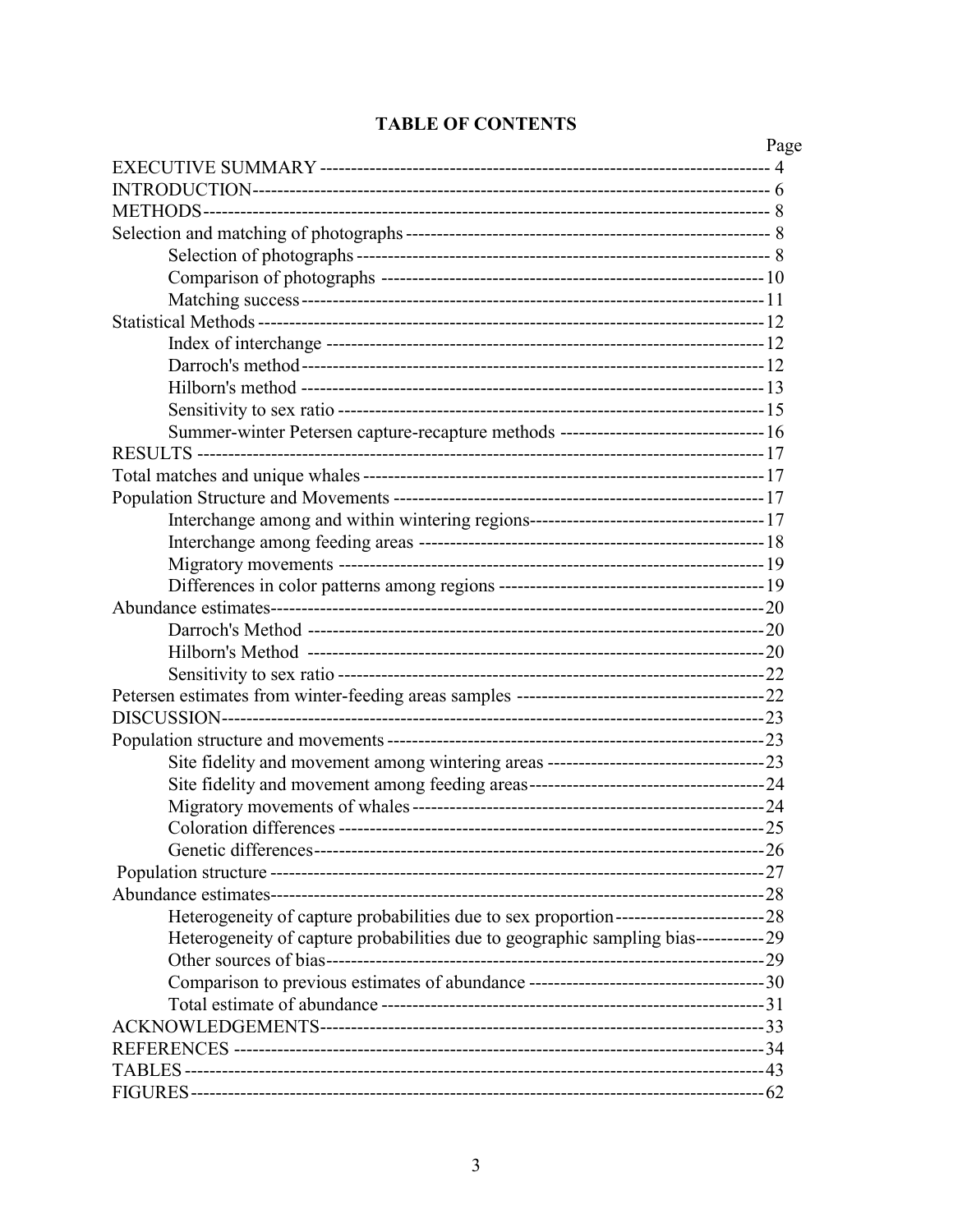|                                                                                               | Page |
|-----------------------------------------------------------------------------------------------|------|
|                                                                                               |      |
|                                                                                               |      |
|                                                                                               |      |
|                                                                                               |      |
|                                                                                               |      |
|                                                                                               |      |
|                                                                                               |      |
|                                                                                               |      |
|                                                                                               |      |
|                                                                                               |      |
|                                                                                               |      |
|                                                                                               |      |
| Summer-winter Petersen capture-recapture methods -------------------------------- 16          |      |
|                                                                                               |      |
|                                                                                               |      |
|                                                                                               |      |
|                                                                                               |      |
|                                                                                               |      |
|                                                                                               |      |
|                                                                                               |      |
|                                                                                               |      |
|                                                                                               |      |
|                                                                                               |      |
|                                                                                               |      |
|                                                                                               |      |
|                                                                                               |      |
|                                                                                               |      |
|                                                                                               |      |
|                                                                                               |      |
|                                                                                               |      |
|                                                                                               |      |
|                                                                                               |      |
|                                                                                               |      |
|                                                                                               |      |
| Heterogeneity of capture probabilities due to sex proportion-------------------------------28 |      |
| Heterogeneity of capture probabilities due to geographic sampling bias-----------29           |      |
|                                                                                               |      |
|                                                                                               |      |
|                                                                                               |      |
|                                                                                               |      |
|                                                                                               |      |
|                                                                                               |      |
|                                                                                               |      |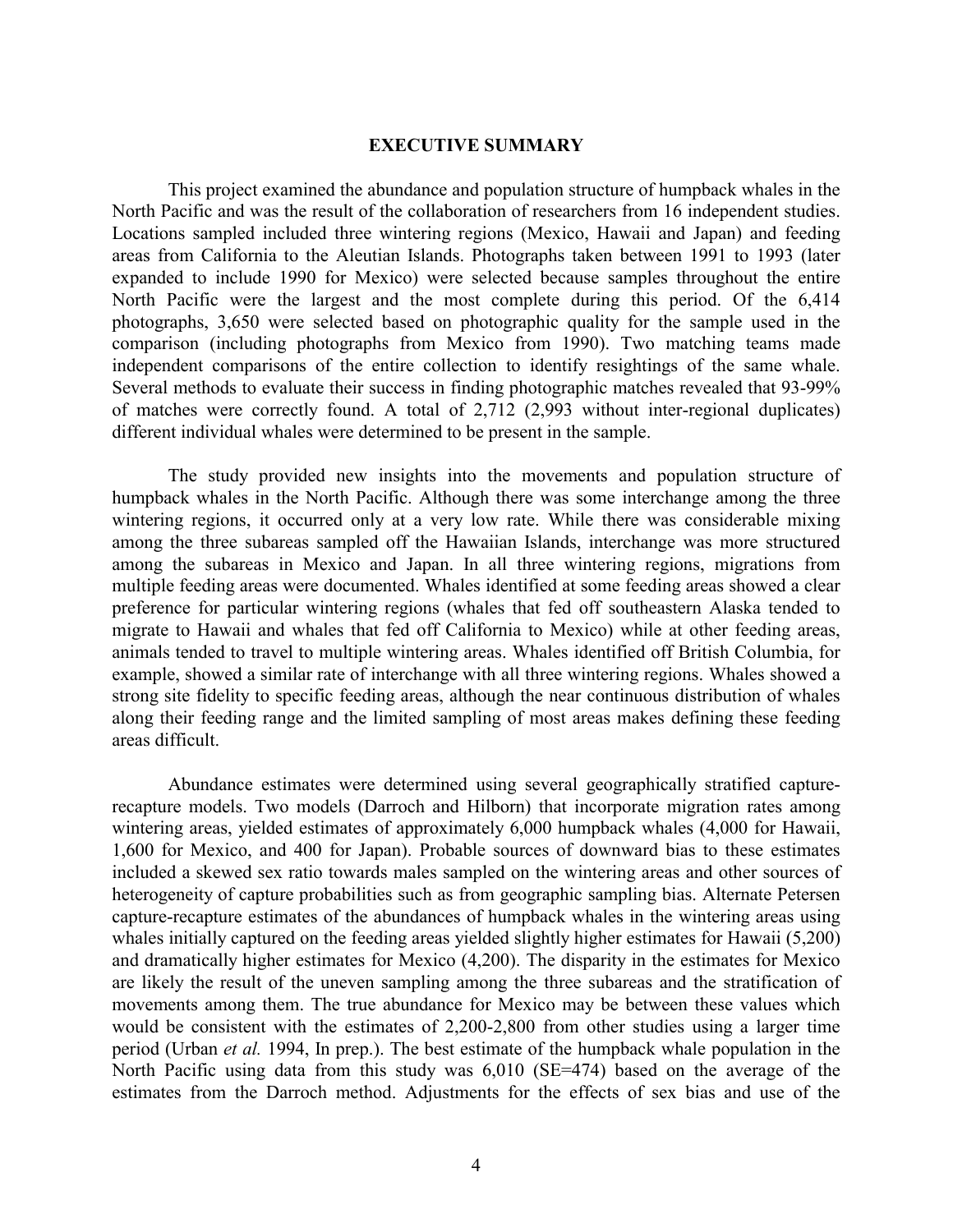#### **EXECUTIVE SUMMARY**

This project examined the abundance and population structure of humpback whales in the North Pacific and was the result of the collaboration of researchers from 16 independent studies. Locations sampled included three wintering regions (Mexico, Hawaii and Japan) and feeding areas from California to the Aleutian Islands. Photographs taken between 1991 to 1993 (later expanded to include 1990 for Mexico) were selected because samples throughout the entire North Pacific were the largest and the most complete during this period. Of the 6,414 photographs, 3,650 were selected based on photographic quality for the sample used in the comparison (including photographs from Mexico from 1990). Two matching teams made independent comparisons of the entire collection to identify resightings of the same whale. Several methods to evaluate their success in finding photographic matches revealed that 93-99% of matches were correctly found. A total of 2,712 (2,993 without inter-regional duplicates) different individual whales were determined to be present in the sample.

The study provided new insights into the movements and population structure of humpback whales in the North Pacific. Although there was some interchange among the three wintering regions, it occurred only at a very low rate. While there was considerable mixing among the three subareas sampled off the Hawaiian Islands, interchange was more structured among the subareas in Mexico and Japan. In all three wintering regions, migrations from multiple feeding areas were documented. Whales identified at some feeding areas showed a clear preference for particular wintering regions (whales that fed off southeastern Alaska tended to migrate to Hawaii and whales that fed off California to Mexico) while at other feeding areas, animals tended to travel to multiple wintering areas. Whales identified off British Columbia, for example, showed a similar rate of interchange with all three wintering regions. Whales showed a strong site fidelity to specific feeding areas, although the near continuous distribution of whales along their feeding range and the limited sampling of most areas makes defining these feeding areas difficult.

Abundance estimates were determined using several geographically stratified capturerecapture models. Two models (Darroch and Hilborn) that incorporate migration rates among wintering areas, yielded estimates of approximately 6,000 humpback whales (4,000 for Hawaii, 1,600 for Mexico, and 400 for Japan). Probable sources of downward bias to these estimates included a skewed sex ratio towards males sampled on the wintering areas and other sources of heterogeneity of capture probabilities such as from geographic sampling bias. Alternate Petersen capture-recapture estimates of the abundances of humpback whales in the wintering areas using whales initially captured on the feeding areas yielded slightly higher estimates for Hawaii (5,200) and dramatically higher estimates for Mexico (4,200). The disparity in the estimates for Mexico are likely the result of the uneven sampling among the three subareas and the stratification of movements among them. The true abundance for Mexico may be between these values which would be consistent with the estimates of 2,200-2,800 from other studies using a larger time period (Urban *et al.* 1994, In prep.). The best estimate of the humpback whale population in the North Pacific using data from this study was 6,010 (SE=474) based on the average of the estimates from the Darroch method. Adjustments for the effects of sex bias and use of the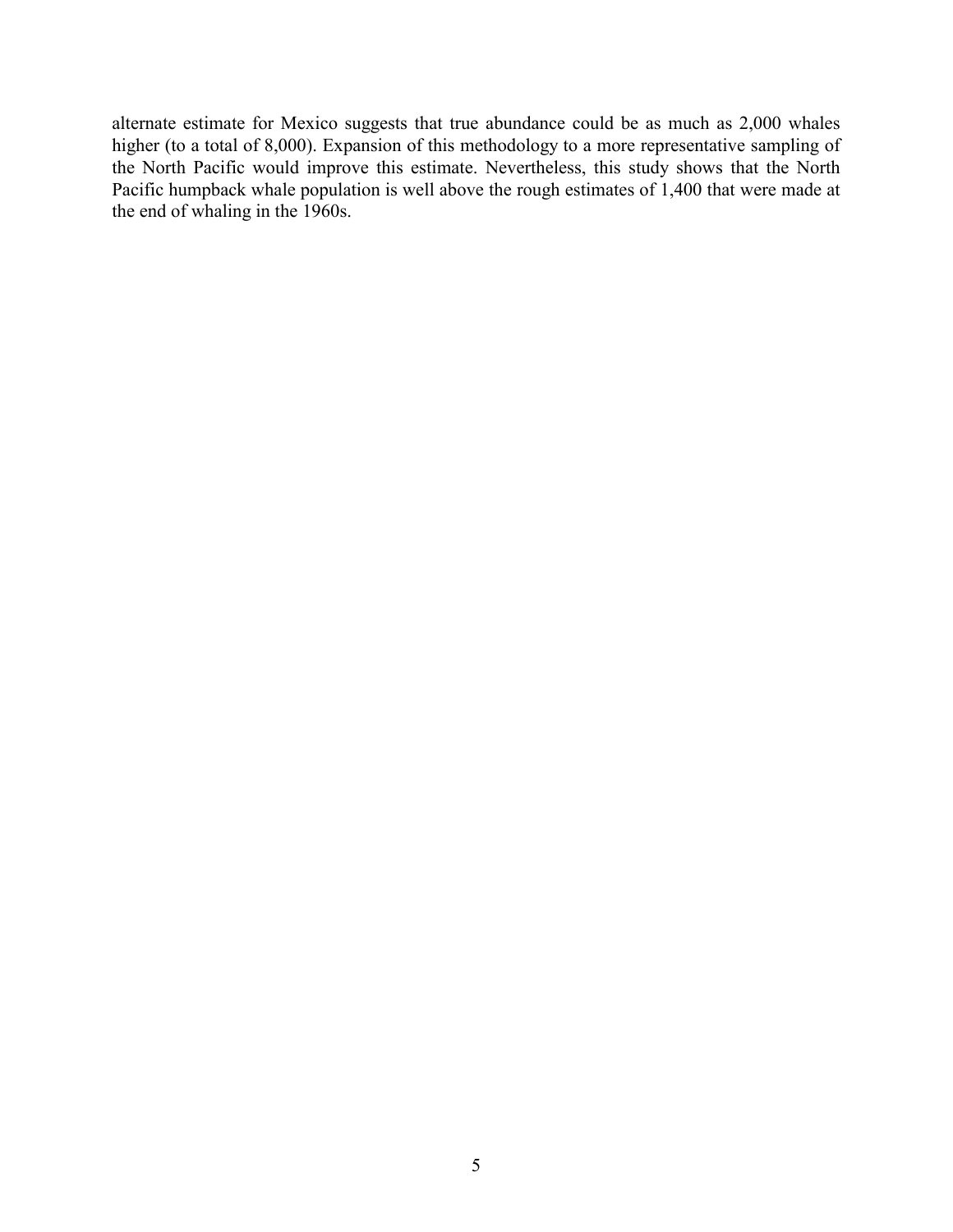alternate estimate for Mexico suggests that true abundance could be as much as 2,000 whales higher (to a total of 8,000). Expansion of this methodology to a more representative sampling of the North Pacific would improve this estimate. Nevertheless, this study shows that the North Pacific humpback whale population is well above the rough estimates of 1,400 that were made at the end of whaling in the 1960s.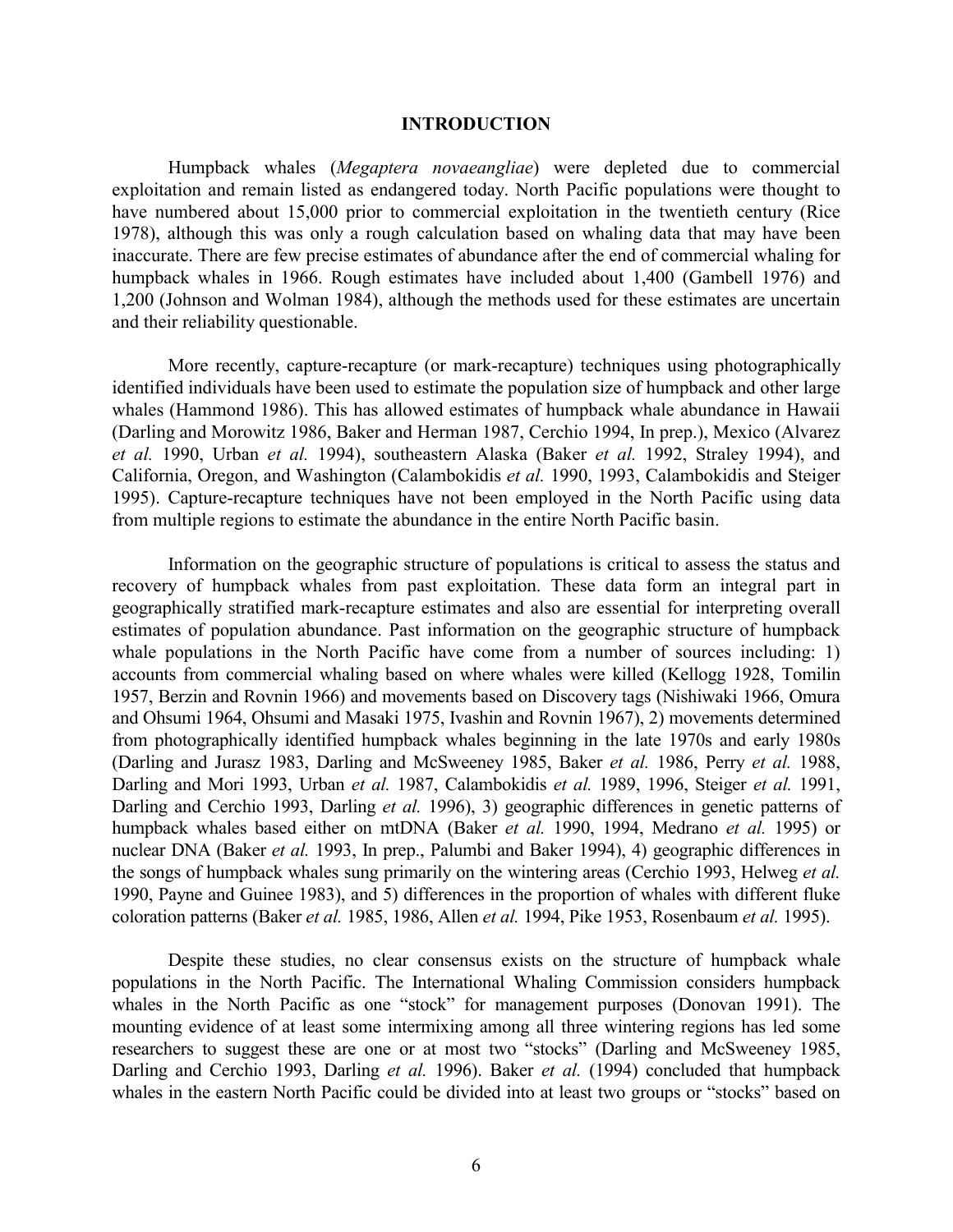#### **INTRODUCTION**

Humpback whales (*Megaptera novaeangliae*) were depleted due to commercial exploitation and remain listed as endangered today. North Pacific populations were thought to have numbered about 15,000 prior to commercial exploitation in the twentieth century (Rice 1978), although this was only a rough calculation based on whaling data that may have been inaccurate. There are few precise estimates of abundance after the end of commercial whaling for humpback whales in 1966. Rough estimates have included about 1,400 (Gambell 1976) and 1,200 (Johnson and Wolman 1984), although the methods used for these estimates are uncertain and their reliability questionable.

More recently, capture-recapture (or mark-recapture) techniques using photographically identified individuals have been used to estimate the population size of humpback and other large whales (Hammond 1986). This has allowed estimates of humpback whale abundance in Hawaii (Darling and Morowitz 1986, Baker and Herman 1987, Cerchio 1994, In prep.), Mexico (Alvarez *et al.* 1990, Urban *et al.* 1994), southeastern Alaska (Baker *et al.* 1992, Straley 1994), and California, Oregon, and Washington (Calambokidis *et al.* 1990, 1993, Calambokidis and Steiger 1995). Capture-recapture techniques have not been employed in the North Pacific using data from multiple regions to estimate the abundance in the entire North Pacific basin.

Information on the geographic structure of populations is critical to assess the status and recovery of humpback whales from past exploitation. These data form an integral part in geographically stratified mark-recapture estimates and also are essential for interpreting overall estimates of population abundance. Past information on the geographic structure of humpback whale populations in the North Pacific have come from a number of sources including: 1) accounts from commercial whaling based on where whales were killed (Kellogg 1928, Tomilin 1957, Berzin and Rovnin 1966) and movements based on Discovery tags (Nishiwaki 1966, Omura and Ohsumi 1964, Ohsumi and Masaki 1975, Ivashin and Rovnin 1967), 2) movements determined from photographically identified humpback whales beginning in the late 1970s and early 1980s (Darling and Jurasz 1983, Darling and McSweeney 1985, Baker *et al.* 1986, Perry *et al.* 1988, Darling and Mori 1993, Urban *et al.* 1987, Calambokidis *et al.* 1989, 1996, Steiger *et al.* 1991, Darling and Cerchio 1993, Darling *et al.* 1996), 3) geographic differences in genetic patterns of humpback whales based either on mtDNA (Baker *et al.* 1990, 1994, Medrano *et al.* 1995) or nuclear DNA (Baker *et al.* 1993, In prep., Palumbi and Baker 1994), 4) geographic differences in the songs of humpback whales sung primarily on the wintering areas (Cerchio 1993, Helweg *et al.* 1990, Payne and Guinee 1983), and 5) differences in the proportion of whales with different fluke coloration patterns (Baker *et al.* 1985, 1986, Allen *et al.* 1994, Pike 1953, Rosenbaum *et al.* 1995).

Despite these studies, no clear consensus exists on the structure of humpback whale populations in the North Pacific. The International Whaling Commission considers humpback whales in the North Pacific as one "stock" for management purposes (Donovan 1991). The mounting evidence of at least some intermixing among all three wintering regions has led some researchers to suggest these are one or at most two "stocks" (Darling and McSweeney 1985, Darling and Cerchio 1993, Darling *et al.* 1996). Baker *et al.* (1994) concluded that humpback whales in the eastern North Pacific could be divided into at least two groups or "stocks" based on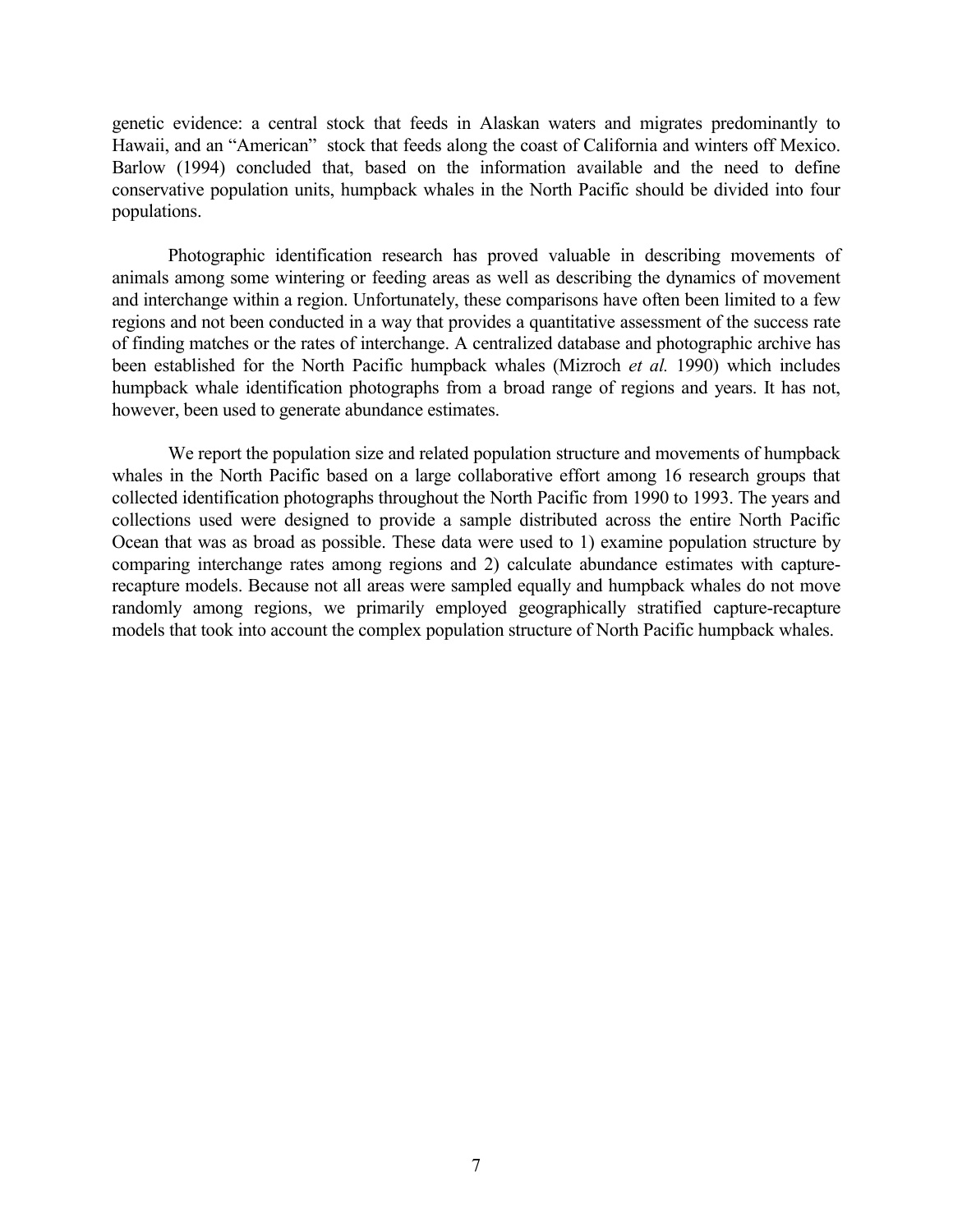genetic evidence: a central stock that feeds in Alaskan waters and migrates predominantly to Hawaii, and an "American" stock that feeds along the coast of California and winters off Mexico. Barlow (1994) concluded that, based on the information available and the need to define conservative population units, humpback whales in the North Pacific should be divided into four populations.

Photographic identification research has proved valuable in describing movements of animals among some wintering or feeding areas as well as describing the dynamics of movement and interchange within a region. Unfortunately, these comparisons have often been limited to a few regions and not been conducted in a way that provides a quantitative assessment of the success rate of finding matches or the rates of interchange. A centralized database and photographic archive has been established for the North Pacific humpback whales (Mizroch *et al.* 1990) which includes humpback whale identification photographs from a broad range of regions and years. It has not, however, been used to generate abundance estimates.

We report the population size and related population structure and movements of humpback whales in the North Pacific based on a large collaborative effort among 16 research groups that collected identification photographs throughout the North Pacific from 1990 to 1993. The years and collections used were designed to provide a sample distributed across the entire North Pacific Ocean that was as broad as possible. These data were used to 1) examine population structure by comparing interchange rates among regions and 2) calculate abundance estimates with capturerecapture models. Because not all areas were sampled equally and humpback whales do not move randomly among regions, we primarily employed geographically stratified capture-recapture models that took into account the complex population structure of North Pacific humpback whales.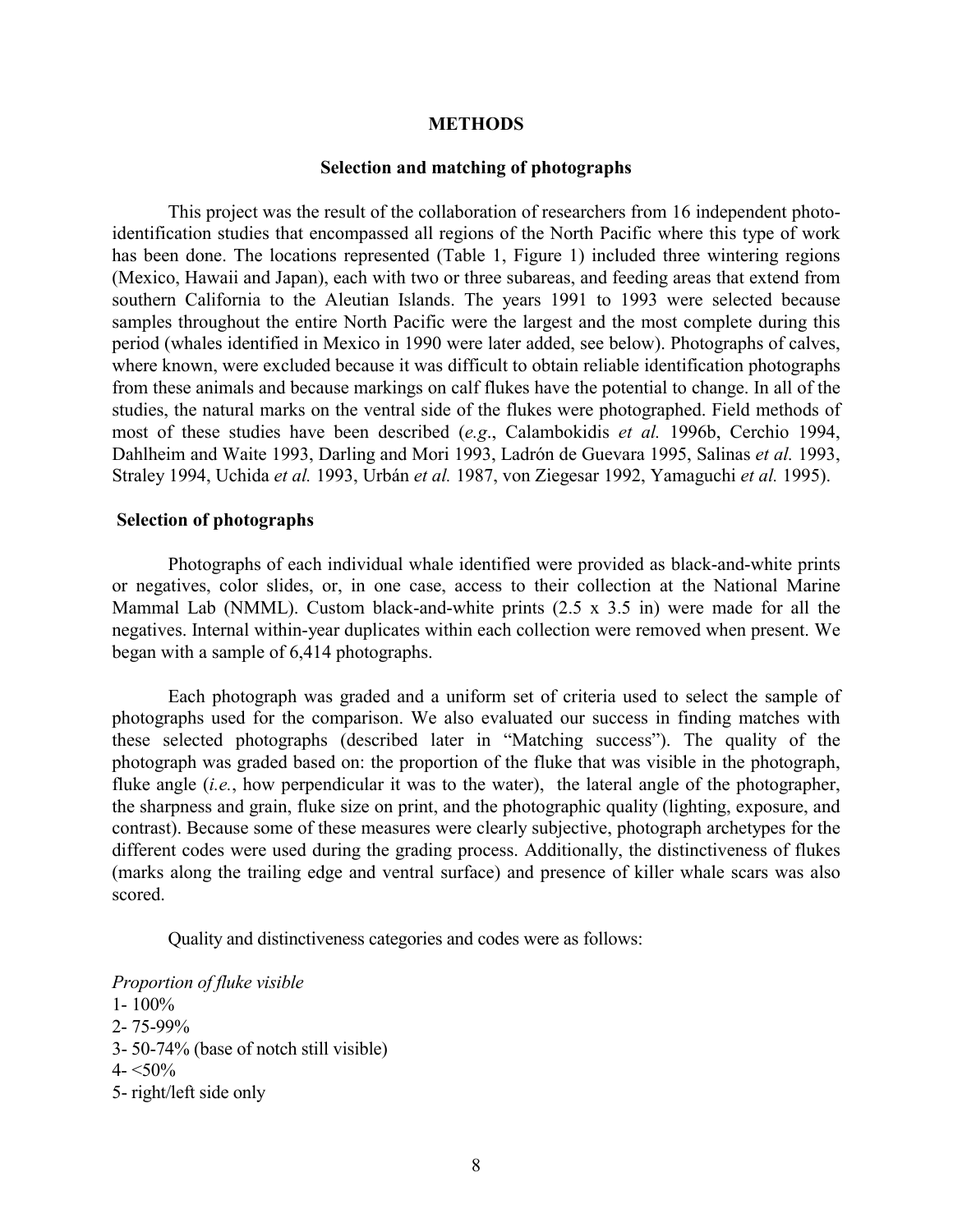#### **METHODS**

#### **Selection and matching of photographs**

This project was the result of the collaboration of researchers from 16 independent photoidentification studies that encompassed all regions of the North Pacific where this type of work has been done. The locations represented (Table 1, Figure 1) included three wintering regions (Mexico, Hawaii and Japan), each with two or three subareas, and feeding areas that extend from southern California to the Aleutian Islands. The years 1991 to 1993 were selected because samples throughout the entire North Pacific were the largest and the most complete during this period (whales identified in Mexico in 1990 were later added, see below). Photographs of calves, where known, were excluded because it was difficult to obtain reliable identification photographs from these animals and because markings on calf flukes have the potential to change. In all of the studies, the natural marks on the ventral side of the flukes were photographed. Field methods of most of these studies have been described (*e.g*., Calambokidis *et al.* 1996b, Cerchio 1994, Dahlheim and Waite 1993, Darling and Mori 1993, Ladrón de Guevara 1995, Salinas *et al.* 1993, Straley 1994, Uchida *et al.* 1993, Urbán *et al.* 1987, von Ziegesar 1992, Yamaguchi *et al.* 1995).

#### **Selection of photographs**

Photographs of each individual whale identified were provided as black-and-white prints or negatives, color slides, or, in one case, access to their collection at the National Marine Mammal Lab (NMML). Custom black-and-white prints (2.5 x 3.5 in) were made for all the negatives. Internal within-year duplicates within each collection were removed when present. We began with a sample of 6,414 photographs.

Each photograph was graded and a uniform set of criteria used to select the sample of photographs used for the comparison. We also evaluated our success in finding matches with these selected photographs (described later in "Matching success"). The quality of the photograph was graded based on: the proportion of the fluke that was visible in the photograph, fluke angle *(i.e., how perpendicular it was to the water)*, the lateral angle of the photographer, the sharpness and grain, fluke size on print, and the photographic quality (lighting, exposure, and contrast). Because some of these measures were clearly subjective, photograph archetypes for the different codes were used during the grading process. Additionally, the distinctiveness of flukes (marks along the trailing edge and ventral surface) and presence of killer whale scars was also scored.

Quality and distinctiveness categories and codes were as follows:

*Proportion of fluke visible*

 $1 - 100\%$ 2- 75-99% 3- 50-74% (base of notch still visible)  $4 - 50\%$ 5- right/left side only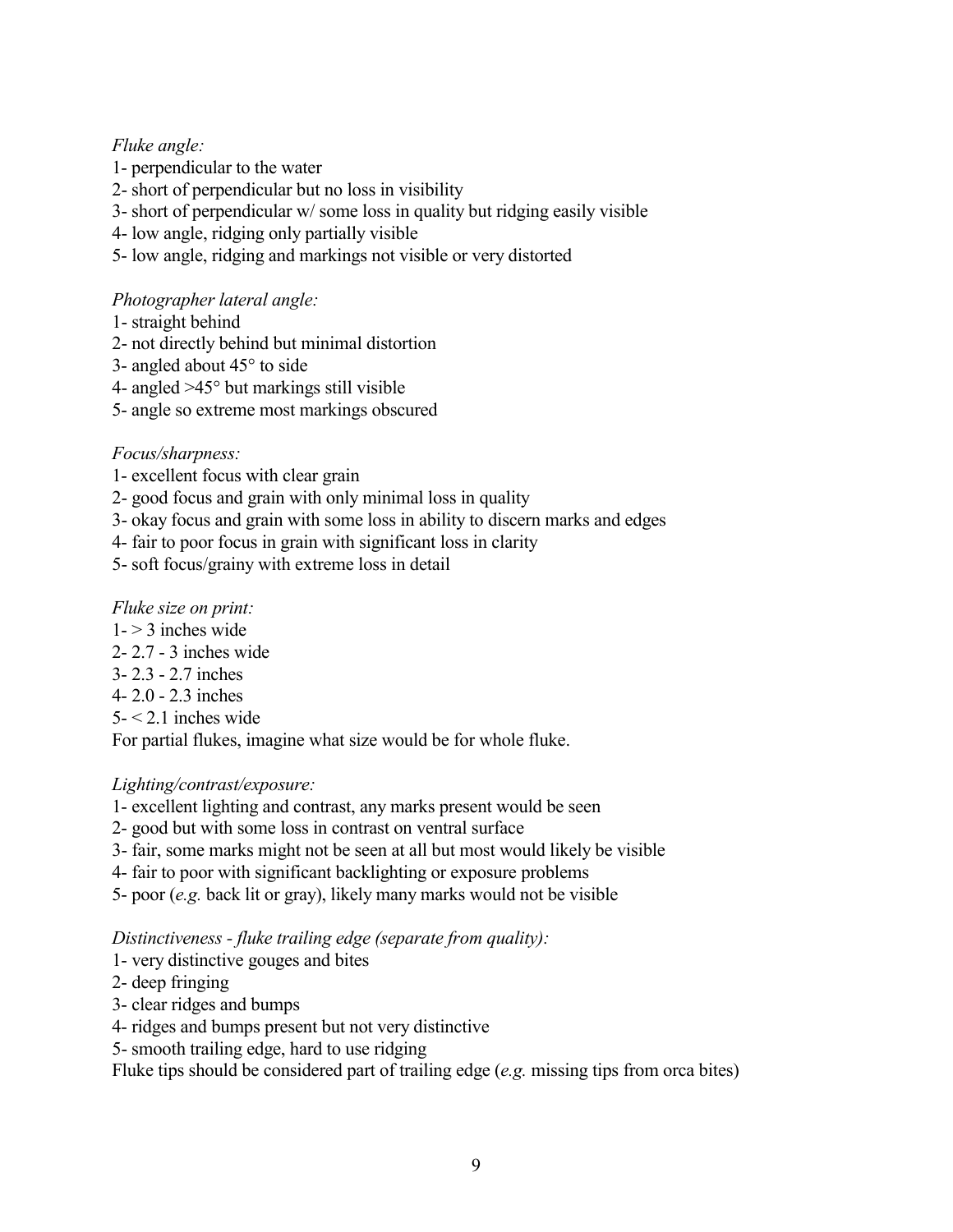# *Fluke angle:*

- 1- perpendicular to the water
- 2- short of perpendicular but no loss in visibility
- 3- short of perpendicular w/ some loss in quality but ridging easily visible
- 4- low angle, ridging only partially visible
- 5- low angle, ridging and markings not visible or very distorted

# *Photographer lateral angle:*

- 1- straight behind
- 2- not directly behind but minimal distortion
- 3- angled about 45° to side
- 4- angled >45° but markings still visible
- 5- angle so extreme most markings obscured

# *Focus/sharpness:*

- 1- excellent focus with clear grain
- 2- good focus and grain with only minimal loss in quality
- 3- okay focus and grain with some loss in ability to discern marks and edges
- 4- fair to poor focus in grain with significant loss in clarity
- 5- soft focus/grainy with extreme loss in detail

# *Fluke size on print:*

- $1 \geq 3$  inches wide
- 2- 2.7 3 inches wide
- 3- 2.3 2.7 inches
- 4- 2.0 2.3 inches
- $5 2.1$  inches wide

For partial flukes, imagine what size would be for whole fluke.

# *Lighting/contrast/exposure:*

- 1- excellent lighting and contrast, any marks present would be seen
- 2- good but with some loss in contrast on ventral surface
- 3- fair, some marks might not be seen at all but most would likely be visible
- 4- fair to poor with significant backlighting or exposure problems
- 5- poor (*e.g.* back lit or gray), likely many marks would not be visible

# *Distinctiveness - fluke trailing edge (separate from quality):*

- 1- very distinctive gouges and bites
- 2- deep fringing
- 3- clear ridges and bumps
- 4- ridges and bumps present but not very distinctive
- 5- smooth trailing edge, hard to use ridging

Fluke tips should be considered part of trailing edge (*e.g.* missing tips from orca bites)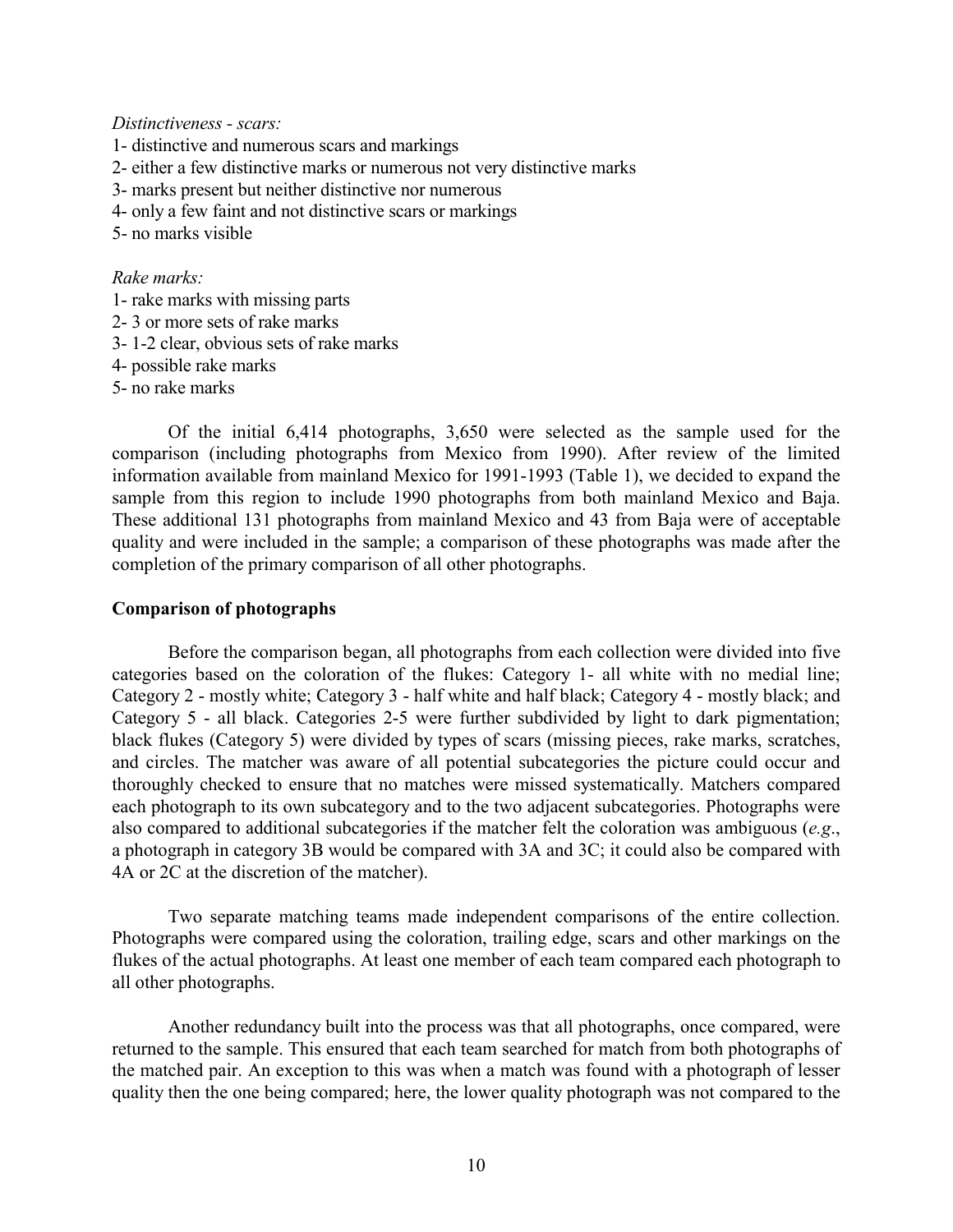*Distinctiveness - scars:*

- 1- distinctive and numerous scars and markings
- 2- either a few distinctive marks or numerous not very distinctive marks
- 3- marks present but neither distinctive nor numerous
- 4- only a few faint and not distinctive scars or markings
- 5- no marks visible

## *Rake marks:*

- 1- rake marks with missing parts
- 2- 3 or more sets of rake marks
- 3- 1-2 clear, obvious sets of rake marks
- 4- possible rake marks
- 5- no rake marks

Of the initial 6,414 photographs, 3,650 were selected as the sample used for the comparison (including photographs from Mexico from 1990). After review of the limited information available from mainland Mexico for 1991-1993 (Table 1), we decided to expand the sample from this region to include 1990 photographs from both mainland Mexico and Baja. These additional 131 photographs from mainland Mexico and 43 from Baja were of acceptable quality and were included in the sample; a comparison of these photographs was made after the completion of the primary comparison of all other photographs.

### **Comparison of photographs**

 Before the comparison began, all photographs from each collection were divided into five categories based on the coloration of the flukes: Category 1- all white with no medial line; Category 2 - mostly white; Category 3 - half white and half black; Category 4 - mostly black; and Category 5 - all black. Categories 2-5 were further subdivided by light to dark pigmentation; black flukes (Category 5) were divided by types of scars (missing pieces, rake marks, scratches, and circles. The matcher was aware of all potential subcategories the picture could occur and thoroughly checked to ensure that no matches were missed systematically. Matchers compared each photograph to its own subcategory and to the two adjacent subcategories. Photographs were also compared to additional subcategories if the matcher felt the coloration was ambiguous (*e.g*., a photograph in category 3B would be compared with 3A and 3C; it could also be compared with 4A or 2C at the discretion of the matcher).

Two separate matching teams made independent comparisons of the entire collection. Photographs were compared using the coloration, trailing edge, scars and other markings on the flukes of the actual photographs. At least one member of each team compared each photograph to all other photographs.

Another redundancy built into the process was that all photographs, once compared, were returned to the sample. This ensured that each team searched for match from both photographs of the matched pair. An exception to this was when a match was found with a photograph of lesser quality then the one being compared; here, the lower quality photograph was not compared to the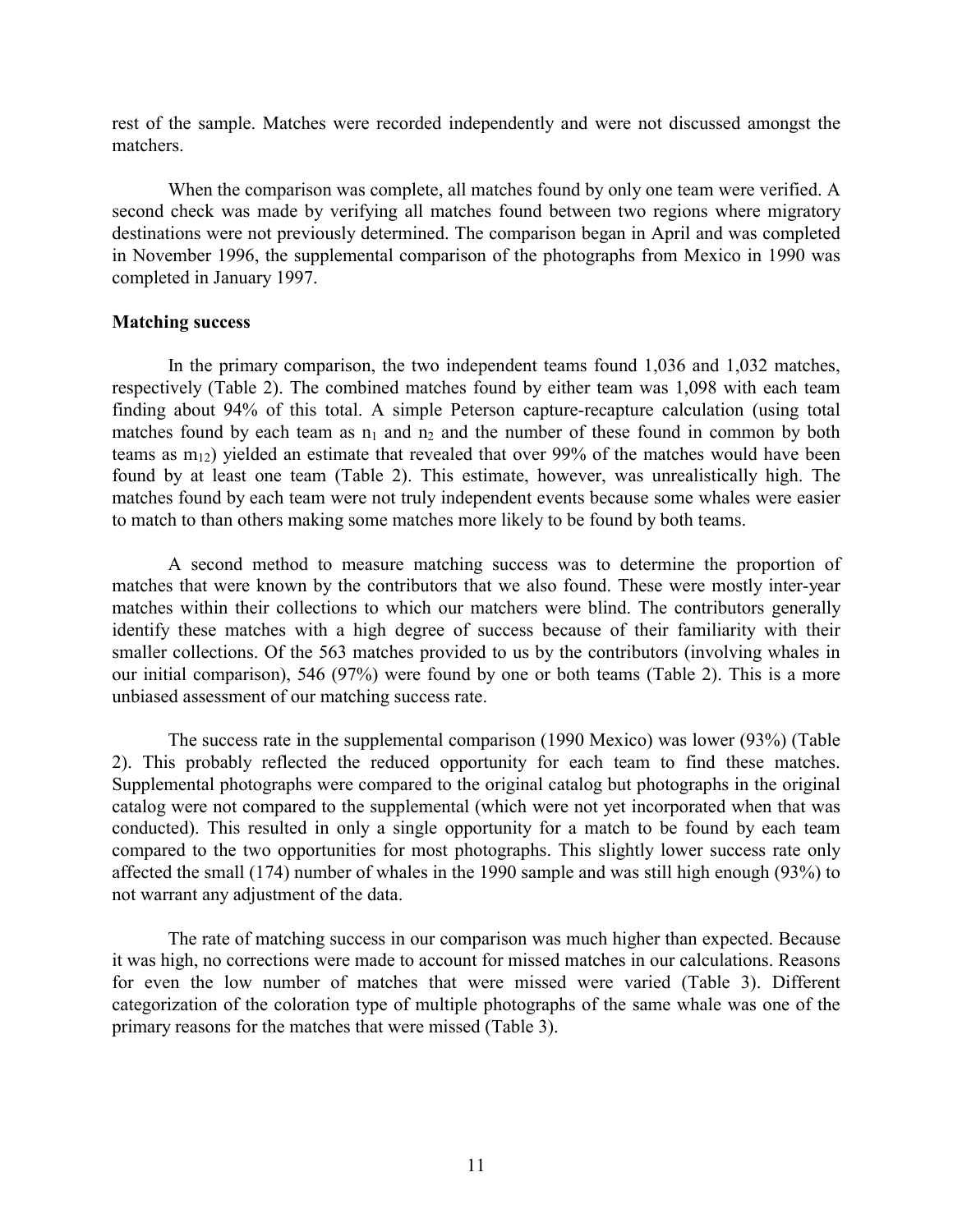rest of the sample. Matches were recorded independently and were not discussed amongst the matchers.

When the comparison was complete, all matches found by only one team were verified. A second check was made by verifying all matches found between two regions where migratory destinations were not previously determined. The comparison began in April and was completed in November 1996, the supplemental comparison of the photographs from Mexico in 1990 was completed in January 1997.

## **Matching success**

In the primary comparison, the two independent teams found 1,036 and 1,032 matches, respectively (Table 2). The combined matches found by either team was 1,098 with each team finding about 94% of this total. A simple Peterson capture-recapture calculation (using total matches found by each team as  $n_1$  and  $n_2$  and the number of these found in common by both teams as  $m_{12}$ ) yielded an estimate that revealed that over 99% of the matches would have been found by at least one team (Table 2). This estimate, however, was unrealistically high. The matches found by each team were not truly independent events because some whales were easier to match to than others making some matches more likely to be found by both teams.

A second method to measure matching success was to determine the proportion of matches that were known by the contributors that we also found. These were mostly inter-year matches within their collections to which our matchers were blind. The contributors generally identify these matches with a high degree of success because of their familiarity with their smaller collections. Of the 563 matches provided to us by the contributors (involving whales in our initial comparison), 546 (97%) were found by one or both teams (Table 2). This is a more unbiased assessment of our matching success rate.

The success rate in the supplemental comparison (1990 Mexico) was lower (93%) (Table 2). This probably reflected the reduced opportunity for each team to find these matches. Supplemental photographs were compared to the original catalog but photographs in the original catalog were not compared to the supplemental (which were not yet incorporated when that was conducted). This resulted in only a single opportunity for a match to be found by each team compared to the two opportunities for most photographs. This slightly lower success rate only affected the small (174) number of whales in the 1990 sample and was still high enough (93%) to not warrant any adjustment of the data.

The rate of matching success in our comparison was much higher than expected. Because it was high, no corrections were made to account for missed matches in our calculations. Reasons for even the low number of matches that were missed were varied (Table 3). Different categorization of the coloration type of multiple photographs of the same whale was one of the primary reasons for the matches that were missed (Table 3).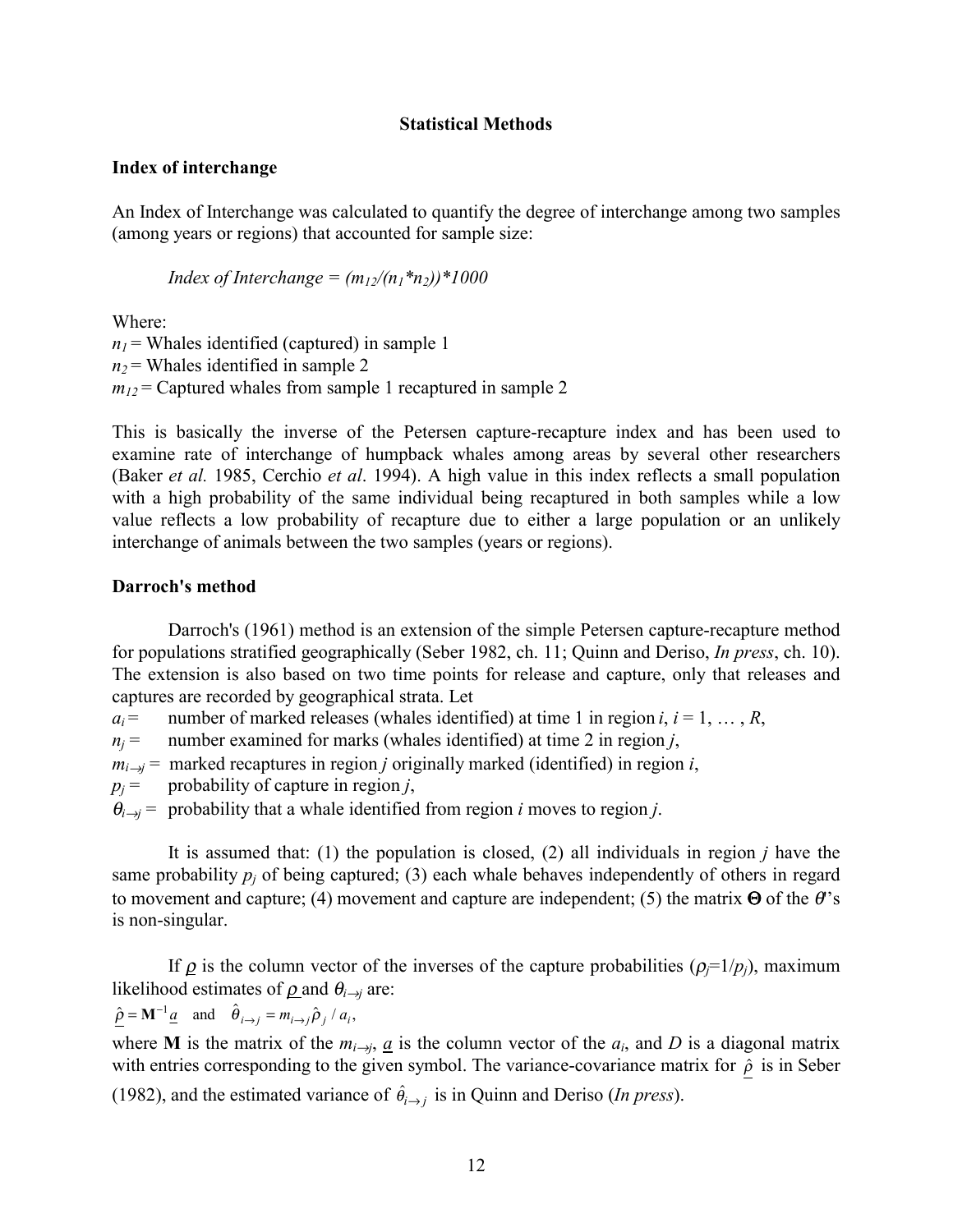## **Statistical Methods**

## **Index of interchange**

An Index of Interchange was calculated to quantify the degree of interchange among two samples (among years or regions) that accounted for sample size:

*Index of Interchange =*  $(m_1/(n_1 * n_2)) * 1000$ 

Where:

 $n_1$  = Whales identified (captured) in sample 1  $n_2$  = Whales identified in sample 2  $m_{12}$  = Captured whales from sample 1 recaptured in sample 2

This is basically the inverse of the Petersen capture-recapture index and has been used to examine rate of interchange of humpback whales among areas by several other researchers (Baker *et al.* 1985, Cerchio *et al*. 1994). A high value in this index reflects a small population with a high probability of the same individual being recaptured in both samples while a low value reflects a low probability of recapture due to either a large population or an unlikely interchange of animals between the two samples (years or regions).

## **Darroch's method**

Darroch's (1961) method is an extension of the simple Petersen capture-recapture method for populations stratified geographically (Seber 1982, ch. 11; Quinn and Deriso, *In press*, ch. 10). The extension is also based on two time points for release and capture, only that releases and captures are recorded by geographical strata. Let

*a<sub>i</sub>* = number of marked releases (whales identified) at time 1 in region *i*,  $i = 1, ..., R$ ,

 $n<sub>i</sub>$  = number examined for marks (whales identified) at time 2 in region *j*,

 $m_{i\rightarrow j}$  = marked recaptures in region *j* originally marked (identified) in region *i*,

 $p_j$  = probability of capture in region *j*,

 $\theta_{i\to j}$  = probability that a whale identified from region *i* moves to region *j*.

It is assumed that: (1) the population is closed, (2) all individuals in region *j* have the same probability  $p_i$  of being captured; (3) each whale behaves independently of others in regard to movement and capture; (4) movement and capture are independent; (5) the matrix  $\Theta$  of the  $\theta$ 's is non-singular.

If  $\rho$  is the column vector of the inverses of the capture probabilities ( $\rho_j=1/p_j$ ), maximum likelihood estimates of  $\rho$  and  $\theta$ <sub>*i*→*j*</sub> are:

$$
\hat{\rho} = \mathbf{M}^{-1} \underline{a}
$$
 and  $\hat{\theta}_{i \to j} = m_{i \to j} \hat{\rho}_j / a_i$ ,

where **M** is the matrix of the  $m_{i\to j}$ ,  $\underline{a}$  is the column vector of the  $a_i$ , and *D* is a diagonal matrix with entries corresponding to the given symbol. The variance-covariance matrix for  $\hat{\rho}$  is in Seber (1982), and the estimated variance of  $\hat{\theta}_{i \to j}$  is in Quinn and Deriso (*In press*).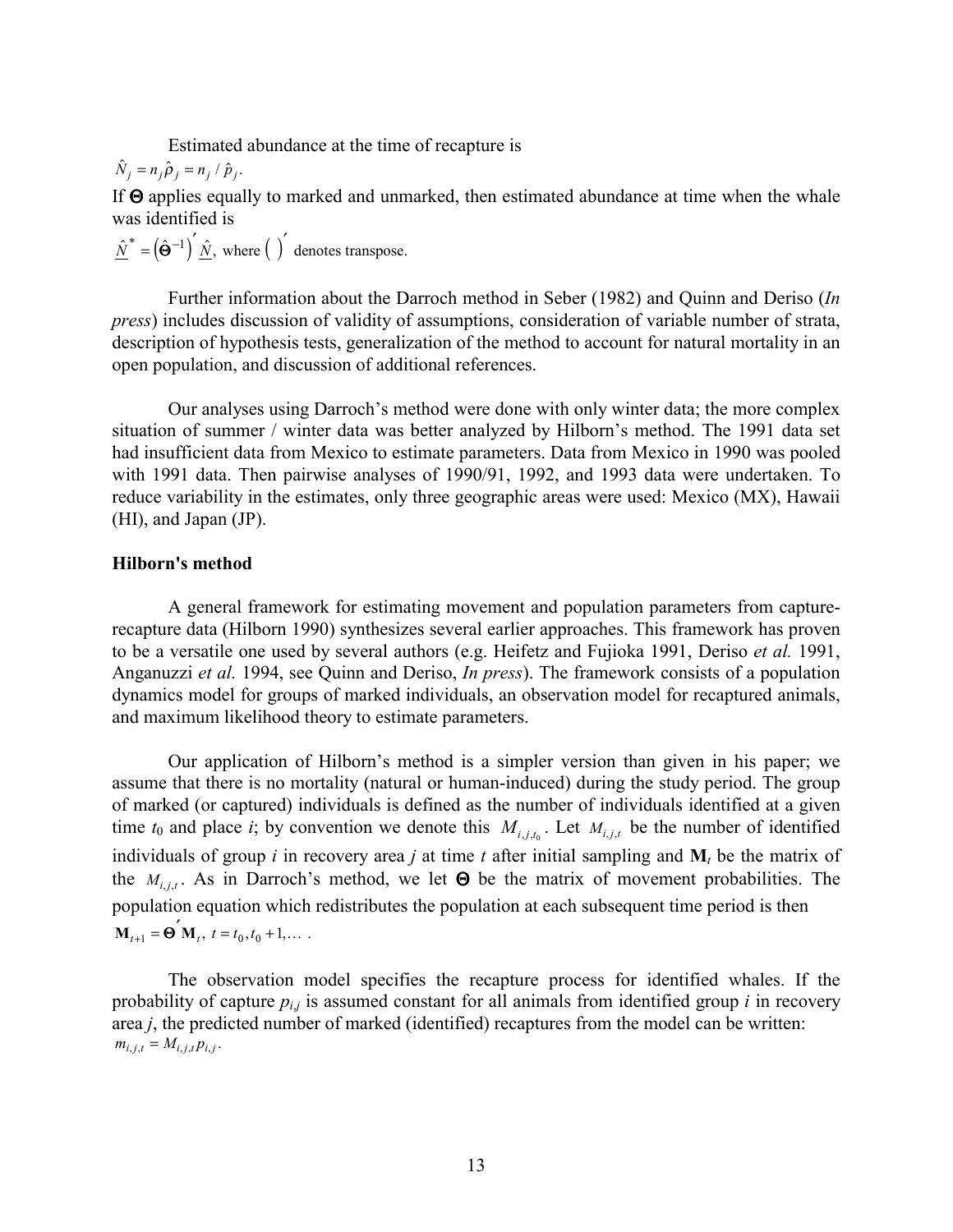Estimated abundance at the time of recapture is

$$
\hat{N}_j = n_j \hat{\rho}_j = n_j / \hat{p}_j.
$$

If Θ applies equally to marked and unmarked, then estimated abundance at time when the whale was identified is

 $\hat{N}^* = (\hat{\Theta}^{-1})' \hat{N}$ , where  $\hat{N}$  denotes transpose.

Further information about the Darroch method in Seber (1982) and Quinn and Deriso (*In press*) includes discussion of validity of assumptions, consideration of variable number of strata, description of hypothesis tests, generalization of the method to account for natural mortality in an open population, and discussion of additional references.

Our analyses using Darroch's method were done with only winter data; the more complex situation of summer / winter data was better analyzed by Hilborn's method. The 1991 data set had insufficient data from Mexico to estimate parameters. Data from Mexico in 1990 was pooled with 1991 data. Then pairwise analyses of 1990/91, 1992, and 1993 data were undertaken. To reduce variability in the estimates, only three geographic areas were used: Mexico (MX), Hawaii (HI), and Japan (JP).

## **Hilborn's method**

A general framework for estimating movement and population parameters from capturerecapture data (Hilborn 1990) synthesizes several earlier approaches. This framework has proven to be a versatile one used by several authors (e.g. Heifetz and Fujioka 1991, Deriso *et al.* 1991, Anganuzzi *et al.* 1994, see Quinn and Deriso, *In press*). The framework consists of a population dynamics model for groups of marked individuals, an observation model for recaptured animals, and maximum likelihood theory to estimate parameters.

Our application of Hilborn's method is a simpler version than given in his paper; we assume that there is no mortality (natural or human-induced) during the study period. The group of marked (or captured) individuals is defined as the number of individuals identified at a given time  $t_0$  and place *i*; by convention we denote this  $M_{i,j,t}$ . Let  $M_{i,j,t}$  be the number of identified individuals of group *i* in recovery area *j* at time *t* after initial sampling and **M***t* be the matrix of the  $M_{i,i,t}$ . As in Darroch's method, we let  $\Theta$  be the matrix of movement probabilities. The population equation which redistributes the population at each subsequent time period is then  $\mathbf{M}_{t+1} = \mathbf{\Theta}^{\prime} \mathbf{M}_{t}, t = t_0, t_0 + 1, \dots$ 

The observation model specifies the recapture process for identified whales. If the probability of capture  $p_{i,j}$  is assumed constant for all animals from identified group  $i$  in recovery area *j*, the predicted number of marked (identified) recaptures from the model can be written:  $m_{i,j,t} = M_{i,j,t} p_{i,j}.$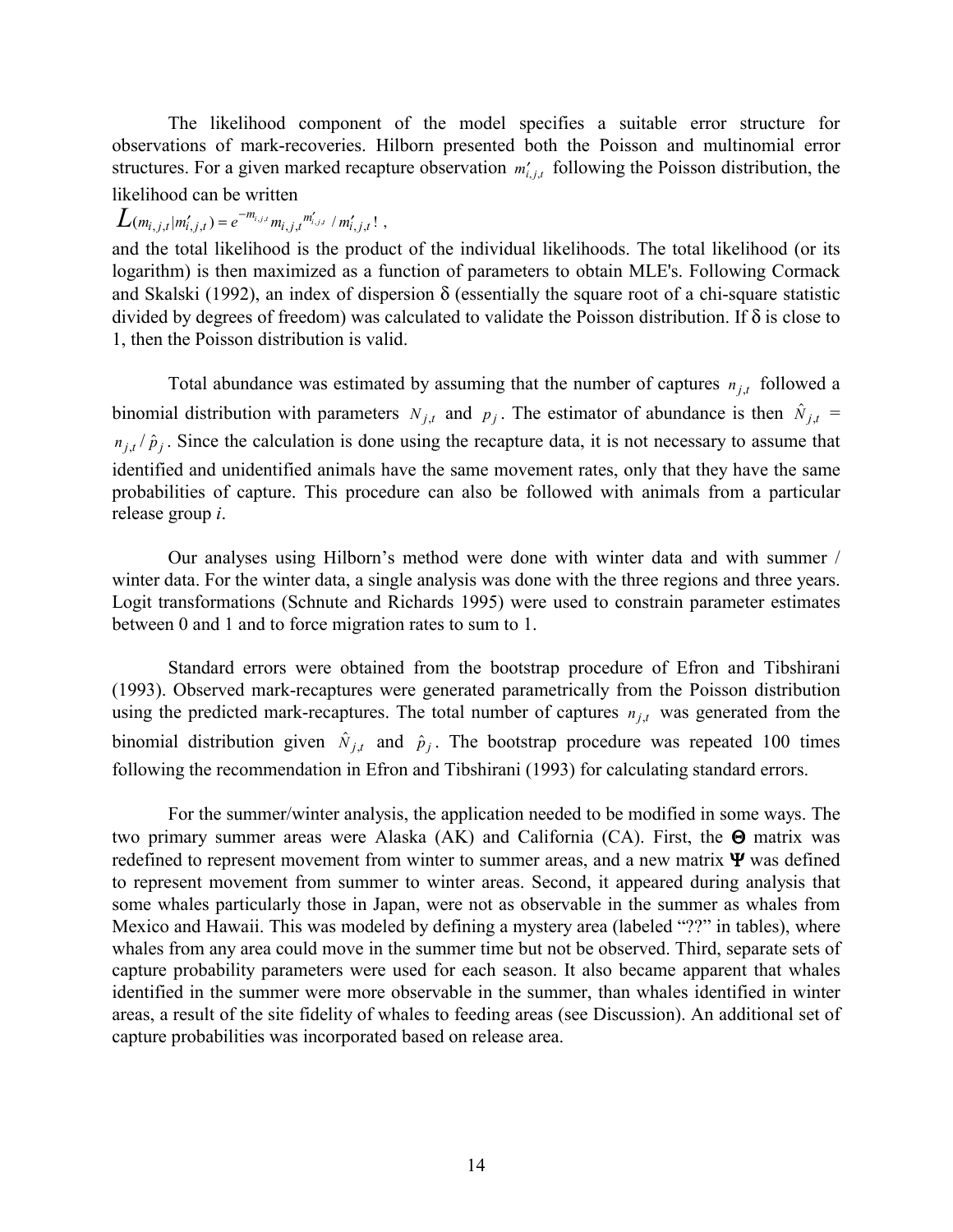The likelihood component of the model specifies a suitable error structure for observations of mark-recoveries. Hilborn presented both the Poisson and multinomial error structures. For a given marked recapture observation  $m'_{i,j,t}$  following the Poisson distribution, the likelihood can be written

 $L(m_{i,j,t} | m'_{i,j,t}) = e^{-m_{i,j,t}} m_{i,j,t}^{\prime} m'_{i,j,t} / m'_{i,j,t}!$ 

and the total likelihood is the product of the individual likelihoods. The total likelihood (or its logarithm) is then maximized as a function of parameters to obtain MLE's. Following Cormack and Skalski (1992), an index of dispersion  $\delta$  (essentially the square root of a chi-square statistic divided by degrees of freedom) was calculated to validate the Poisson distribution. If δ is close to 1, then the Poisson distribution is valid.

Total abundance was estimated by assuming that the number of captures  $n_{i,t}$  followed a binomial distribution with parameters  $N_{j,t}$  and  $p_j$ . The estimator of abundance is then  $\hat{N}_{j,t}$  =  $n_{j,t}/\hat{p}_j$ . Since the calculation is done using the recapture data, it is not necessary to assume that identified and unidentified animals have the same movement rates, only that they have the same probabilities of capture. This procedure can also be followed with animals from a particular release group *i*.

Our analyses using Hilborn's method were done with winter data and with summer / winter data. For the winter data, a single analysis was done with the three regions and three years. Logit transformations (Schnute and Richards 1995) were used to constrain parameter estimates between 0 and 1 and to force migration rates to sum to 1.

Standard errors were obtained from the bootstrap procedure of Efron and Tibshirani (1993). Observed mark-recaptures were generated parametrically from the Poisson distribution using the predicted mark-recaptures. The total number of captures  $n_{j,t}$  was generated from the binomial distribution given  $\hat{N}_{j,t}$  and  $\hat{p}_j$ . The bootstrap procedure was repeated 100 times following the recommendation in Efron and Tibshirani (1993) for calculating standard errors.

For the summer/winter analysis, the application needed to be modified in some ways. The two primary summer areas were Alaska (AK) and California (CA). First, the  $\Theta$  matrix was redefined to represent movement from winter to summer areas, and a new matrix  $\Psi$  was defined to represent movement from summer to winter areas. Second, it appeared during analysis that some whales particularly those in Japan, were not as observable in the summer as whales from Mexico and Hawaii. This was modeled by defining a mystery area (labeled "??" in tables), where whales from any area could move in the summer time but not be observed. Third, separate sets of capture probability parameters were used for each season. It also became apparent that whales identified in the summer were more observable in the summer, than whales identified in winter areas, a result of the site fidelity of whales to feeding areas (see Discussion). An additional set of capture probabilities was incorporated based on release area.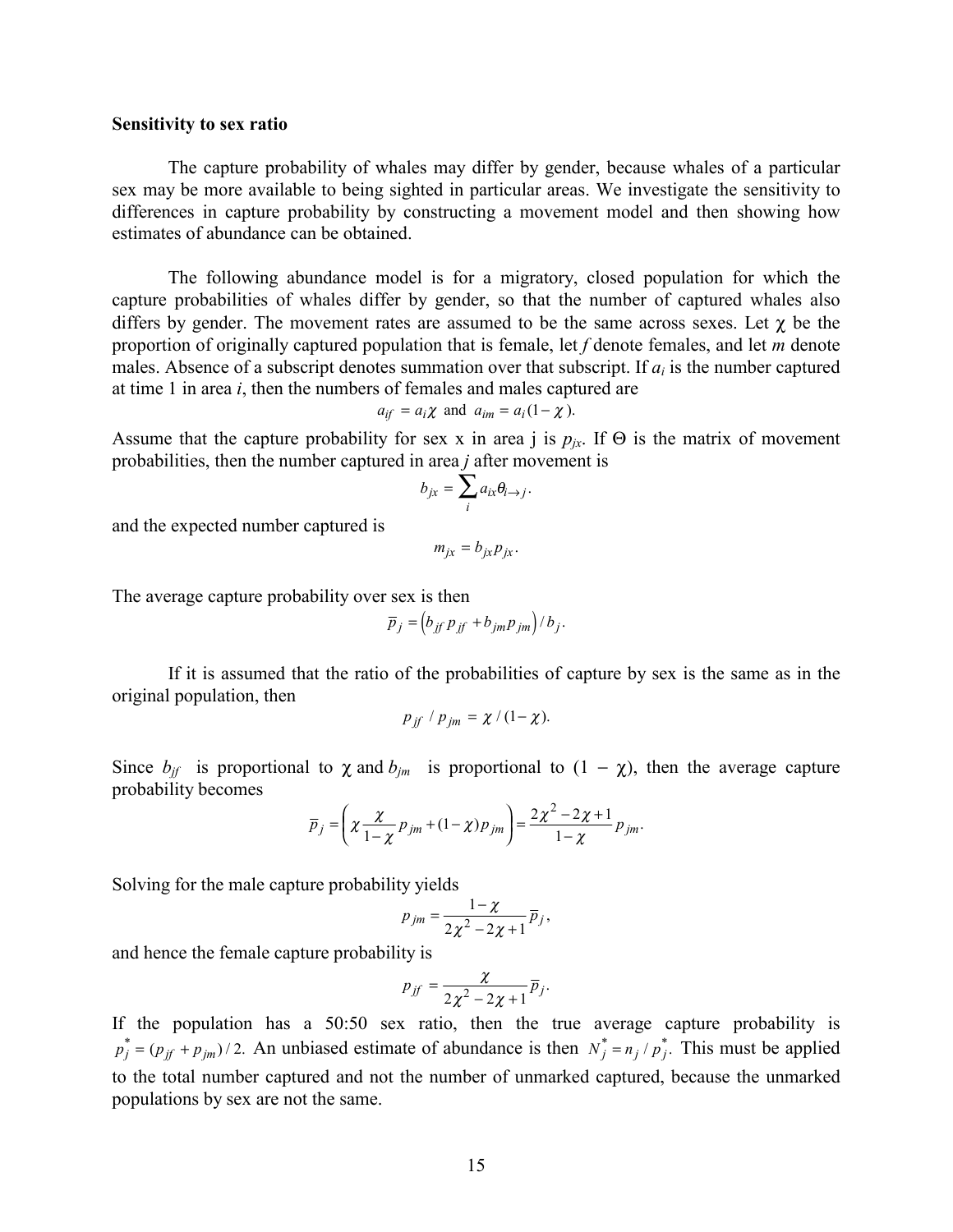#### **Sensitivity to sex ratio**

The capture probability of whales may differ by gender, because whales of a particular sex may be more available to being sighted in particular areas. We investigate the sensitivity to differences in capture probability by constructing a movement model and then showing how estimates of abundance can be obtained.

The following abundance model is for a migratory, closed population for which the capture probabilities of whales differ by gender, so that the number of captured whales also differs by gender. The movement rates are assumed to be the same across sexes. Let  $\gamma$  be the proportion of originally captured population that is female, let *f* denote females, and let *m* denote males. Absence of a subscript denotes summation over that subscript. If  $a_i$  is the number captured at time 1 in area *i*, then the numbers of females and males captured are

$$
a_{if} = a_i \chi
$$
 and  $a_{im} = a_i (1 - \chi)$ .

Assume that the capture probability for sex x in area j is  $p_{ix}$ . If  $\Theta$  is the matrix of movement probabilities, then the number captured in area *j* after movement is

$$
b_{jx} = \sum_{i} a_{ix} \theta_{i \to j}.
$$

and the expected number captured is

$$
m_{jx}=b_{jx}p_{jx}.
$$

The average capture probability over sex is then

$$
\overline{p}_j = \left(b_{jj} p_{jj} + b_{jm} p_{jm}\right) / b_j.
$$

If it is assumed that the ratio of the probabilities of capture by sex is the same as in the original population, then

$$
p_{if} / p_{jm} = \chi / (1 - \chi).
$$

Since  $b_{jj}$  is proportional to  $\chi$  and  $b_{jm}$  is proportional to  $(1 - \chi)$ , then the average capture probability becomes

$$
\overline{p}_j = \left(\chi \frac{\chi}{1-\chi} p_{jm} + (1-\chi) p_{jm}\right) = \frac{2\chi^2 - 2\chi + 1}{1-\chi} p_{jm}.
$$

Solving for the male capture probability yields

$$
p_{jm}=\frac{1-\chi}{2\chi^2-2\chi+1}\,\overline{p}_j,
$$

and hence the female capture probability is

$$
p_{jf}=\frac{\chi}{2\chi^2-2\chi+1}\overline{p}_j.
$$

If the population has a 50:50 sex ratio, then the true average capture probability is  $p_j^* = (p_{j} + p_{jm})/2$ . An unbiased estimate of abundance is then  $N_j^* = n_j / p_j^*$ . This must be applied to the total number captured and not the number of unmarked captured, because the unmarked populations by sex are not the same.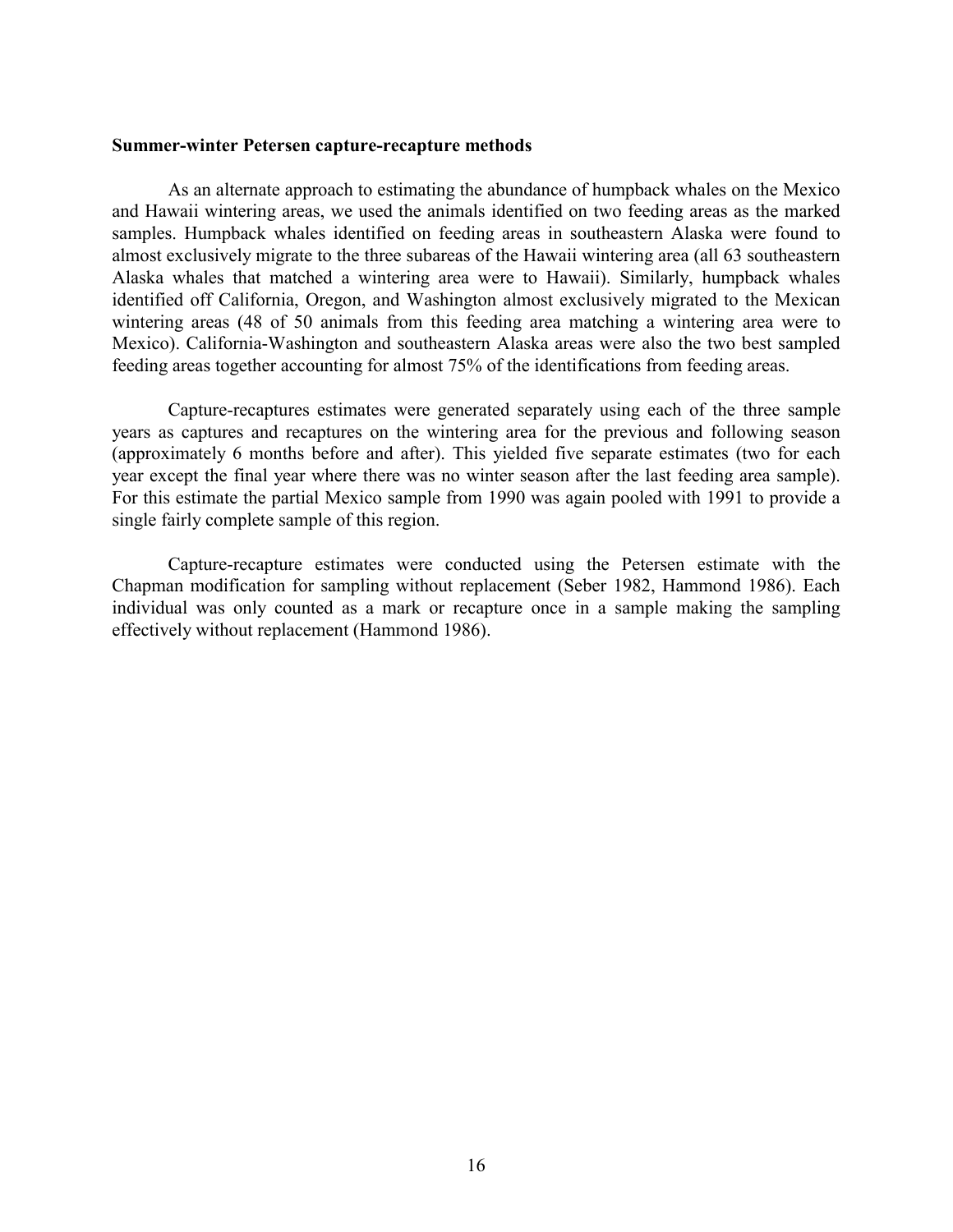#### **Summer-winter Petersen capture-recapture methods**

As an alternate approach to estimating the abundance of humpback whales on the Mexico and Hawaii wintering areas, we used the animals identified on two feeding areas as the marked samples. Humpback whales identified on feeding areas in southeastern Alaska were found to almost exclusively migrate to the three subareas of the Hawaii wintering area (all 63 southeastern Alaska whales that matched a wintering area were to Hawaii). Similarly, humpback whales identified off California, Oregon, and Washington almost exclusively migrated to the Mexican wintering areas (48 of 50 animals from this feeding area matching a wintering area were to Mexico). California-Washington and southeastern Alaska areas were also the two best sampled feeding areas together accounting for almost 75% of the identifications from feeding areas.

Capture-recaptures estimates were generated separately using each of the three sample years as captures and recaptures on the wintering area for the previous and following season (approximately 6 months before and after). This yielded five separate estimates (two for each year except the final year where there was no winter season after the last feeding area sample). For this estimate the partial Mexico sample from 1990 was again pooled with 1991 to provide a single fairly complete sample of this region.

Capture-recapture estimates were conducted using the Petersen estimate with the Chapman modification for sampling without replacement (Seber 1982, Hammond 1986). Each individual was only counted as a mark or recapture once in a sample making the sampling effectively without replacement (Hammond 1986).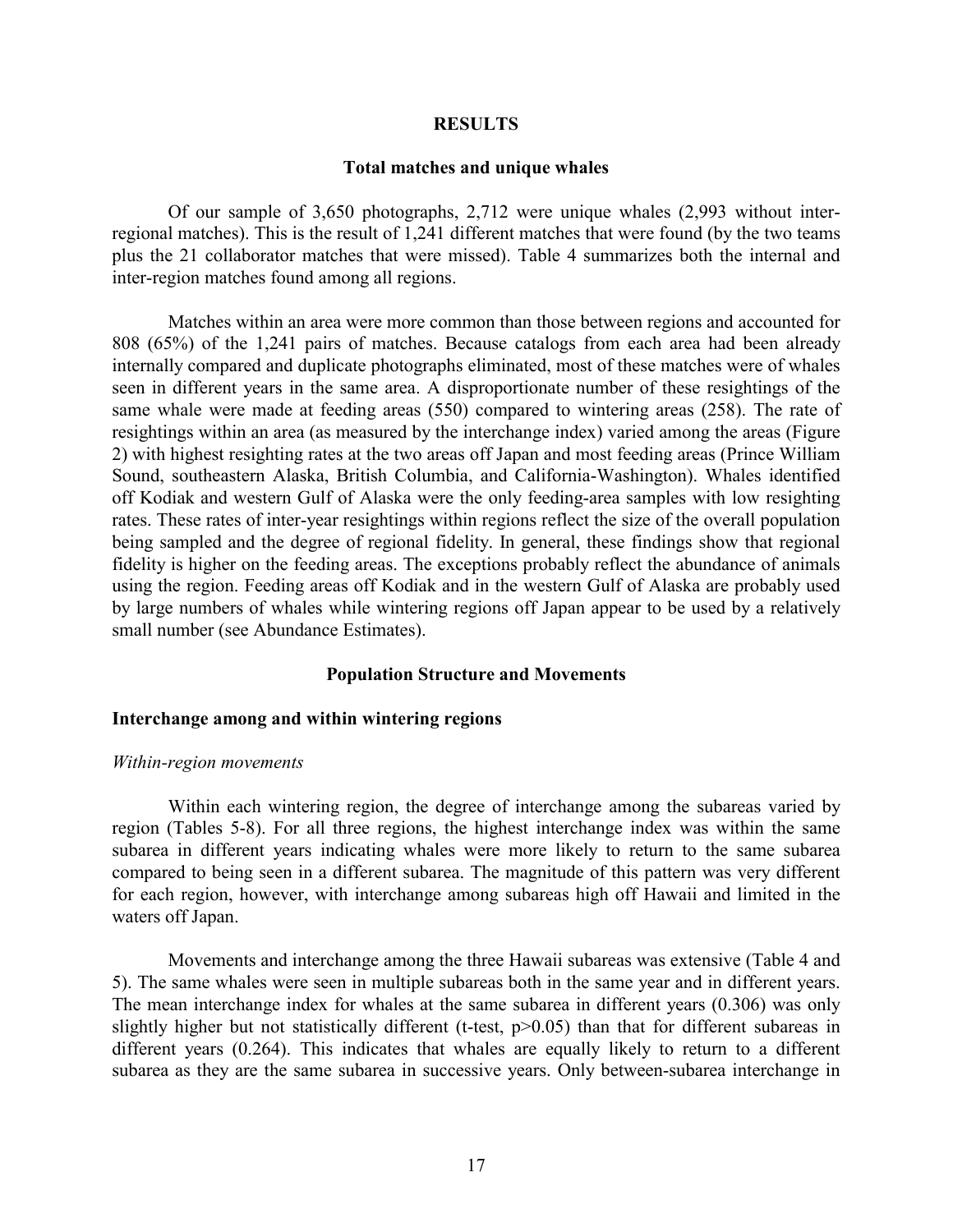#### **RESULTS**

#### **Total matches and unique whales**

Of our sample of 3,650 photographs, 2,712 were unique whales (2,993 without interregional matches). This is the result of 1,241 different matches that were found (by the two teams plus the 21 collaborator matches that were missed). Table 4 summarizes both the internal and inter-region matches found among all regions.

Matches within an area were more common than those between regions and accounted for 808 (65%) of the 1,241 pairs of matches. Because catalogs from each area had been already internally compared and duplicate photographs eliminated, most of these matches were of whales seen in different years in the same area. A disproportionate number of these resightings of the same whale were made at feeding areas (550) compared to wintering areas (258). The rate of resightings within an area (as measured by the interchange index) varied among the areas (Figure 2) with highest resighting rates at the two areas off Japan and most feeding areas (Prince William Sound, southeastern Alaska, British Columbia, and California-Washington). Whales identified off Kodiak and western Gulf of Alaska were the only feeding-area samples with low resighting rates. These rates of inter-year resightings within regions reflect the size of the overall population being sampled and the degree of regional fidelity. In general, these findings show that regional fidelity is higher on the feeding areas. The exceptions probably reflect the abundance of animals using the region. Feeding areas off Kodiak and in the western Gulf of Alaska are probably used by large numbers of whales while wintering regions off Japan appear to be used by a relatively small number (see Abundance Estimates).

#### **Population Structure and Movements**

#### **Interchange among and within wintering regions**

#### *Within-region movements*

Within each wintering region, the degree of interchange among the subareas varied by region (Tables 5-8). For all three regions, the highest interchange index was within the same subarea in different years indicating whales were more likely to return to the same subarea compared to being seen in a different subarea. The magnitude of this pattern was very different for each region, however, with interchange among subareas high off Hawaii and limited in the waters off Japan.

Movements and interchange among the three Hawaii subareas was extensive (Table 4 and 5). The same whales were seen in multiple subareas both in the same year and in different years. The mean interchange index for whales at the same subarea in different years (0.306) was only slightly higher but not statistically different (t-test, p>0.05) than that for different subareas in different years (0.264). This indicates that whales are equally likely to return to a different subarea as they are the same subarea in successive years. Only between-subarea interchange in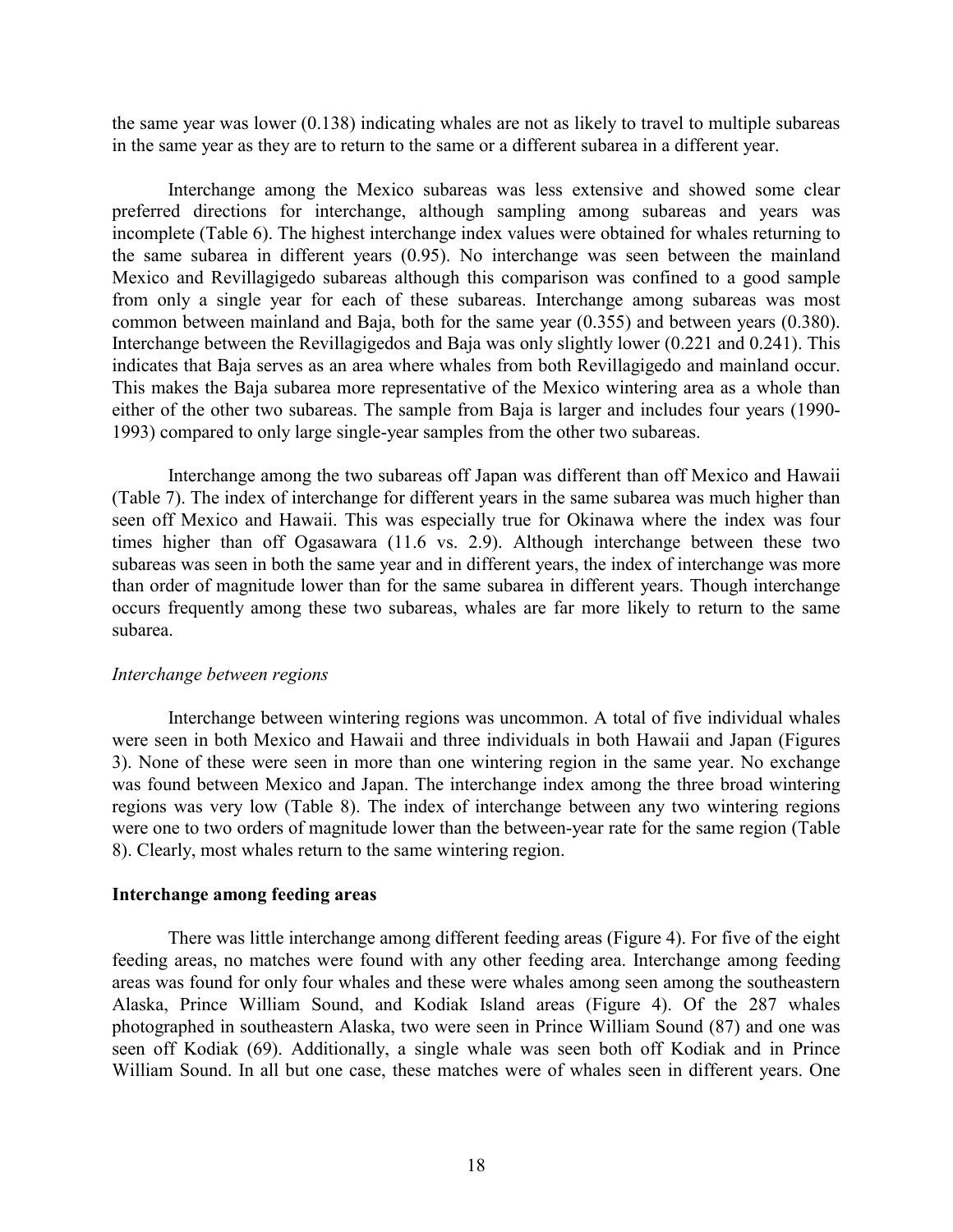the same year was lower (0.138) indicating whales are not as likely to travel to multiple subareas in the same year as they are to return to the same or a different subarea in a different year.

Interchange among the Mexico subareas was less extensive and showed some clear preferred directions for interchange, although sampling among subareas and years was incomplete (Table 6). The highest interchange index values were obtained for whales returning to the same subarea in different years (0.95). No interchange was seen between the mainland Mexico and Revillagigedo subareas although this comparison was confined to a good sample from only a single year for each of these subareas. Interchange among subareas was most common between mainland and Baja, both for the same year (0.355) and between years (0.380). Interchange between the Revillagigedos and Baja was only slightly lower (0.221 and 0.241). This indicates that Baja serves as an area where whales from both Revillagigedo and mainland occur. This makes the Baja subarea more representative of the Mexico wintering area as a whole than either of the other two subareas. The sample from Baja is larger and includes four years (1990- 1993) compared to only large single-year samples from the other two subareas.

Interchange among the two subareas off Japan was different than off Mexico and Hawaii (Table 7). The index of interchange for different years in the same subarea was much higher than seen off Mexico and Hawaii. This was especially true for Okinawa where the index was four times higher than off Ogasawara (11.6 vs. 2.9). Although interchange between these two subareas was seen in both the same year and in different years, the index of interchange was more than order of magnitude lower than for the same subarea in different years. Though interchange occurs frequently among these two subareas, whales are far more likely to return to the same subarea.

#### *Interchange between regions*

Interchange between wintering regions was uncommon. A total of five individual whales were seen in both Mexico and Hawaii and three individuals in both Hawaii and Japan (Figures 3). None of these were seen in more than one wintering region in the same year. No exchange was found between Mexico and Japan. The interchange index among the three broad wintering regions was very low (Table 8). The index of interchange between any two wintering regions were one to two orders of magnitude lower than the between-year rate for the same region (Table 8). Clearly, most whales return to the same wintering region.

## **Interchange among feeding areas**

There was little interchange among different feeding areas (Figure 4). For five of the eight feeding areas, no matches were found with any other feeding area. Interchange among feeding areas was found for only four whales and these were whales among seen among the southeastern Alaska, Prince William Sound, and Kodiak Island areas (Figure 4). Of the 287 whales photographed in southeastern Alaska, two were seen in Prince William Sound (87) and one was seen off Kodiak (69). Additionally, a single whale was seen both off Kodiak and in Prince William Sound. In all but one case, these matches were of whales seen in different years. One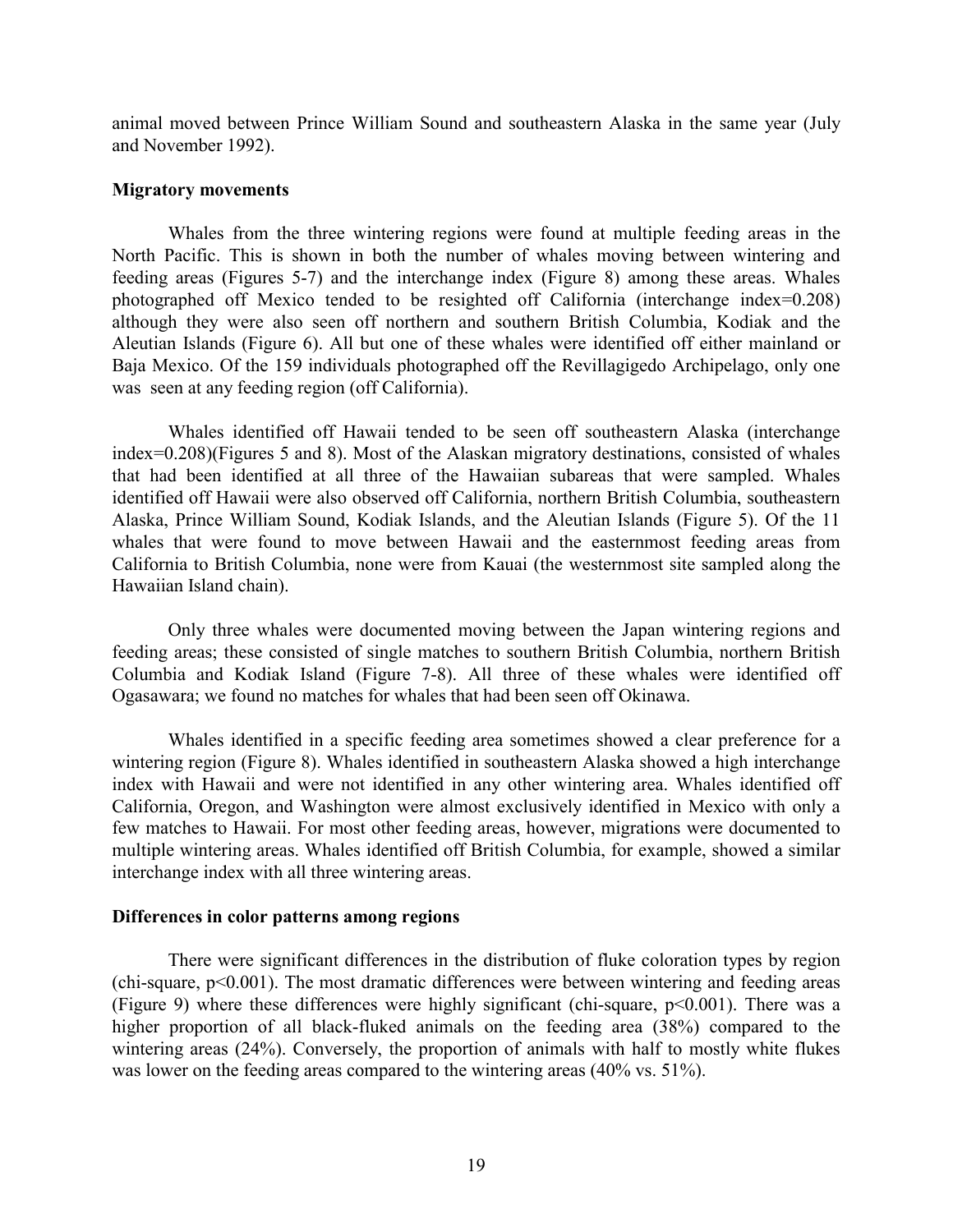animal moved between Prince William Sound and southeastern Alaska in the same year (July and November 1992).

### **Migratory movements**

Whales from the three wintering regions were found at multiple feeding areas in the North Pacific. This is shown in both the number of whales moving between wintering and feeding areas (Figures 5-7) and the interchange index (Figure 8) among these areas. Whales photographed off Mexico tended to be resighted off California (interchange index=0.208) although they were also seen off northern and southern British Columbia, Kodiak and the Aleutian Islands (Figure 6). All but one of these whales were identified off either mainland or Baja Mexico. Of the 159 individuals photographed off the Revillagigedo Archipelago, only one was seen at any feeding region (off California).

Whales identified off Hawaii tended to be seen off southeastern Alaska (interchange index=0.208)(Figures 5 and 8). Most of the Alaskan migratory destinations, consisted of whales that had been identified at all three of the Hawaiian subareas that were sampled. Whales identified off Hawaii were also observed off California, northern British Columbia, southeastern Alaska, Prince William Sound, Kodiak Islands, and the Aleutian Islands (Figure 5). Of the 11 whales that were found to move between Hawaii and the easternmost feeding areas from California to British Columbia, none were from Kauai (the westernmost site sampled along the Hawaiian Island chain).

Only three whales were documented moving between the Japan wintering regions and feeding areas; these consisted of single matches to southern British Columbia, northern British Columbia and Kodiak Island (Figure 7-8). All three of these whales were identified off Ogasawara; we found no matches for whales that had been seen off Okinawa.

Whales identified in a specific feeding area sometimes showed a clear preference for a wintering region (Figure 8). Whales identified in southeastern Alaska showed a high interchange index with Hawaii and were not identified in any other wintering area. Whales identified off California, Oregon, and Washington were almost exclusively identified in Mexico with only a few matches to Hawaii. For most other feeding areas, however, migrations were documented to multiple wintering areas. Whales identified off British Columbia, for example, showed a similar interchange index with all three wintering areas.

## **Differences in color patterns among regions**

There were significant differences in the distribution of fluke coloration types by region (chi-square, p<0.001). The most dramatic differences were between wintering and feeding areas (Figure 9) where these differences were highly significant (chi-square, p<0.001). There was a higher proportion of all black-fluked animals on the feeding area (38%) compared to the wintering areas (24%). Conversely, the proportion of animals with half to mostly white flukes was lower on the feeding areas compared to the wintering areas (40% vs. 51%).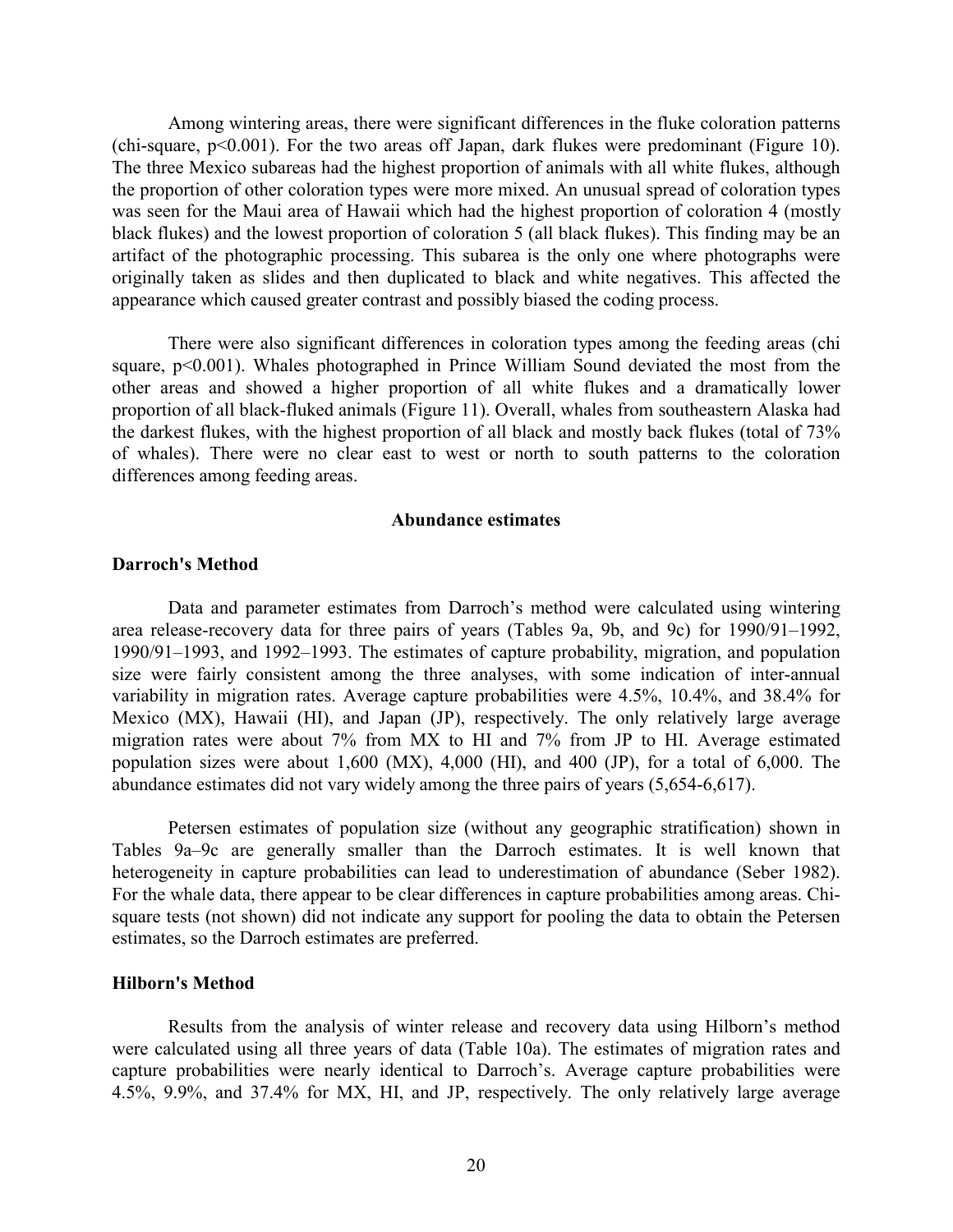Among wintering areas, there were significant differences in the fluke coloration patterns (chi-square, p<0.001). For the two areas off Japan, dark flukes were predominant (Figure 10). The three Mexico subareas had the highest proportion of animals with all white flukes, although the proportion of other coloration types were more mixed. An unusual spread of coloration types was seen for the Maui area of Hawaii which had the highest proportion of coloration 4 (mostly black flukes) and the lowest proportion of coloration 5 (all black flukes). This finding may be an artifact of the photographic processing. This subarea is the only one where photographs were originally taken as slides and then duplicated to black and white negatives. This affected the appearance which caused greater contrast and possibly biased the coding process.

There were also significant differences in coloration types among the feeding areas (chi square, p<0.001). Whales photographed in Prince William Sound deviated the most from the other areas and showed a higher proportion of all white flukes and a dramatically lower proportion of all black-fluked animals (Figure 11). Overall, whales from southeastern Alaska had the darkest flukes, with the highest proportion of all black and mostly back flukes (total of 73% of whales). There were no clear east to west or north to south patterns to the coloration differences among feeding areas.

#### **Abundance estimates**

## **Darroch's Method**

Data and parameter estimates from Darroch's method were calculated using wintering area release-recovery data for three pairs of years (Tables 9a, 9b, and 9c) for 1990/91–1992, 1990/91–1993, and 1992–1993. The estimates of capture probability, migration, and population size were fairly consistent among the three analyses, with some indication of inter-annual variability in migration rates. Average capture probabilities were 4.5%, 10.4%, and 38.4% for Mexico (MX), Hawaii (HI), and Japan (JP), respectively. The only relatively large average migration rates were about 7% from MX to HI and 7% from JP to HI. Average estimated population sizes were about 1,600 (MX), 4,000 (HI), and 400 (JP), for a total of 6,000. The abundance estimates did not vary widely among the three pairs of years (5,654-6,617).

Petersen estimates of population size (without any geographic stratification) shown in Tables 9a–9c are generally smaller than the Darroch estimates. It is well known that heterogeneity in capture probabilities can lead to underestimation of abundance (Seber 1982). For the whale data, there appear to be clear differences in capture probabilities among areas. Chisquare tests (not shown) did not indicate any support for pooling the data to obtain the Petersen estimates, so the Darroch estimates are preferred.

### **Hilborn's Method**

Results from the analysis of winter release and recovery data using Hilborn's method were calculated using all three years of data (Table 10a). The estimates of migration rates and capture probabilities were nearly identical to Darroch's. Average capture probabilities were 4.5%, 9.9%, and 37.4% for MX, HI, and JP, respectively. The only relatively large average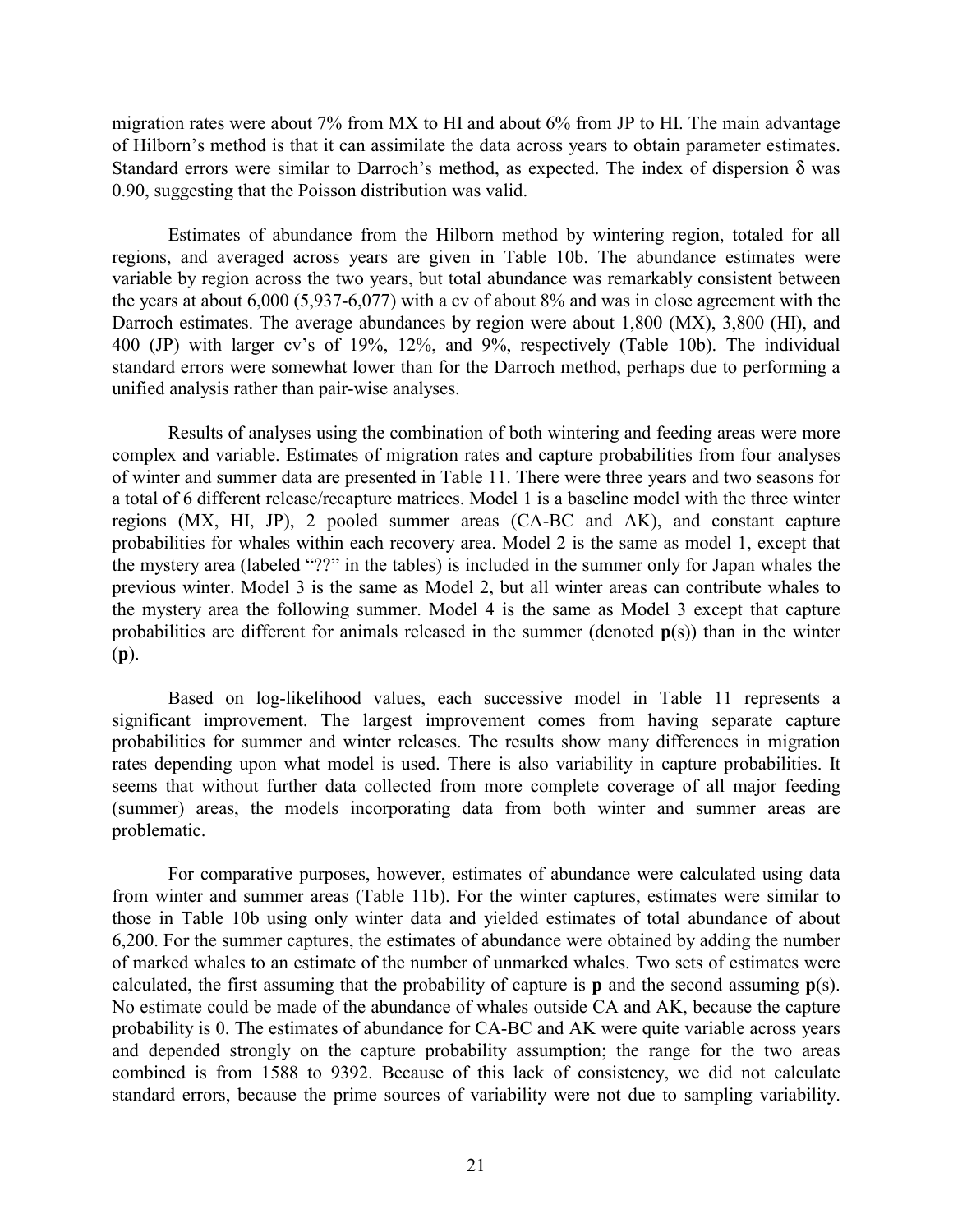migration rates were about 7% from MX to HI and about 6% from JP to HI. The main advantage of Hilborn's method is that it can assimilate the data across years to obtain parameter estimates. Standard errors were similar to Darroch's method, as expected. The index of dispersion δ was 0.90, suggesting that the Poisson distribution was valid.

Estimates of abundance from the Hilborn method by wintering region, totaled for all regions, and averaged across years are given in Table 10b. The abundance estimates were variable by region across the two years, but total abundance was remarkably consistent between the years at about 6,000 (5,937-6,077) with a cv of about 8% and was in close agreement with the Darroch estimates. The average abundances by region were about 1,800 (MX), 3,800 (HI), and 400 (JP) with larger cv's of 19%, 12%, and 9%, respectively (Table 10b). The individual standard errors were somewhat lower than for the Darroch method, perhaps due to performing a unified analysis rather than pair-wise analyses.

Results of analyses using the combination of both wintering and feeding areas were more complex and variable. Estimates of migration rates and capture probabilities from four analyses of winter and summer data are presented in Table 11. There were three years and two seasons for a total of 6 different release/recapture matrices. Model 1 is a baseline model with the three winter regions (MX, HI, JP), 2 pooled summer areas (CA-BC and AK), and constant capture probabilities for whales within each recovery area. Model 2 is the same as model 1, except that the mystery area (labeled "??" in the tables) is included in the summer only for Japan whales the previous winter. Model 3 is the same as Model 2, but all winter areas can contribute whales to the mystery area the following summer. Model 4 is the same as Model 3 except that capture probabilities are different for animals released in the summer (denoted **p**(s)) than in the winter (**p**).

Based on log-likelihood values, each successive model in Table 11 represents a significant improvement. The largest improvement comes from having separate capture probabilities for summer and winter releases. The results show many differences in migration rates depending upon what model is used. There is also variability in capture probabilities. It seems that without further data collected from more complete coverage of all major feeding (summer) areas, the models incorporating data from both winter and summer areas are problematic.

For comparative purposes, however, estimates of abundance were calculated using data from winter and summer areas (Table 11b). For the winter captures, estimates were similar to those in Table 10b using only winter data and yielded estimates of total abundance of about 6,200. For the summer captures, the estimates of abundance were obtained by adding the number of marked whales to an estimate of the number of unmarked whales. Two sets of estimates were calculated, the first assuming that the probability of capture is **p** and the second assuming **p**(s). No estimate could be made of the abundance of whales outside CA and AK, because the capture probability is 0. The estimates of abundance for CA-BC and AK were quite variable across years and depended strongly on the capture probability assumption; the range for the two areas combined is from 1588 to 9392. Because of this lack of consistency, we did not calculate standard errors, because the prime sources of variability were not due to sampling variability.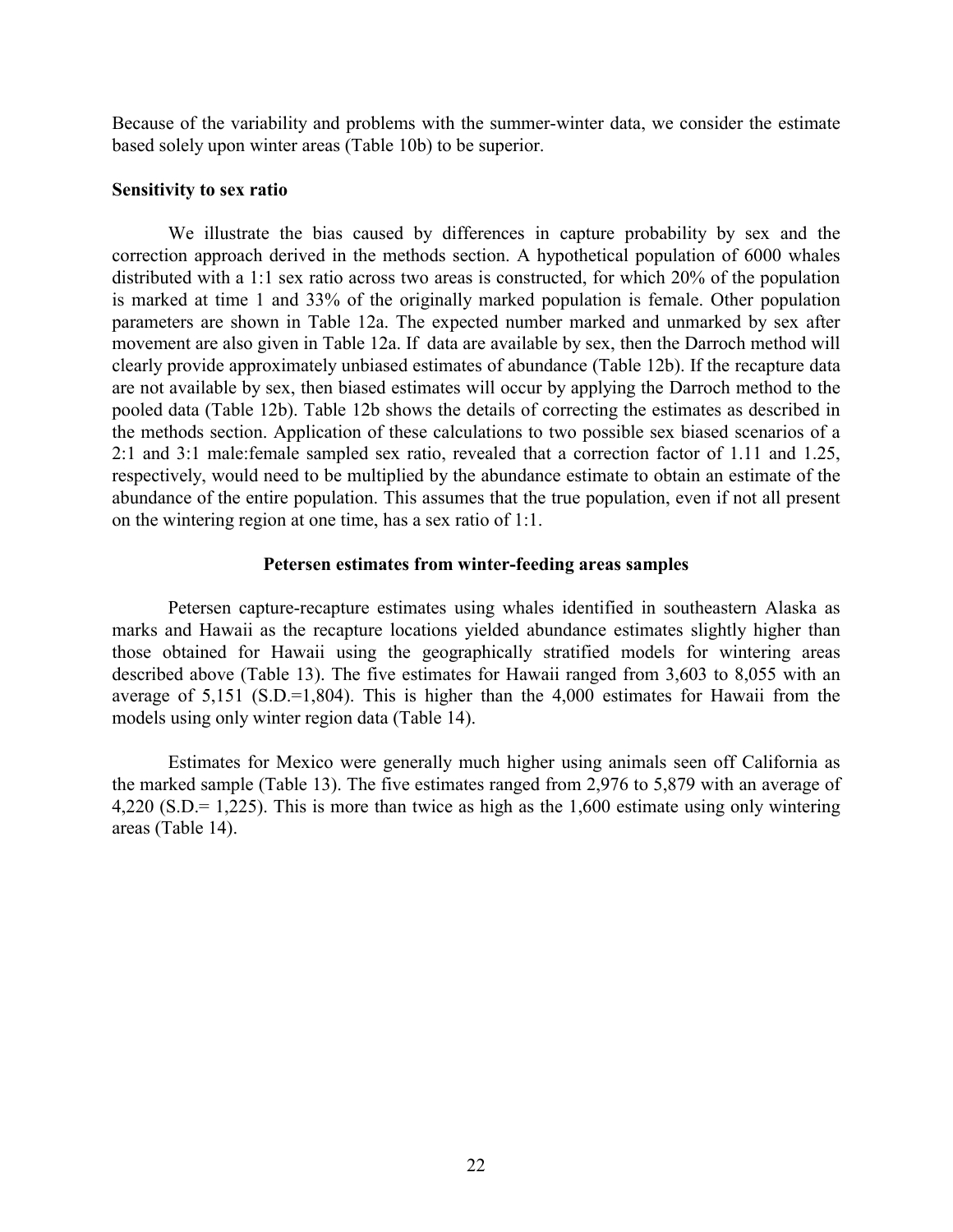Because of the variability and problems with the summer-winter data, we consider the estimate based solely upon winter areas (Table 10b) to be superior.

### **Sensitivity to sex ratio**

We illustrate the bias caused by differences in capture probability by sex and the correction approach derived in the methods section. A hypothetical population of 6000 whales distributed with a 1:1 sex ratio across two areas is constructed, for which 20% of the population is marked at time 1 and 33% of the originally marked population is female. Other population parameters are shown in Table 12a. The expected number marked and unmarked by sex after movement are also given in Table 12a. If data are available by sex, then the Darroch method will clearly provide approximately unbiased estimates of abundance (Table 12b). If the recapture data are not available by sex, then biased estimates will occur by applying the Darroch method to the pooled data (Table 12b). Table 12b shows the details of correcting the estimates as described in the methods section. Application of these calculations to two possible sex biased scenarios of a 2:1 and 3:1 male:female sampled sex ratio, revealed that a correction factor of 1.11 and 1.25, respectively, would need to be multiplied by the abundance estimate to obtain an estimate of the abundance of the entire population. This assumes that the true population, even if not all present on the wintering region at one time, has a sex ratio of 1:1.

## **Petersen estimates from winter-feeding areas samples**

Petersen capture-recapture estimates using whales identified in southeastern Alaska as marks and Hawaii as the recapture locations yielded abundance estimates slightly higher than those obtained for Hawaii using the geographically stratified models for wintering areas described above (Table 13). The five estimates for Hawaii ranged from 3,603 to 8,055 with an average of  $5,151$  (S.D.=1,804). This is higher than the  $4,000$  estimates for Hawaii from the models using only winter region data (Table 14).

Estimates for Mexico were generally much higher using animals seen off California as the marked sample (Table 13). The five estimates ranged from 2,976 to 5,879 with an average of 4,220 (S.D.= 1,225). This is more than twice as high as the 1,600 estimate using only wintering areas (Table 14).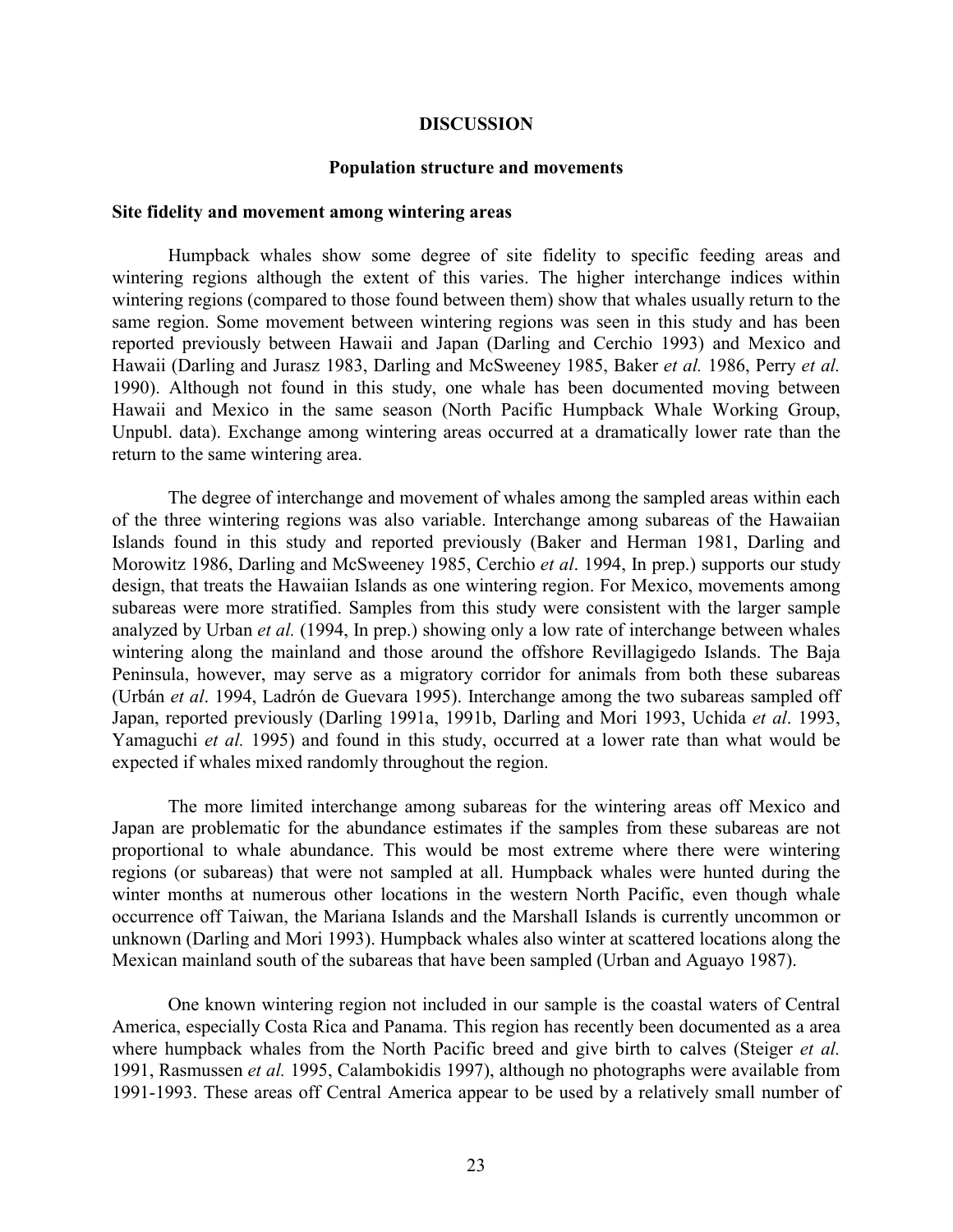#### **DISCUSSION**

#### **Population structure and movements**

## **Site fidelity and movement among wintering areas**

Humpback whales show some degree of site fidelity to specific feeding areas and wintering regions although the extent of this varies. The higher interchange indices within wintering regions (compared to those found between them) show that whales usually return to the same region. Some movement between wintering regions was seen in this study and has been reported previously between Hawaii and Japan (Darling and Cerchio 1993) and Mexico and Hawaii (Darling and Jurasz 1983, Darling and McSweeney 1985, Baker *et al.* 1986, Perry *et al.* 1990). Although not found in this study, one whale has been documented moving between Hawaii and Mexico in the same season (North Pacific Humpback Whale Working Group, Unpubl. data). Exchange among wintering areas occurred at a dramatically lower rate than the return to the same wintering area.

The degree of interchange and movement of whales among the sampled areas within each of the three wintering regions was also variable. Interchange among subareas of the Hawaiian Islands found in this study and reported previously (Baker and Herman 1981, Darling and Morowitz 1986, Darling and McSweeney 1985, Cerchio *et al*. 1994, In prep.) supports our study design, that treats the Hawaiian Islands as one wintering region. For Mexico, movements among subareas were more stratified. Samples from this study were consistent with the larger sample analyzed by Urban *et al.* (1994, In prep.) showing only a low rate of interchange between whales wintering along the mainland and those around the offshore Revillagigedo Islands. The Baja Peninsula, however, may serve as a migratory corridor for animals from both these subareas (Urbán *et al*. 1994, Ladrón de Guevara 1995). Interchange among the two subareas sampled off Japan, reported previously (Darling 1991a, 1991b, Darling and Mori 1993, Uchida *et al*. 1993, Yamaguchi *et al.* 1995) and found in this study, occurred at a lower rate than what would be expected if whales mixed randomly throughout the region.

The more limited interchange among subareas for the wintering areas off Mexico and Japan are problematic for the abundance estimates if the samples from these subareas are not proportional to whale abundance. This would be most extreme where there were wintering regions (or subareas) that were not sampled at all. Humpback whales were hunted during the winter months at numerous other locations in the western North Pacific, even though whale occurrence off Taiwan, the Mariana Islands and the Marshall Islands is currently uncommon or unknown (Darling and Mori 1993). Humpback whales also winter at scattered locations along the Mexican mainland south of the subareas that have been sampled (Urban and Aguayo 1987).

One known wintering region not included in our sample is the coastal waters of Central America, especially Costa Rica and Panama. This region has recently been documented as a area where humpback whales from the North Pacific breed and give birth to calves (Steiger *et al.* 1991, Rasmussen *et al.* 1995, Calambokidis 1997), although no photographs were available from 1991-1993. These areas off Central America appear to be used by a relatively small number of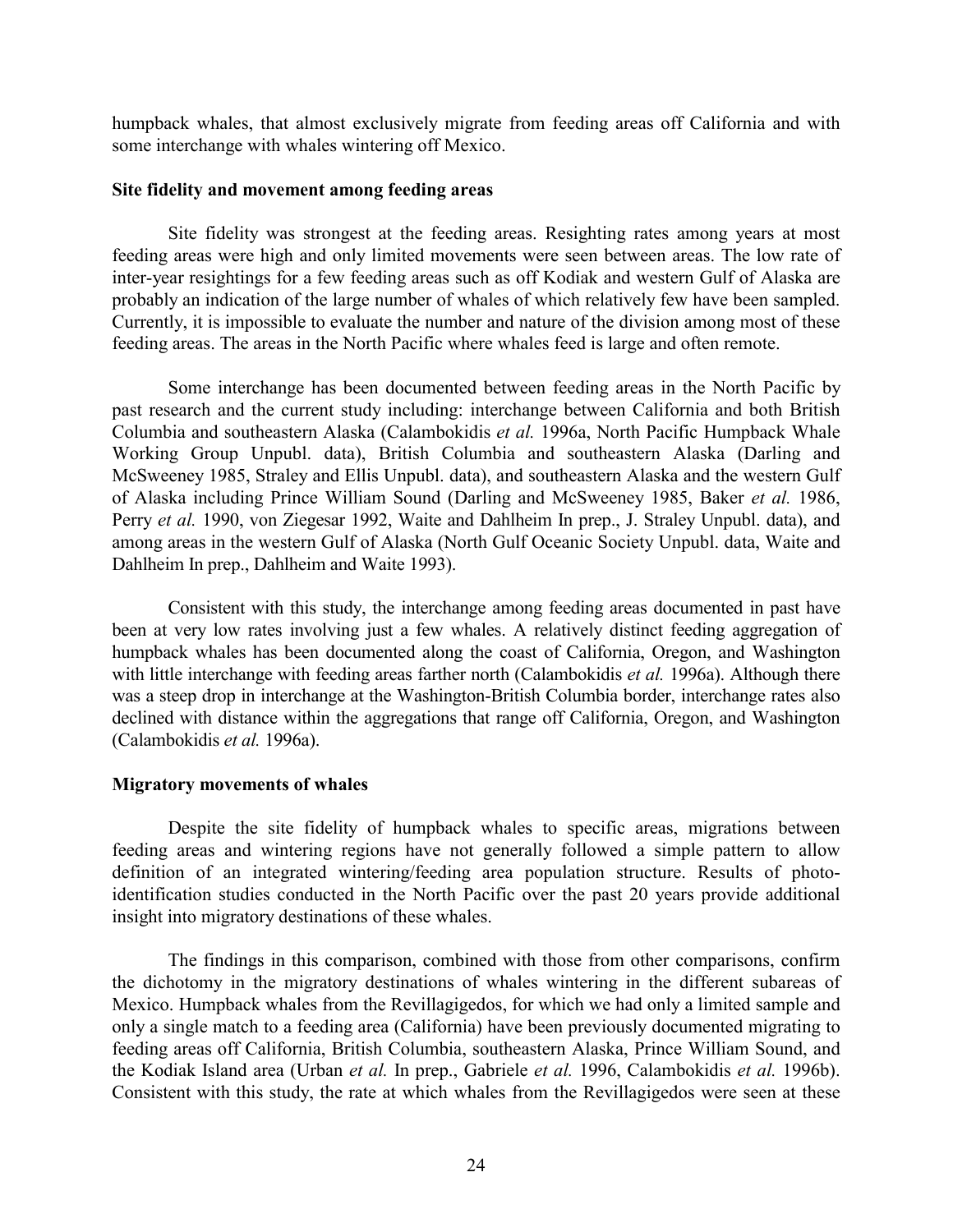humpback whales, that almost exclusively migrate from feeding areas off California and with some interchange with whales wintering off Mexico.

## **Site fidelity and movement among feeding areas**

Site fidelity was strongest at the feeding areas. Resighting rates among years at most feeding areas were high and only limited movements were seen between areas. The low rate of inter-year resightings for a few feeding areas such as off Kodiak and western Gulf of Alaska are probably an indication of the large number of whales of which relatively few have been sampled. Currently, it is impossible to evaluate the number and nature of the division among most of these feeding areas. The areas in the North Pacific where whales feed is large and often remote.

Some interchange has been documented between feeding areas in the North Pacific by past research and the current study including: interchange between California and both British Columbia and southeastern Alaska (Calambokidis *et al.* 1996a, North Pacific Humpback Whale Working Group Unpubl. data), British Columbia and southeastern Alaska (Darling and McSweeney 1985, Straley and Ellis Unpubl. data), and southeastern Alaska and the western Gulf of Alaska including Prince William Sound (Darling and McSweeney 1985, Baker *et al.* 1986, Perry *et al.* 1990, von Ziegesar 1992, Waite and Dahlheim In prep., J. Straley Unpubl. data), and among areas in the western Gulf of Alaska (North Gulf Oceanic Society Unpubl. data, Waite and Dahlheim In prep., Dahlheim and Waite 1993).

Consistent with this study, the interchange among feeding areas documented in past have been at very low rates involving just a few whales. A relatively distinct feeding aggregation of humpback whales has been documented along the coast of California, Oregon, and Washington with little interchange with feeding areas farther north (Calambokidis *et al.* 1996a). Although there was a steep drop in interchange at the Washington-British Columbia border, interchange rates also declined with distance within the aggregations that range off California, Oregon, and Washington (Calambokidis *et al.* 1996a).

## **Migratory movements of whales**

Despite the site fidelity of humpback whales to specific areas, migrations between feeding areas and wintering regions have not generally followed a simple pattern to allow definition of an integrated wintering/feeding area population structure. Results of photoidentification studies conducted in the North Pacific over the past 20 years provide additional insight into migratory destinations of these whales.

The findings in this comparison, combined with those from other comparisons, confirm the dichotomy in the migratory destinations of whales wintering in the different subareas of Mexico. Humpback whales from the Revillagigedos, for which we had only a limited sample and only a single match to a feeding area (California) have been previously documented migrating to feeding areas off California, British Columbia, southeastern Alaska, Prince William Sound, and the Kodiak Island area (Urban *et al.* In prep., Gabriele *et al.* 1996, Calambokidis *et al.* 1996b). Consistent with this study, the rate at which whales from the Revillagigedos were seen at these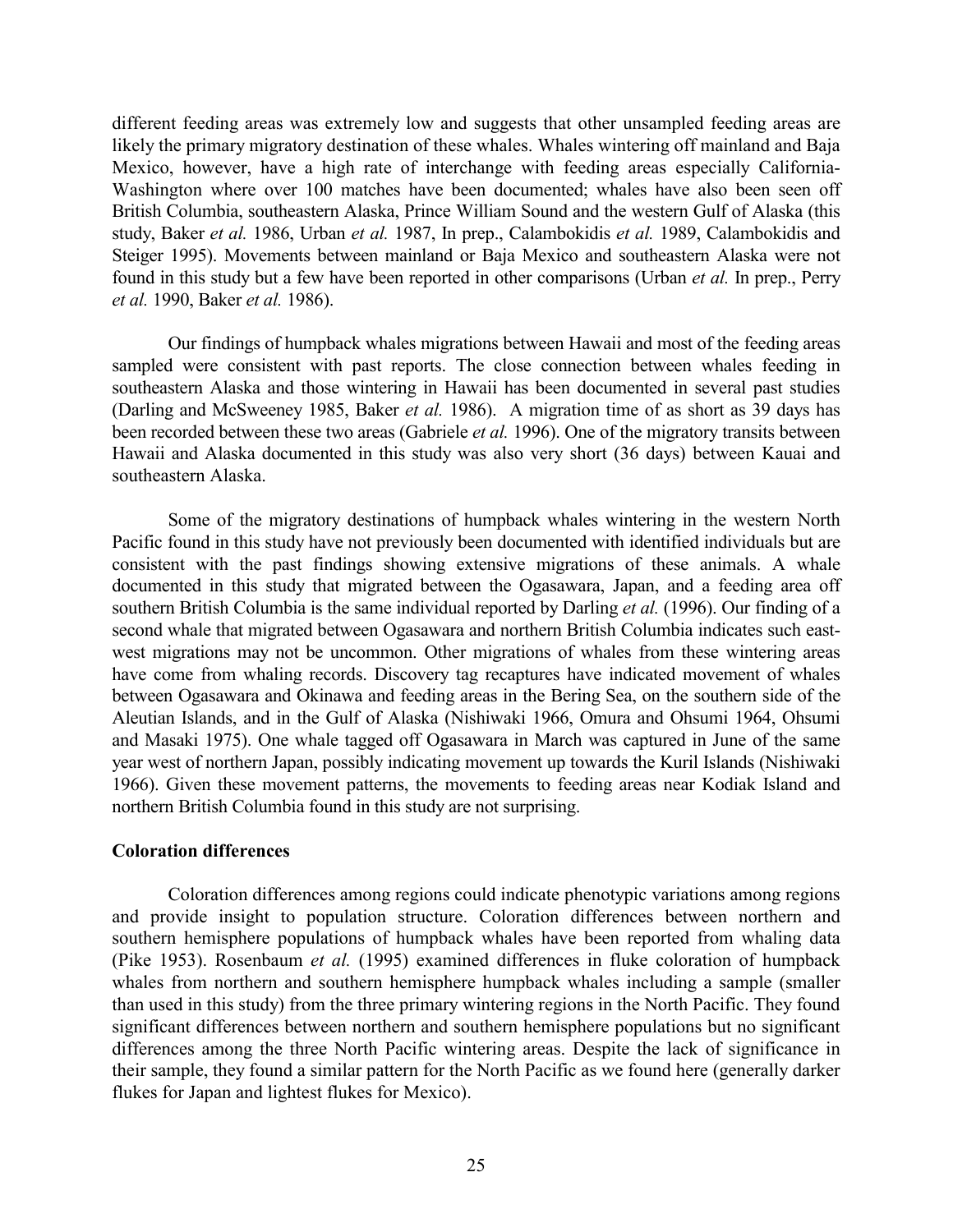different feeding areas was extremely low and suggests that other unsampled feeding areas are likely the primary migratory destination of these whales. Whales wintering off mainland and Baja Mexico, however, have a high rate of interchange with feeding areas especially California-Washington where over 100 matches have been documented; whales have also been seen off British Columbia, southeastern Alaska, Prince William Sound and the western Gulf of Alaska (this study, Baker *et al.* 1986, Urban *et al.* 1987, In prep., Calambokidis *et al.* 1989, Calambokidis and Steiger 1995). Movements between mainland or Baja Mexico and southeastern Alaska were not found in this study but a few have been reported in other comparisons (Urban *et al.* In prep., Perry *et al.* 1990, Baker *et al.* 1986).

Our findings of humpback whales migrations between Hawaii and most of the feeding areas sampled were consistent with past reports. The close connection between whales feeding in southeastern Alaska and those wintering in Hawaii has been documented in several past studies (Darling and McSweeney 1985, Baker *et al.* 1986). A migration time of as short as 39 days has been recorded between these two areas (Gabriele *et al.* 1996). One of the migratory transits between Hawaii and Alaska documented in this study was also very short (36 days) between Kauai and southeastern Alaska.

Some of the migratory destinations of humpback whales wintering in the western North Pacific found in this study have not previously been documented with identified individuals but are consistent with the past findings showing extensive migrations of these animals. A whale documented in this study that migrated between the Ogasawara, Japan, and a feeding area off southern British Columbia is the same individual reported by Darling *et al.* (1996). Our finding of a second whale that migrated between Ogasawara and northern British Columbia indicates such eastwest migrations may not be uncommon. Other migrations of whales from these wintering areas have come from whaling records. Discovery tag recaptures have indicated movement of whales between Ogasawara and Okinawa and feeding areas in the Bering Sea, on the southern side of the Aleutian Islands, and in the Gulf of Alaska (Nishiwaki 1966, Omura and Ohsumi 1964, Ohsumi and Masaki 1975). One whale tagged off Ogasawara in March was captured in June of the same year west of northern Japan, possibly indicating movement up towards the Kuril Islands (Nishiwaki 1966). Given these movement patterns, the movements to feeding areas near Kodiak Island and northern British Columbia found in this study are not surprising.

## **Coloration differences**

Coloration differences among regions could indicate phenotypic variations among regions and provide insight to population structure. Coloration differences between northern and southern hemisphere populations of humpback whales have been reported from whaling data (Pike 1953). Rosenbaum *et al.* (1995) examined differences in fluke coloration of humpback whales from northern and southern hemisphere humpback whales including a sample (smaller than used in this study) from the three primary wintering regions in the North Pacific. They found significant differences between northern and southern hemisphere populations but no significant differences among the three North Pacific wintering areas. Despite the lack of significance in their sample, they found a similar pattern for the North Pacific as we found here (generally darker flukes for Japan and lightest flukes for Mexico).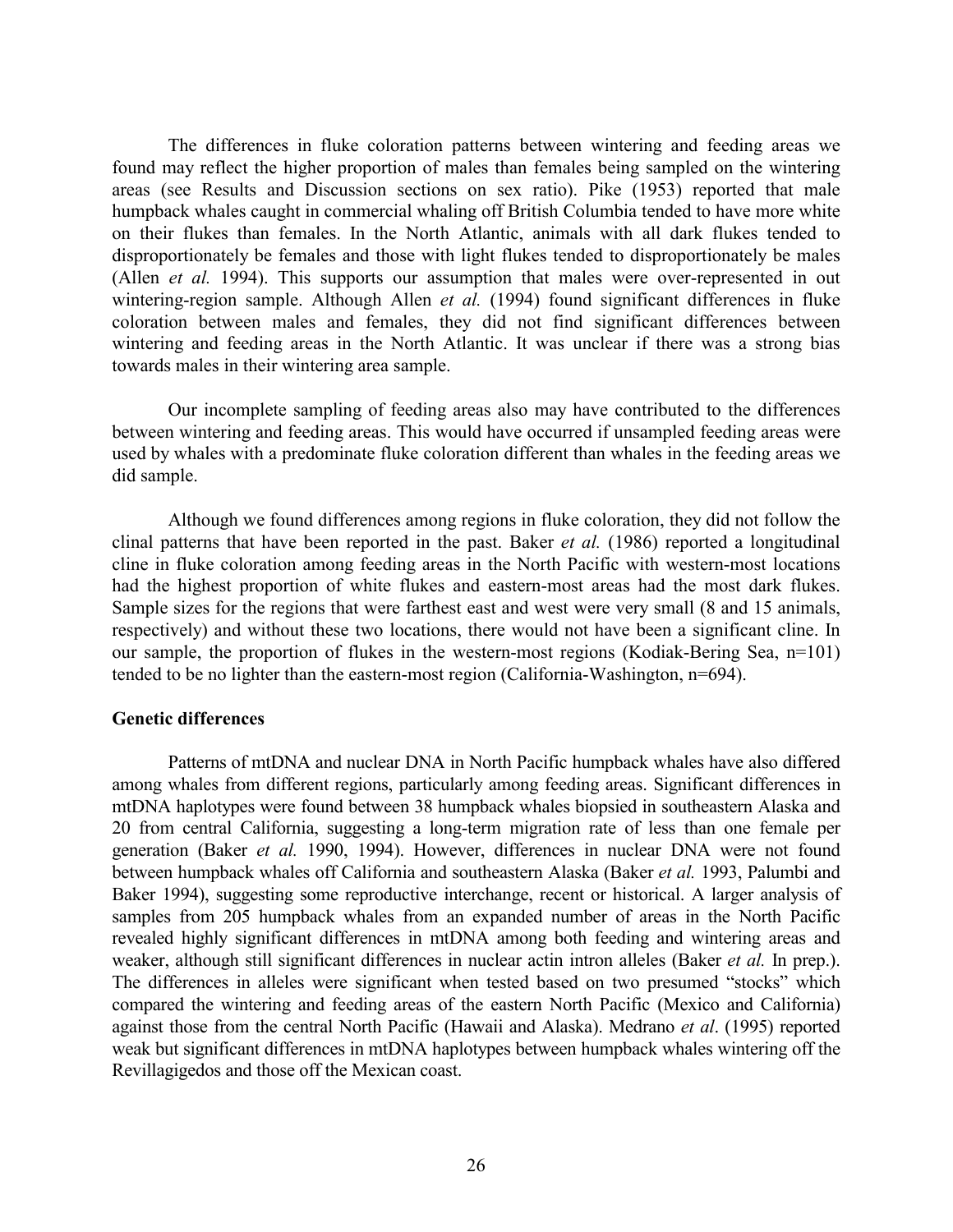The differences in fluke coloration patterns between wintering and feeding areas we found may reflect the higher proportion of males than females being sampled on the wintering areas (see Results and Discussion sections on sex ratio). Pike (1953) reported that male humpback whales caught in commercial whaling off British Columbia tended to have more white on their flukes than females. In the North Atlantic, animals with all dark flukes tended to disproportionately be females and those with light flukes tended to disproportionately be males (Allen *et al.* 1994). This supports our assumption that males were over-represented in out wintering-region sample. Although Allen *et al.* (1994) found significant differences in fluke coloration between males and females, they did not find significant differences between wintering and feeding areas in the North Atlantic. It was unclear if there was a strong bias towards males in their wintering area sample.

Our incomplete sampling of feeding areas also may have contributed to the differences between wintering and feeding areas. This would have occurred if unsampled feeding areas were used by whales with a predominate fluke coloration different than whales in the feeding areas we did sample.

Although we found differences among regions in fluke coloration, they did not follow the clinal patterns that have been reported in the past. Baker *et al.* (1986) reported a longitudinal cline in fluke coloration among feeding areas in the North Pacific with western-most locations had the highest proportion of white flukes and eastern-most areas had the most dark flukes. Sample sizes for the regions that were farthest east and west were very small (8 and 15 animals, respectively) and without these two locations, there would not have been a significant cline. In our sample, the proportion of flukes in the western-most regions (Kodiak-Bering Sea, n=101) tended to be no lighter than the eastern-most region (California-Washington, n=694).

## **Genetic differences**

Patterns of mtDNA and nuclear DNA in North Pacific humpback whales have also differed among whales from different regions, particularly among feeding areas. Significant differences in mtDNA haplotypes were found between 38 humpback whales biopsied in southeastern Alaska and 20 from central California, suggesting a long-term migration rate of less than one female per generation (Baker *et al.* 1990, 1994). However, differences in nuclear DNA were not found between humpback whales off California and southeastern Alaska (Baker *et al.* 1993, Palumbi and Baker 1994), suggesting some reproductive interchange, recent or historical. A larger analysis of samples from 205 humpback whales from an expanded number of areas in the North Pacific revealed highly significant differences in mtDNA among both feeding and wintering areas and weaker, although still significant differences in nuclear actin intron alleles (Baker *et al.* In prep.). The differences in alleles were significant when tested based on two presumed "stocks" which compared the wintering and feeding areas of the eastern North Pacific (Mexico and California) against those from the central North Pacific (Hawaii and Alaska). Medrano *et al*. (1995) reported weak but significant differences in mtDNA haplotypes between humpback whales wintering off the Revillagigedos and those off the Mexican coast.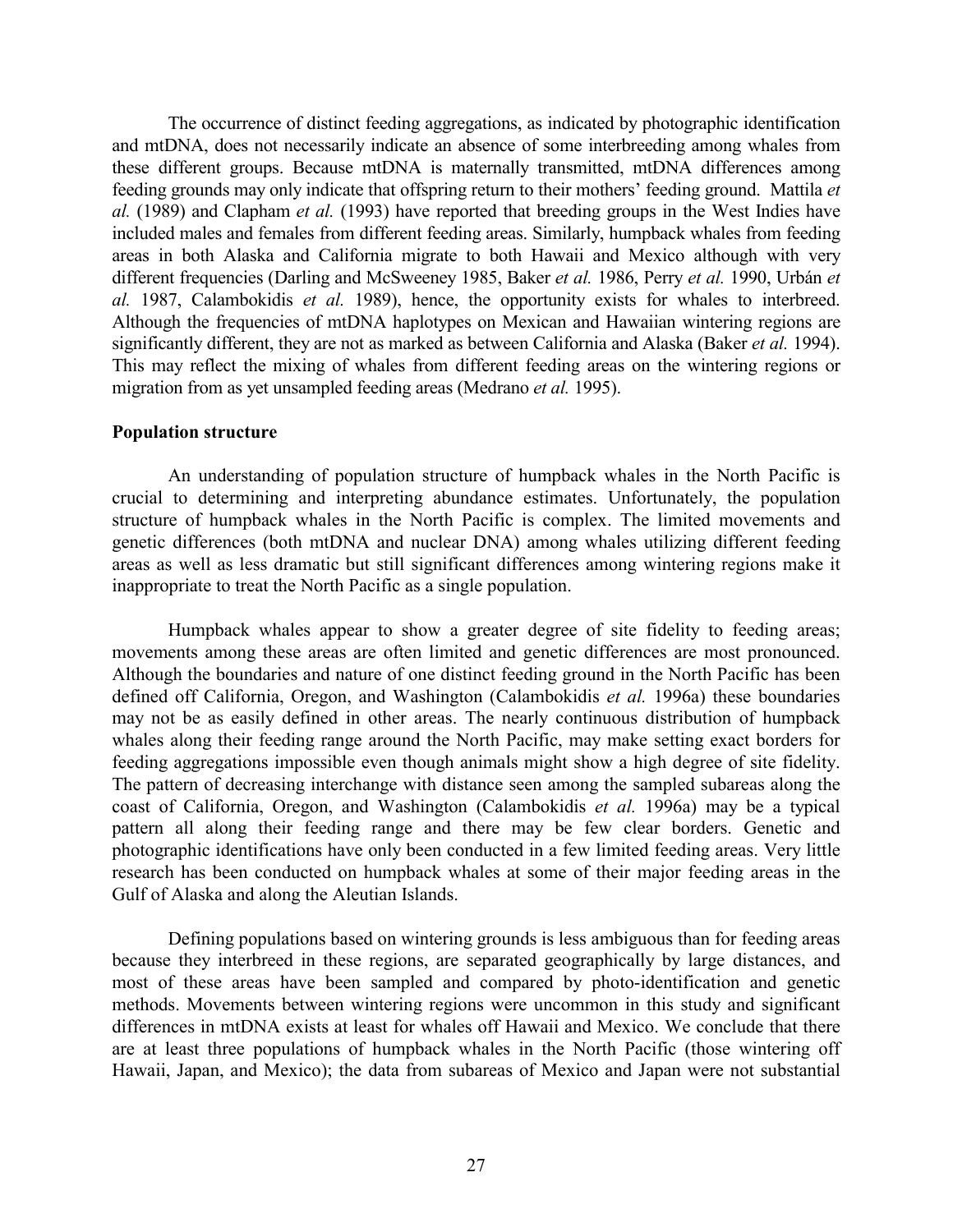The occurrence of distinct feeding aggregations, as indicated by photographic identification and mtDNA, does not necessarily indicate an absence of some interbreeding among whales from these different groups. Because mtDNA is maternally transmitted, mtDNA differences among feeding grounds may only indicate that offspring return to their mothers' feeding ground. Mattila *et al.* (1989) and Clapham *et al.* (1993) have reported that breeding groups in the West Indies have included males and females from different feeding areas. Similarly, humpback whales from feeding areas in both Alaska and California migrate to both Hawaii and Mexico although with very different frequencies (Darling and McSweeney 1985, Baker *et al.* 1986, Perry *et al.* 1990, Urbán *et al.* 1987, Calambokidis *et al.* 1989), hence, the opportunity exists for whales to interbreed. Although the frequencies of mtDNA haplotypes on Mexican and Hawaiian wintering regions are significantly different, they are not as marked as between California and Alaska (Baker *et al.* 1994). This may reflect the mixing of whales from different feeding areas on the wintering regions or migration from as yet unsampled feeding areas (Medrano *et al.* 1995).

## **Population structure**

An understanding of population structure of humpback whales in the North Pacific is crucial to determining and interpreting abundance estimates. Unfortunately, the population structure of humpback whales in the North Pacific is complex. The limited movements and genetic differences (both mtDNA and nuclear DNA) among whales utilizing different feeding areas as well as less dramatic but still significant differences among wintering regions make it inappropriate to treat the North Pacific as a single population.

Humpback whales appear to show a greater degree of site fidelity to feeding areas; movements among these areas are often limited and genetic differences are most pronounced. Although the boundaries and nature of one distinct feeding ground in the North Pacific has been defined off California, Oregon, and Washington (Calambokidis *et al.* 1996a) these boundaries may not be as easily defined in other areas. The nearly continuous distribution of humpback whales along their feeding range around the North Pacific, may make setting exact borders for feeding aggregations impossible even though animals might show a high degree of site fidelity. The pattern of decreasing interchange with distance seen among the sampled subareas along the coast of California, Oregon, and Washington (Calambokidis *et al.* 1996a) may be a typical pattern all along their feeding range and there may be few clear borders. Genetic and photographic identifications have only been conducted in a few limited feeding areas. Very little research has been conducted on humpback whales at some of their major feeding areas in the Gulf of Alaska and along the Aleutian Islands.

Defining populations based on wintering grounds is less ambiguous than for feeding areas because they interbreed in these regions, are separated geographically by large distances, and most of these areas have been sampled and compared by photo-identification and genetic methods. Movements between wintering regions were uncommon in this study and significant differences in mtDNA exists at least for whales off Hawaii and Mexico. We conclude that there are at least three populations of humpback whales in the North Pacific (those wintering off Hawaii, Japan, and Mexico); the data from subareas of Mexico and Japan were not substantial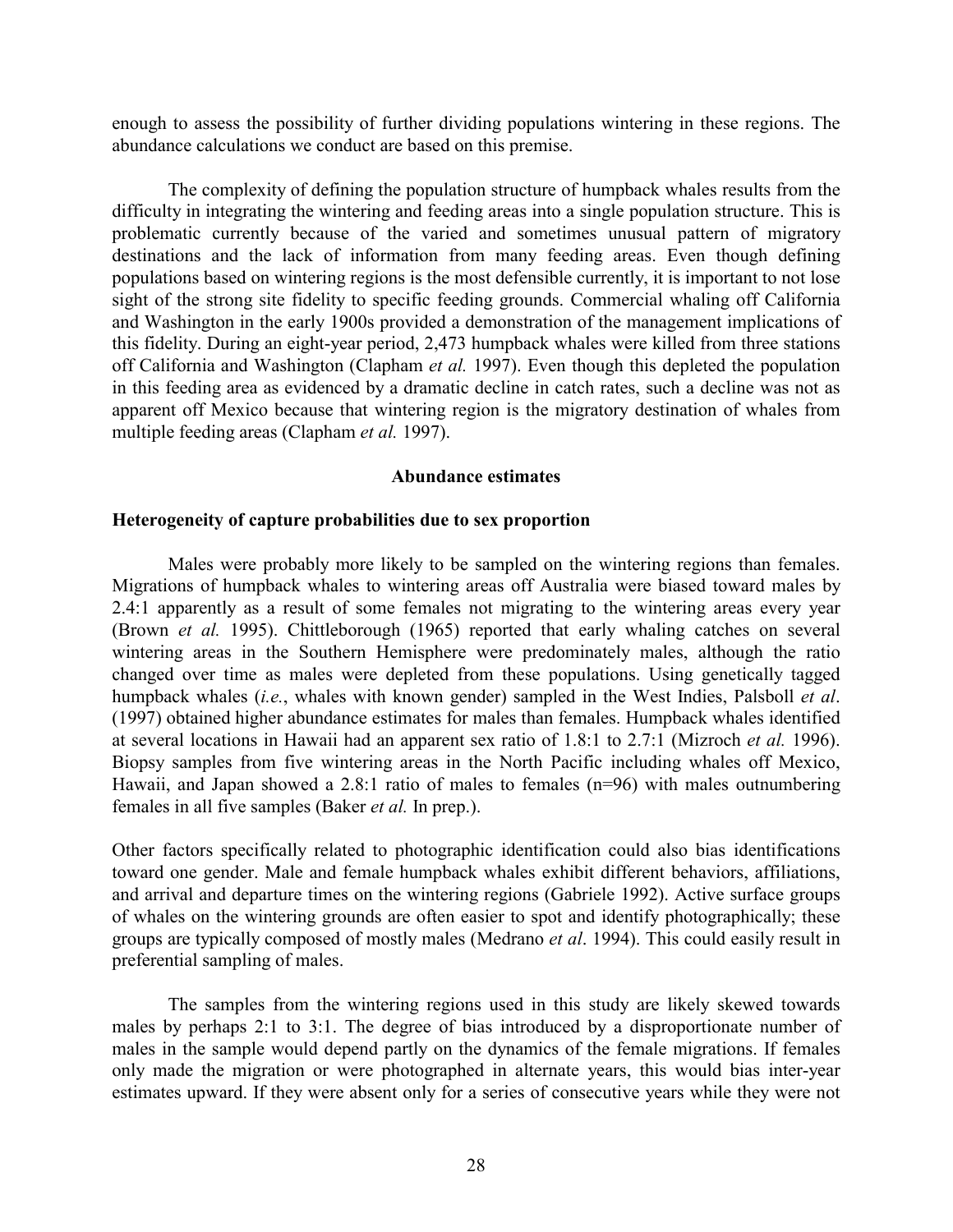enough to assess the possibility of further dividing populations wintering in these regions. The abundance calculations we conduct are based on this premise.

The complexity of defining the population structure of humpback whales results from the difficulty in integrating the wintering and feeding areas into a single population structure. This is problematic currently because of the varied and sometimes unusual pattern of migratory destinations and the lack of information from many feeding areas. Even though defining populations based on wintering regions is the most defensible currently, it is important to not lose sight of the strong site fidelity to specific feeding grounds. Commercial whaling off California and Washington in the early 1900s provided a demonstration of the management implications of this fidelity. During an eight-year period, 2,473 humpback whales were killed from three stations off California and Washington (Clapham *et al.* 1997). Even though this depleted the population in this feeding area as evidenced by a dramatic decline in catch rates, such a decline was not as apparent off Mexico because that wintering region is the migratory destination of whales from multiple feeding areas (Clapham *et al.* 1997).

#### **Abundance estimates**

## **Heterogeneity of capture probabilities due to sex proportion**

Males were probably more likely to be sampled on the wintering regions than females. Migrations of humpback whales to wintering areas off Australia were biased toward males by 2.4:1 apparently as a result of some females not migrating to the wintering areas every year (Brown *et al.* 1995). Chittleborough (1965) reported that early whaling catches on several wintering areas in the Southern Hemisphere were predominately males, although the ratio changed over time as males were depleted from these populations. Using genetically tagged humpback whales (*i.e.*, whales with known gender) sampled in the West Indies, Palsboll *et al*. (1997) obtained higher abundance estimates for males than females. Humpback whales identified at several locations in Hawaii had an apparent sex ratio of 1.8:1 to 2.7:1 (Mizroch *et al.* 1996). Biopsy samples from five wintering areas in the North Pacific including whales off Mexico, Hawaii, and Japan showed a 2.8:1 ratio of males to females (n=96) with males outnumbering females in all five samples (Baker *et al.* In prep.).

Other factors specifically related to photographic identification could also bias identifications toward one gender. Male and female humpback whales exhibit different behaviors, affiliations, and arrival and departure times on the wintering regions (Gabriele 1992). Active surface groups of whales on the wintering grounds are often easier to spot and identify photographically; these groups are typically composed of mostly males (Medrano *et al*. 1994). This could easily result in preferential sampling of males.

The samples from the wintering regions used in this study are likely skewed towards males by perhaps 2:1 to 3:1. The degree of bias introduced by a disproportionate number of males in the sample would depend partly on the dynamics of the female migrations. If females only made the migration or were photographed in alternate years, this would bias inter-year estimates upward. If they were absent only for a series of consecutive years while they were not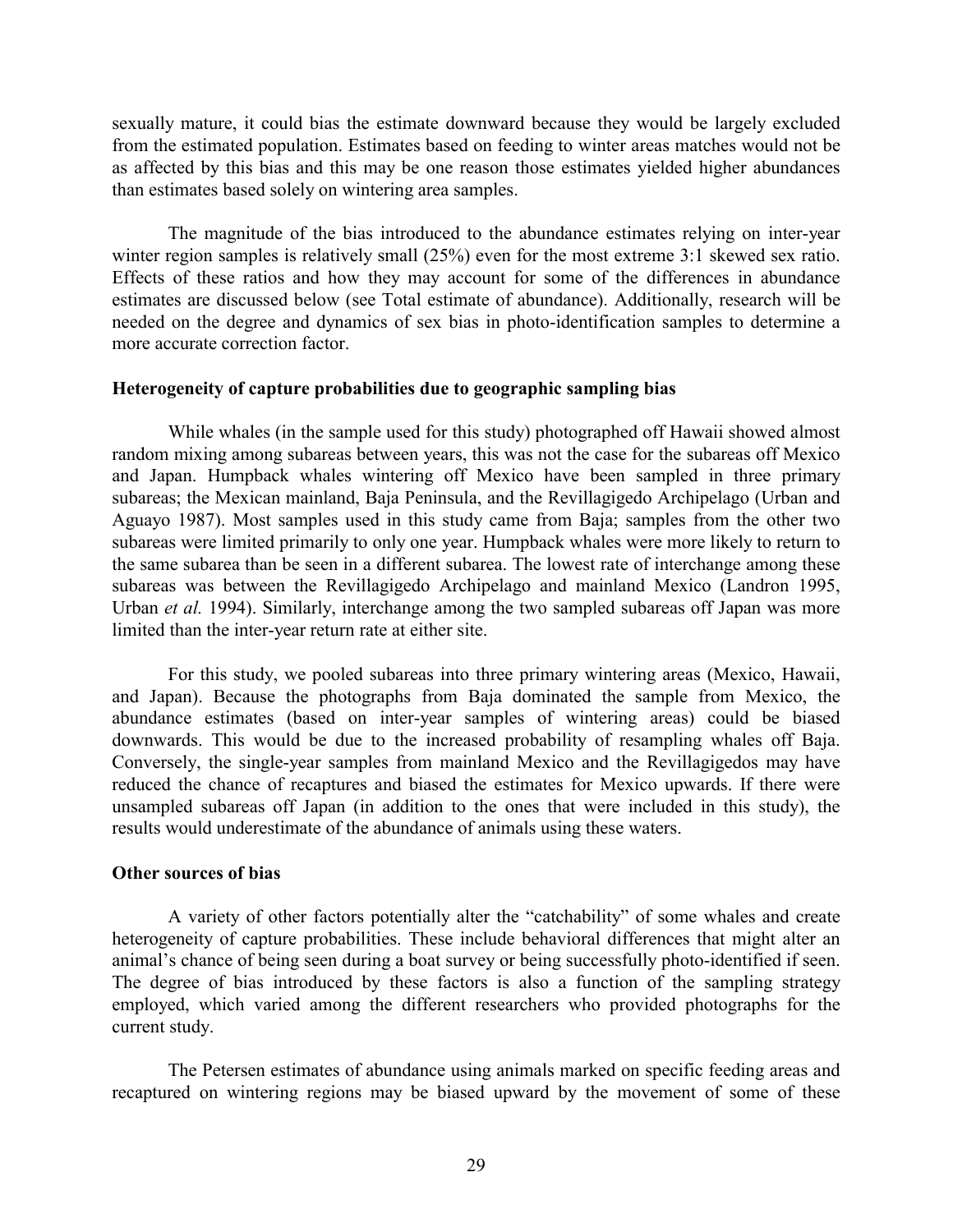sexually mature, it could bias the estimate downward because they would be largely excluded from the estimated population. Estimates based on feeding to winter areas matches would not be as affected by this bias and this may be one reason those estimates yielded higher abundances than estimates based solely on wintering area samples.

The magnitude of the bias introduced to the abundance estimates relying on inter-year winter region samples is relatively small  $(25%)$  even for the most extreme 3:1 skewed sex ratio. Effects of these ratios and how they may account for some of the differences in abundance estimates are discussed below (see Total estimate of abundance). Additionally, research will be needed on the degree and dynamics of sex bias in photo-identification samples to determine a more accurate correction factor.

## **Heterogeneity of capture probabilities due to geographic sampling bias**

While whales (in the sample used for this study) photographed off Hawaii showed almost random mixing among subareas between years, this was not the case for the subareas off Mexico and Japan. Humpback whales wintering off Mexico have been sampled in three primary subareas; the Mexican mainland, Baja Peninsula, and the Revillagigedo Archipelago (Urban and Aguayo 1987). Most samples used in this study came from Baja; samples from the other two subareas were limited primarily to only one year. Humpback whales were more likely to return to the same subarea than be seen in a different subarea. The lowest rate of interchange among these subareas was between the Revillagigedo Archipelago and mainland Mexico (Landron 1995, Urban *et al.* 1994). Similarly, interchange among the two sampled subareas off Japan was more limited than the inter-year return rate at either site.

For this study, we pooled subareas into three primary wintering areas (Mexico, Hawaii, and Japan). Because the photographs from Baja dominated the sample from Mexico, the abundance estimates (based on inter-year samples of wintering areas) could be biased downwards. This would be due to the increased probability of resampling whales off Baja. Conversely, the single-year samples from mainland Mexico and the Revillagigedos may have reduced the chance of recaptures and biased the estimates for Mexico upwards. If there were unsampled subareas off Japan (in addition to the ones that were included in this study), the results would underestimate of the abundance of animals using these waters.

## **Other sources of bias**

A variety of other factors potentially alter the "catchability" of some whales and create heterogeneity of capture probabilities. These include behavioral differences that might alter an animal's chance of being seen during a boat survey or being successfully photo-identified if seen. The degree of bias introduced by these factors is also a function of the sampling strategy employed, which varied among the different researchers who provided photographs for the current study.

The Petersen estimates of abundance using animals marked on specific feeding areas and recaptured on wintering regions may be biased upward by the movement of some of these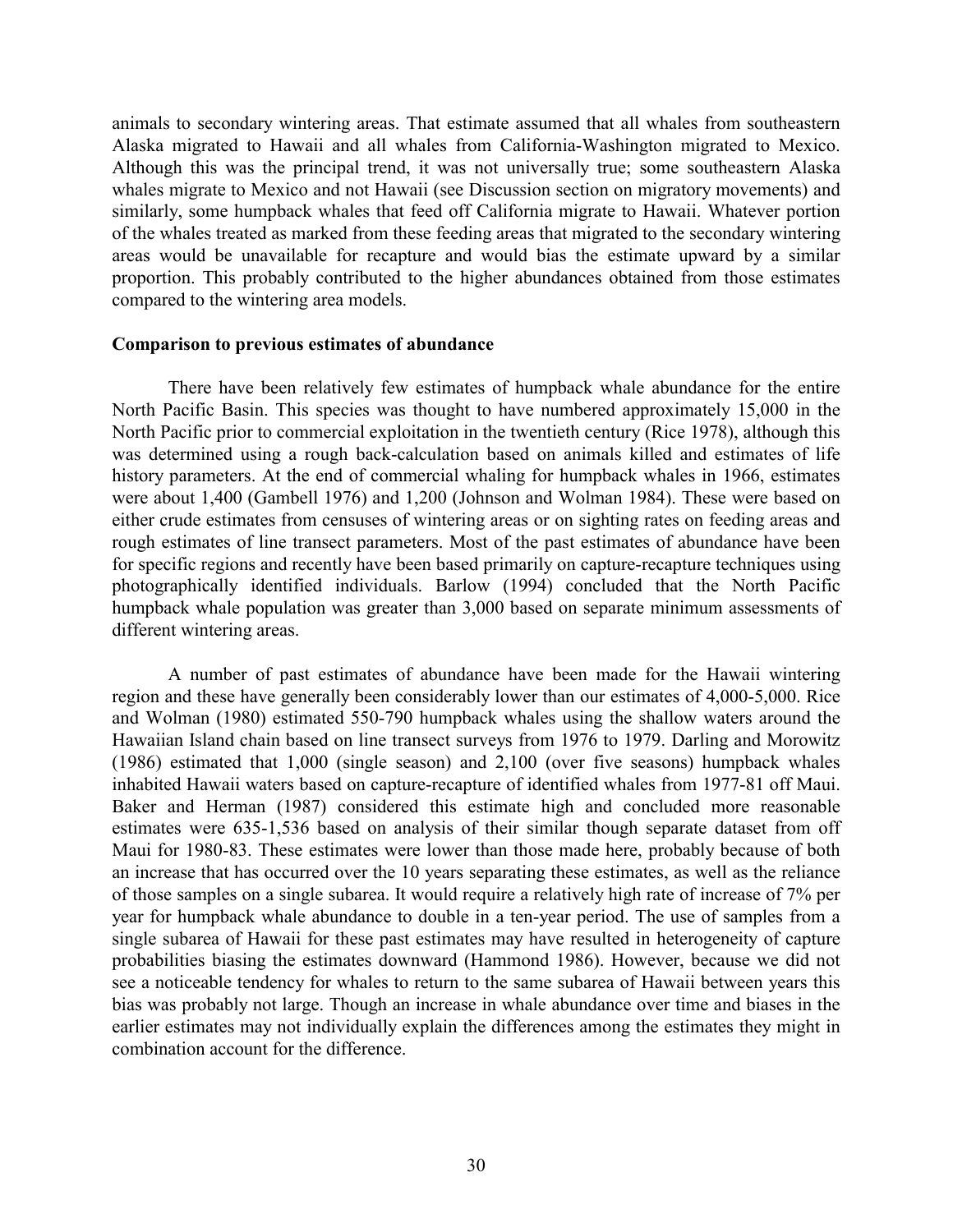animals to secondary wintering areas. That estimate assumed that all whales from southeastern Alaska migrated to Hawaii and all whales from California-Washington migrated to Mexico. Although this was the principal trend, it was not universally true; some southeastern Alaska whales migrate to Mexico and not Hawaii (see Discussion section on migratory movements) and similarly, some humpback whales that feed off California migrate to Hawaii. Whatever portion of the whales treated as marked from these feeding areas that migrated to the secondary wintering areas would be unavailable for recapture and would bias the estimate upward by a similar proportion. This probably contributed to the higher abundances obtained from those estimates compared to the wintering area models.

## **Comparison to previous estimates of abundance**

There have been relatively few estimates of humpback whale abundance for the entire North Pacific Basin. This species was thought to have numbered approximately 15,000 in the North Pacific prior to commercial exploitation in the twentieth century (Rice 1978), although this was determined using a rough back-calculation based on animals killed and estimates of life history parameters. At the end of commercial whaling for humpback whales in 1966, estimates were about 1,400 (Gambell 1976) and 1,200 (Johnson and Wolman 1984). These were based on either crude estimates from censuses of wintering areas or on sighting rates on feeding areas and rough estimates of line transect parameters. Most of the past estimates of abundance have been for specific regions and recently have been based primarily on capture-recapture techniques using photographically identified individuals. Barlow (1994) concluded that the North Pacific humpback whale population was greater than 3,000 based on separate minimum assessments of different wintering areas.

A number of past estimates of abundance have been made for the Hawaii wintering region and these have generally been considerably lower than our estimates of 4,000-5,000. Rice and Wolman (1980) estimated 550-790 humpback whales using the shallow waters around the Hawaiian Island chain based on line transect surveys from 1976 to 1979. Darling and Morowitz (1986) estimated that 1,000 (single season) and 2,100 (over five seasons) humpback whales inhabited Hawaii waters based on capture-recapture of identified whales from 1977-81 off Maui. Baker and Herman (1987) considered this estimate high and concluded more reasonable estimates were 635-1,536 based on analysis of their similar though separate dataset from off Maui for 1980-83. These estimates were lower than those made here, probably because of both an increase that has occurred over the 10 years separating these estimates, as well as the reliance of those samples on a single subarea. It would require a relatively high rate of increase of 7% per year for humpback whale abundance to double in a ten-year period. The use of samples from a single subarea of Hawaii for these past estimates may have resulted in heterogeneity of capture probabilities biasing the estimates downward (Hammond 1986). However, because we did not see a noticeable tendency for whales to return to the same subarea of Hawaii between years this bias was probably not large. Though an increase in whale abundance over time and biases in the earlier estimates may not individually explain the differences among the estimates they might in combination account for the difference.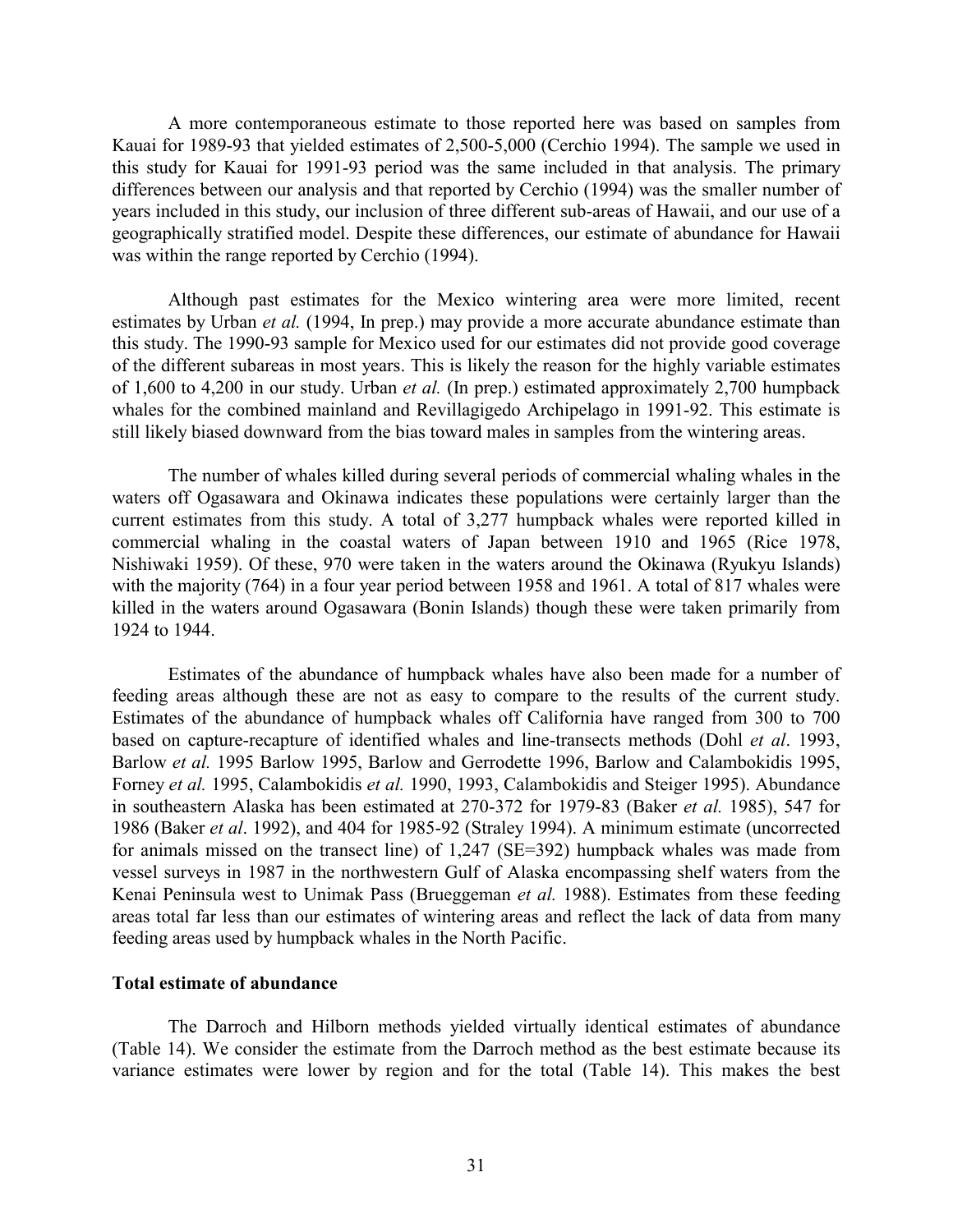A more contemporaneous estimate to those reported here was based on samples from Kauai for 1989-93 that yielded estimates of 2,500-5,000 (Cerchio 1994). The sample we used in this study for Kauai for 1991-93 period was the same included in that analysis. The primary differences between our analysis and that reported by Cerchio (1994) was the smaller number of years included in this study, our inclusion of three different sub-areas of Hawaii, and our use of a geographically stratified model. Despite these differences, our estimate of abundance for Hawaii was within the range reported by Cerchio (1994).

Although past estimates for the Mexico wintering area were more limited, recent estimates by Urban *et al.* (1994, In prep.) may provide a more accurate abundance estimate than this study. The 1990-93 sample for Mexico used for our estimates did not provide good coverage of the different subareas in most years. This is likely the reason for the highly variable estimates of 1,600 to 4,200 in our study. Urban *et al.* (In prep.) estimated approximately 2,700 humpback whales for the combined mainland and Revillagigedo Archipelago in 1991-92. This estimate is still likely biased downward from the bias toward males in samples from the wintering areas.

The number of whales killed during several periods of commercial whaling whales in the waters off Ogasawara and Okinawa indicates these populations were certainly larger than the current estimates from this study. A total of 3,277 humpback whales were reported killed in commercial whaling in the coastal waters of Japan between 1910 and 1965 (Rice 1978, Nishiwaki 1959). Of these, 970 were taken in the waters around the Okinawa (Ryukyu Islands) with the majority (764) in a four year period between 1958 and 1961. A total of 817 whales were killed in the waters around Ogasawara (Bonin Islands) though these were taken primarily from 1924 to 1944.

Estimates of the abundance of humpback whales have also been made for a number of feeding areas although these are not as easy to compare to the results of the current study. Estimates of the abundance of humpback whales off California have ranged from 300 to 700 based on capture-recapture of identified whales and line-transects methods (Dohl *et al*. 1993, Barlow *et al.* 1995 Barlow 1995, Barlow and Gerrodette 1996, Barlow and Calambokidis 1995, Forney *et al.* 1995, Calambokidis *et al.* 1990, 1993, Calambokidis and Steiger 1995). Abundance in southeastern Alaska has been estimated at 270-372 for 1979-83 (Baker *et al.* 1985), 547 for 1986 (Baker *et al*. 1992), and 404 for 1985-92 (Straley 1994). A minimum estimate (uncorrected for animals missed on the transect line) of 1,247 (SE=392) humpback whales was made from vessel surveys in 1987 in the northwestern Gulf of Alaska encompassing shelf waters from the Kenai Peninsula west to Unimak Pass (Brueggeman *et al.* 1988). Estimates from these feeding areas total far less than our estimates of wintering areas and reflect the lack of data from many feeding areas used by humpback whales in the North Pacific.

## **Total estimate of abundance**

The Darroch and Hilborn methods yielded virtually identical estimates of abundance (Table 14). We consider the estimate from the Darroch method as the best estimate because its variance estimates were lower by region and for the total (Table 14). This makes the best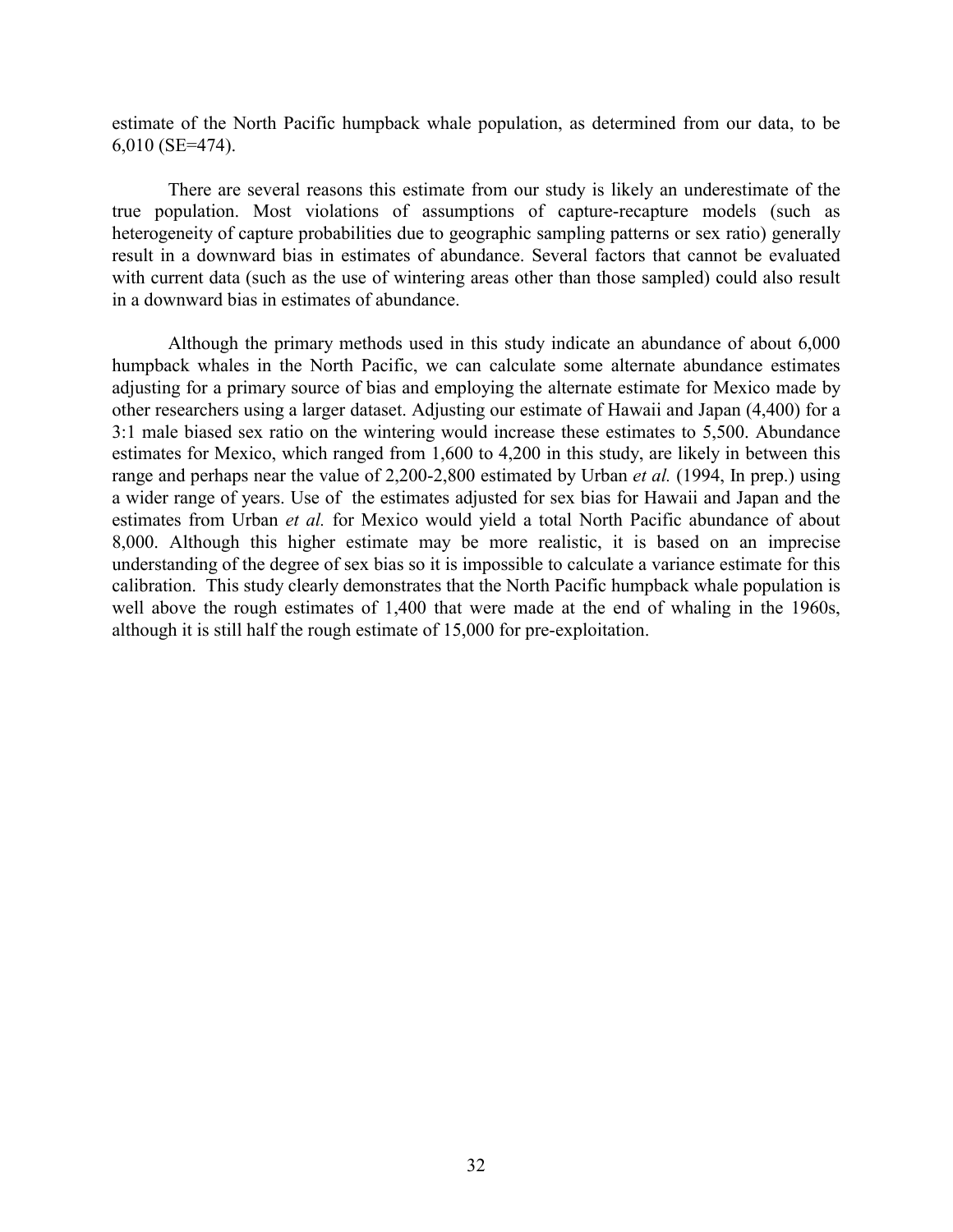estimate of the North Pacific humpback whale population, as determined from our data, to be 6,010 (SE=474).

There are several reasons this estimate from our study is likely an underestimate of the true population. Most violations of assumptions of capture-recapture models (such as heterogeneity of capture probabilities due to geographic sampling patterns or sex ratio) generally result in a downward bias in estimates of abundance. Several factors that cannot be evaluated with current data (such as the use of wintering areas other than those sampled) could also result in a downward bias in estimates of abundance.

Although the primary methods used in this study indicate an abundance of about 6,000 humpback whales in the North Pacific, we can calculate some alternate abundance estimates adjusting for a primary source of bias and employing the alternate estimate for Mexico made by other researchers using a larger dataset. Adjusting our estimate of Hawaii and Japan (4,400) for a 3:1 male biased sex ratio on the wintering would increase these estimates to 5,500. Abundance estimates for Mexico, which ranged from 1,600 to 4,200 in this study, are likely in between this range and perhaps near the value of 2,200-2,800 estimated by Urban *et al.* (1994, In prep.) using a wider range of years. Use of the estimates adjusted for sex bias for Hawaii and Japan and the estimates from Urban *et al.* for Mexico would yield a total North Pacific abundance of about 8,000. Although this higher estimate may be more realistic, it is based on an imprecise understanding of the degree of sex bias so it is impossible to calculate a variance estimate for this calibration. This study clearly demonstrates that the North Pacific humpback whale population is well above the rough estimates of 1,400 that were made at the end of whaling in the 1960s, although it is still half the rough estimate of 15,000 for pre-exploitation.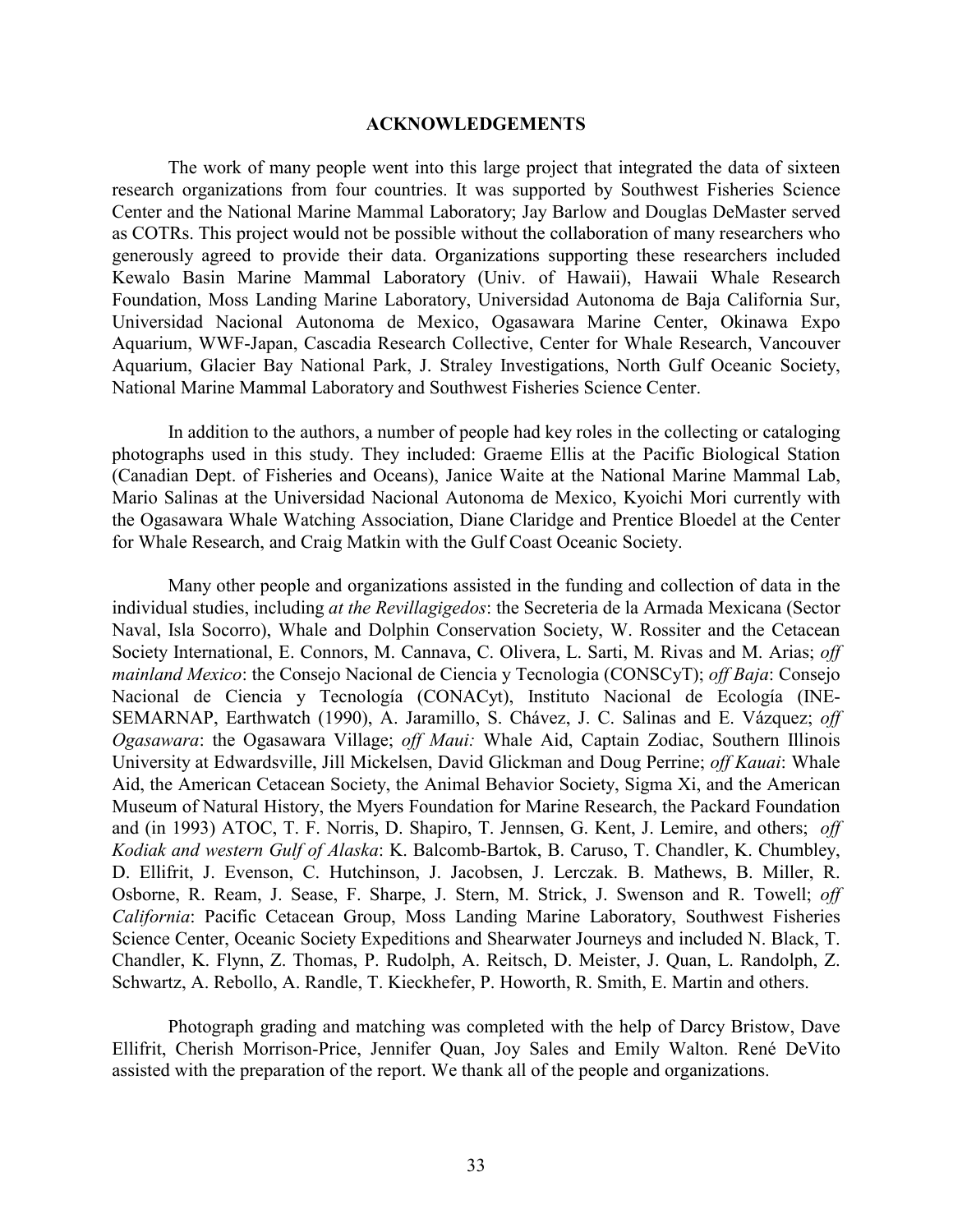### **ACKNOWLEDGEMENTS**

The work of many people went into this large project that integrated the data of sixteen research organizations from four countries. It was supported by Southwest Fisheries Science Center and the National Marine Mammal Laboratory; Jay Barlow and Douglas DeMaster served as COTRs. This project would not be possible without the collaboration of many researchers who generously agreed to provide their data. Organizations supporting these researchers included Kewalo Basin Marine Mammal Laboratory (Univ. of Hawaii), Hawaii Whale Research Foundation, Moss Landing Marine Laboratory, Universidad Autonoma de Baja California Sur, Universidad Nacional Autonoma de Mexico, Ogasawara Marine Center, Okinawa Expo Aquarium, WWF-Japan, Cascadia Research Collective, Center for Whale Research, Vancouver Aquarium, Glacier Bay National Park, J. Straley Investigations, North Gulf Oceanic Society, National Marine Mammal Laboratory and Southwest Fisheries Science Center.

In addition to the authors, a number of people had key roles in the collecting or cataloging photographs used in this study. They included: Graeme Ellis at the Pacific Biological Station (Canadian Dept. of Fisheries and Oceans), Janice Waite at the National Marine Mammal Lab, Mario Salinas at the Universidad Nacional Autonoma de Mexico, Kyoichi Mori currently with the Ogasawara Whale Watching Association, Diane Claridge and Prentice Bloedel at the Center for Whale Research, and Craig Matkin with the Gulf Coast Oceanic Society.

Many other people and organizations assisted in the funding and collection of data in the individual studies, including *at the Revillagigedos*: the Secreteria de la Armada Mexicana (Sector Naval, Isla Socorro), Whale and Dolphin Conservation Society, W. Rossiter and the Cetacean Society International, E. Connors, M. Cannava, C. Olivera, L. Sarti, M. Rivas and M. Arias; *off mainland Mexico*: the Consejo Nacional de Ciencia y Tecnologia (CONSCyT); *off Baja*: Consejo Nacional de Ciencia y Tecnología (CONACyt), Instituto Nacional de Ecología (INE-SEMARNAP, Earthwatch (1990), A. Jaramillo, S. Chávez, J. C. Salinas and E. Vázquez; *off Ogasawara*: the Ogasawara Village; *off Maui:* Whale Aid, Captain Zodiac, Southern Illinois University at Edwardsville, Jill Mickelsen, David Glickman and Doug Perrine; *off Kauai*: Whale Aid, the American Cetacean Society, the Animal Behavior Society, Sigma Xi, and the American Museum of Natural History, the Myers Foundation for Marine Research, the Packard Foundation and (in 1993) ATOC, T. F. Norris, D. Shapiro, T. Jennsen, G. Kent, J. Lemire, and others; *off Kodiak and western Gulf of Alaska*: K. Balcomb-Bartok, B. Caruso, T. Chandler, K. Chumbley, D. Ellifrit, J. Evenson, C. Hutchinson, J. Jacobsen, J. Lerczak. B. Mathews, B. Miller, R. Osborne, R. Ream, J. Sease, F. Sharpe, J. Stern, M. Strick, J. Swenson and R. Towell; *off California*: Pacific Cetacean Group, Moss Landing Marine Laboratory, Southwest Fisheries Science Center, Oceanic Society Expeditions and Shearwater Journeys and included N. Black, T. Chandler, K. Flynn, Z. Thomas, P. Rudolph, A. Reitsch, D. Meister, J. Quan, L. Randolph, Z. Schwartz, A. Rebollo, A. Randle, T. Kieckhefer, P. Howorth, R. Smith, E. Martin and others.

Photograph grading and matching was completed with the help of Darcy Bristow, Dave Ellifrit, Cherish Morrison-Price, Jennifer Quan, Joy Sales and Emily Walton. René DeVito assisted with the preparation of the report. We thank all of the people and organizations.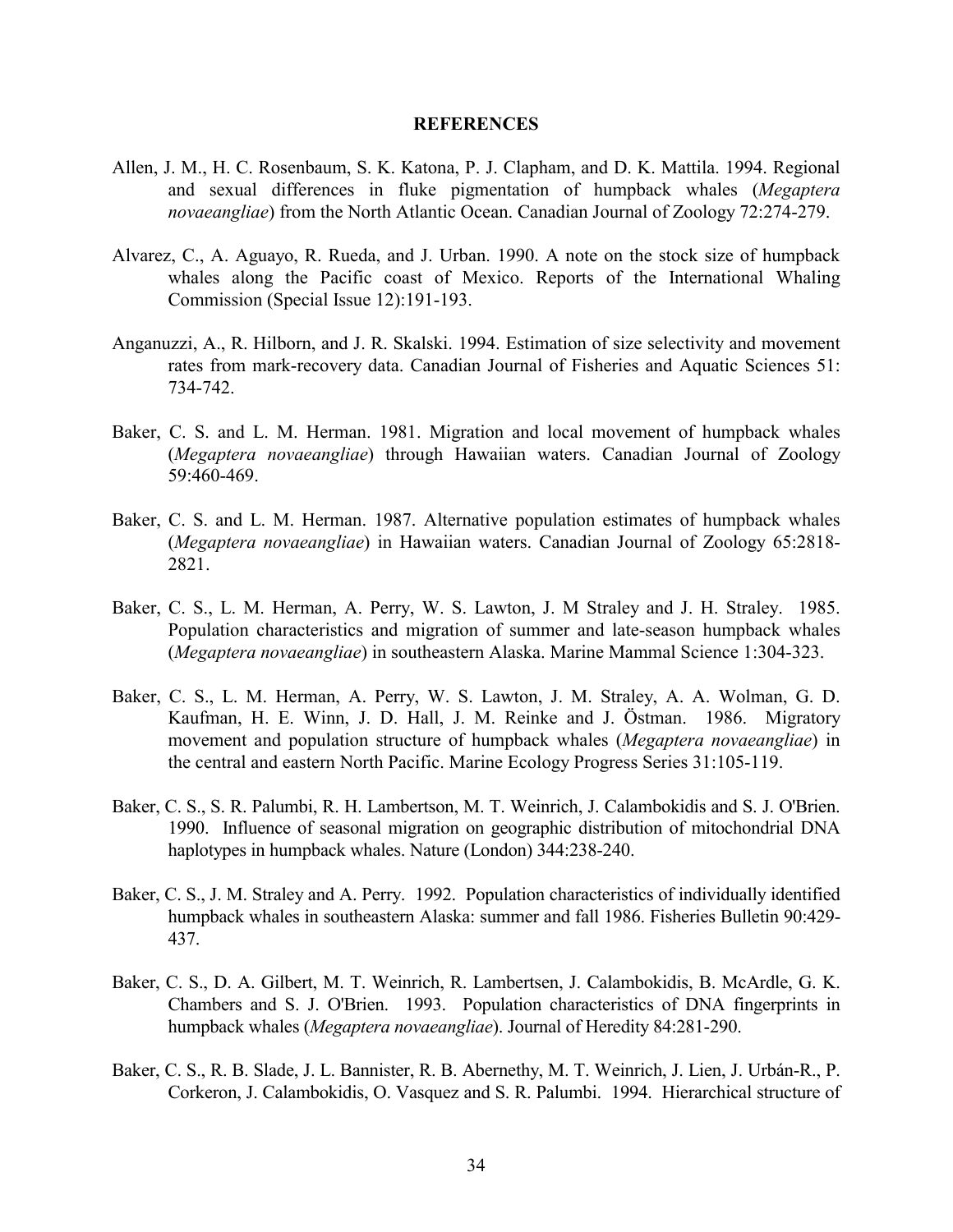#### **REFERENCES**

- Allen, J. M., H. C. Rosenbaum, S. K. Katona, P. J. Clapham, and D. K. Mattila. 1994. Regional and sexual differences in fluke pigmentation of humpback whales (*Megaptera novaeangliae*) from the North Atlantic Ocean. Canadian Journal of Zoology 72:274-279.
- Alvarez, C., A. Aguayo, R. Rueda, and J. Urban. 1990. A note on the stock size of humpback whales along the Pacific coast of Mexico. Reports of the International Whaling Commission (Special Issue 12):191-193.
- Anganuzzi, A., R. Hilborn, and J. R. Skalski. 1994. Estimation of size selectivity and movement rates from mark-recovery data. Canadian Journal of Fisheries and Aquatic Sciences 51: 734-742.
- Baker, C. S. and L. M. Herman. 1981. Migration and local movement of humpback whales (*Megaptera novaeangliae*) through Hawaiian waters. Canadian Journal of Zoology 59:460-469.
- Baker, C. S. and L. M. Herman. 1987. Alternative population estimates of humpback whales (*Megaptera novaeangliae*) in Hawaiian waters. Canadian Journal of Zoology 65:2818- 2821.
- Baker, C. S., L. M. Herman, A. Perry, W. S. Lawton, J. M Straley and J. H. Straley. 1985. Population characteristics and migration of summer and late-season humpback whales (*Megaptera novaeangliae*) in southeastern Alaska. Marine Mammal Science 1:304-323.
- Baker, C. S., L. M. Herman, A. Perry, W. S. Lawton, J. M. Straley, A. A. Wolman, G. D. Kaufman, H. E. Winn, J. D. Hall, J. M. Reinke and J. Östman. 1986. Migratory movement and population structure of humpback whales (*Megaptera novaeangliae*) in the central and eastern North Pacific. Marine Ecology Progress Series 31:105-119.
- Baker, C. S., S. R. Palumbi, R. H. Lambertson, M. T. Weinrich, J. Calambokidis and S. J. O'Brien. 1990. Influence of seasonal migration on geographic distribution of mitochondrial DNA haplotypes in humpback whales. Nature (London) 344:238-240.
- Baker, C. S., J. M. Straley and A. Perry. 1992. Population characteristics of individually identified humpback whales in southeastern Alaska: summer and fall 1986. Fisheries Bulletin 90:429- 437.
- Baker, C. S., D. A. Gilbert, M. T. Weinrich, R. Lambertsen, J. Calambokidis, B. McArdle, G. K. Chambers and S. J. O'Brien. 1993. Population characteristics of DNA fingerprints in humpback whales (*Megaptera novaeangliae*). Journal of Heredity 84:281-290.
- Baker, C. S., R. B. Slade, J. L. Bannister, R. B. Abernethy, M. T. Weinrich, J. Lien, J. Urbán-R., P. Corkeron, J. Calambokidis, O. Vasquez and S. R. Palumbi. 1994. Hierarchical structure of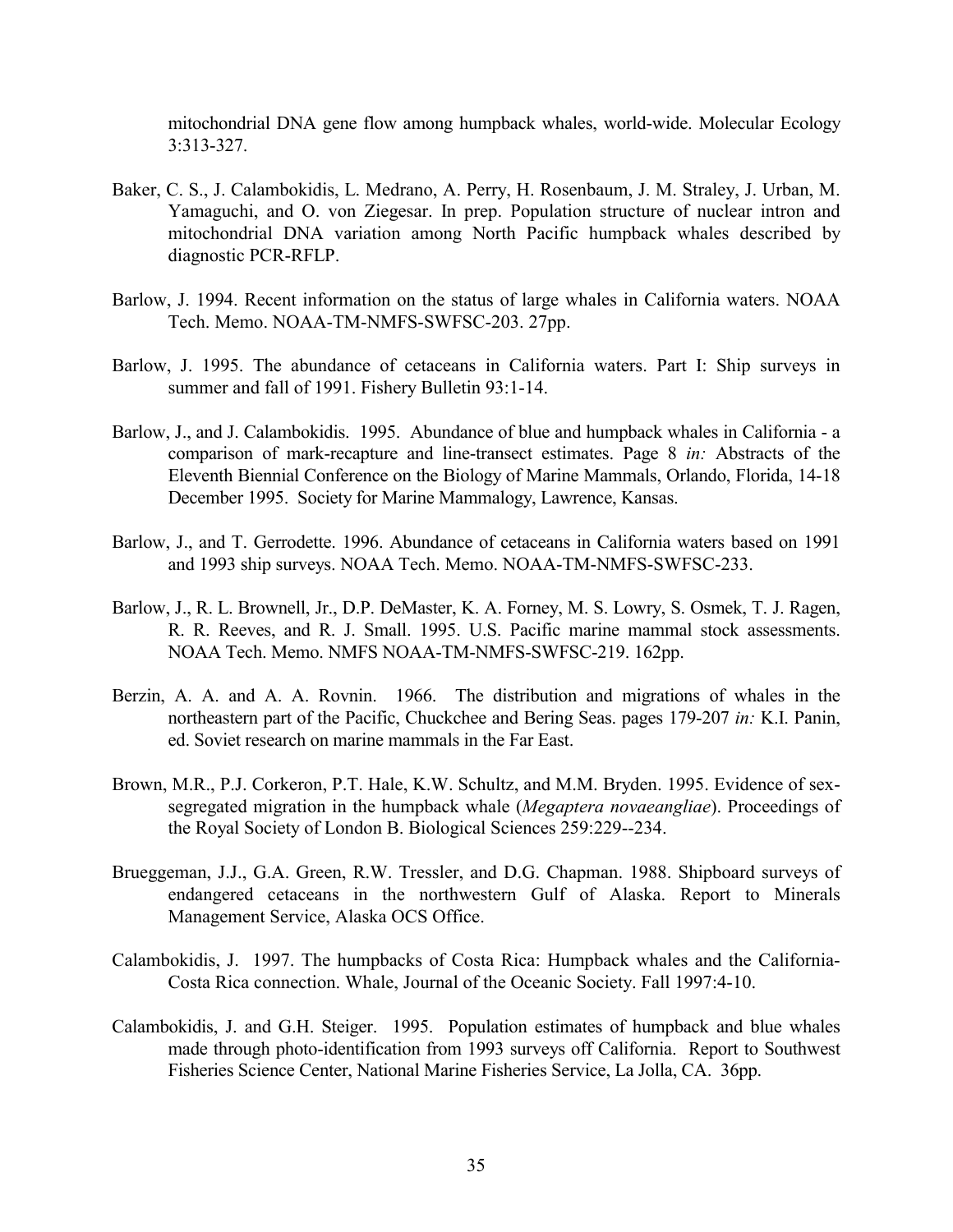mitochondrial DNA gene flow among humpback whales, world-wide. Molecular Ecology 3:313-327.

- Baker, C. S., J. Calambokidis, L. Medrano, A. Perry, H. Rosenbaum, J. M. Straley, J. Urban, M. Yamaguchi, and O. von Ziegesar. In prep. Population structure of nuclear intron and mitochondrial DNA variation among North Pacific humpback whales described by diagnostic PCR-RFLP.
- Barlow, J. 1994. Recent information on the status of large whales in California waters. NOAA Tech. Memo. NOAA-TM-NMFS-SWFSC-203. 27pp.
- Barlow, J. 1995. The abundance of cetaceans in California waters. Part I: Ship surveys in summer and fall of 1991. Fishery Bulletin 93:1-14.
- Barlow, J., and J. Calambokidis. 1995. Abundance of blue and humpback whales in California a comparison of mark-recapture and line-transect estimates. Page 8 *in:* Abstracts of the Eleventh Biennial Conference on the Biology of Marine Mammals, Orlando, Florida, 14-18 December 1995. Society for Marine Mammalogy, Lawrence, Kansas.
- Barlow, J., and T. Gerrodette. 1996. Abundance of cetaceans in California waters based on 1991 and 1993 ship surveys. NOAA Tech. Memo. NOAA-TM-NMFS-SWFSC-233.
- Barlow, J., R. L. Brownell, Jr., D.P. DeMaster, K. A. Forney, M. S. Lowry, S. Osmek, T. J. Ragen, R. R. Reeves, and R. J. Small. 1995. U.S. Pacific marine mammal stock assessments. NOAA Tech. Memo. NMFS NOAA-TM-NMFS-SWFSC-219. 162pp.
- Berzin, A. A. and A. A. Rovnin. 1966. The distribution and migrations of whales in the northeastern part of the Pacific, Chuckchee and Bering Seas. pages 179-207 *in:* K.I. Panin, ed. Soviet research on marine mammals in the Far East.
- Brown, M.R., P.J. Corkeron, P.T. Hale, K.W. Schultz, and M.M. Bryden. 1995. Evidence of sexsegregated migration in the humpback whale (*Megaptera novaeangliae*). Proceedings of the Royal Society of London B. Biological Sciences 259:229--234.
- Brueggeman, J.J., G.A. Green, R.W. Tressler, and D.G. Chapman. 1988. Shipboard surveys of endangered cetaceans in the northwestern Gulf of Alaska. Report to Minerals Management Service, Alaska OCS Office.
- Calambokidis, J. 1997. The humpbacks of Costa Rica: Humpback whales and the California-Costa Rica connection. Whale, Journal of the Oceanic Society. Fall 1997:4-10.
- Calambokidis, J. and G.H. Steiger. 1995. Population estimates of humpback and blue whales made through photo-identification from 1993 surveys off California. Report to Southwest Fisheries Science Center, National Marine Fisheries Service, La Jolla, CA. 36pp.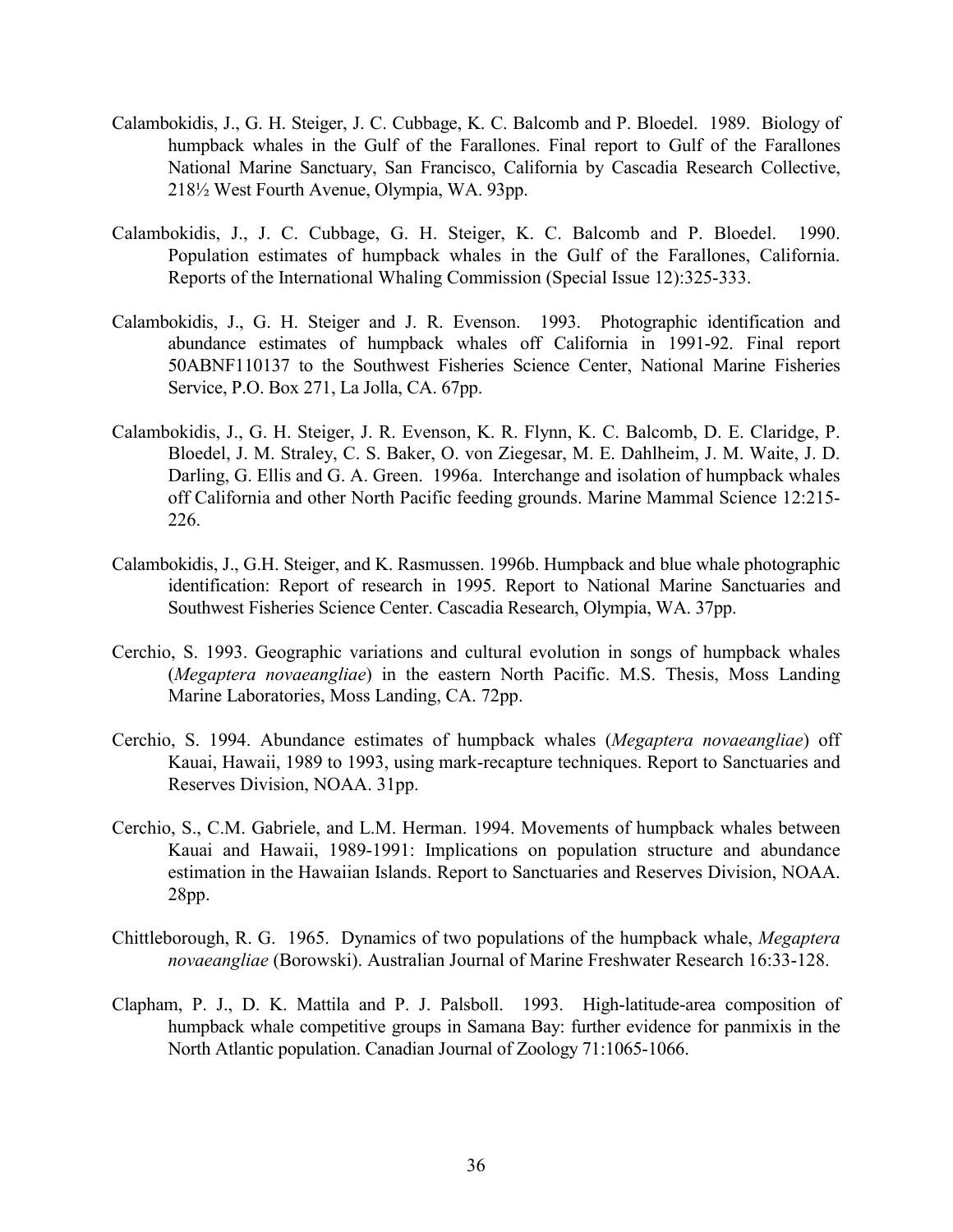- Calambokidis, J., G. H. Steiger, J. C. Cubbage, K. C. Balcomb and P. Bloedel. 1989. Biology of humpback whales in the Gulf of the Farallones. Final report to Gulf of the Farallones National Marine Sanctuary, San Francisco, California by Cascadia Research Collective, 218½ West Fourth Avenue, Olympia, WA. 93pp.
- Calambokidis, J., J. C. Cubbage, G. H. Steiger, K. C. Balcomb and P. Bloedel. 1990. Population estimates of humpback whales in the Gulf of the Farallones, California. Reports of the International Whaling Commission (Special Issue 12):325-333.
- Calambokidis, J., G. H. Steiger and J. R. Evenson. 1993. Photographic identification and abundance estimates of humpback whales off California in 1991-92. Final report 50ABNF110137 to the Southwest Fisheries Science Center, National Marine Fisheries Service, P.O. Box 271, La Jolla, CA. 67pp.
- Calambokidis, J., G. H. Steiger, J. R. Evenson, K. R. Flynn, K. C. Balcomb, D. E. Claridge, P. Bloedel, J. M. Straley, C. S. Baker, O. von Ziegesar, M. E. Dahlheim, J. M. Waite, J. D. Darling, G. Ellis and G. A. Green. 1996a. Interchange and isolation of humpback whales off California and other North Pacific feeding grounds. Marine Mammal Science 12:215- 226.
- Calambokidis, J., G.H. Steiger, and K. Rasmussen. 1996b. Humpback and blue whale photographic identification: Report of research in 1995. Report to National Marine Sanctuaries and Southwest Fisheries Science Center. Cascadia Research, Olympia, WA. 37pp.
- Cerchio, S. 1993. Geographic variations and cultural evolution in songs of humpback whales (*Megaptera novaeangliae*) in the eastern North Pacific. M.S. Thesis, Moss Landing Marine Laboratories, Moss Landing, CA. 72pp.
- Cerchio, S. 1994. Abundance estimates of humpback whales (*Megaptera novaeangliae*) off Kauai, Hawaii, 1989 to 1993, using mark-recapture techniques. Report to Sanctuaries and Reserves Division, NOAA. 31pp.
- Cerchio, S., C.M. Gabriele, and L.M. Herman. 1994. Movements of humpback whales between Kauai and Hawaii, 1989-1991: Implications on population structure and abundance estimation in the Hawaiian Islands. Report to Sanctuaries and Reserves Division, NOAA. 28pp.
- Chittleborough, R. G. 1965. Dynamics of two populations of the humpback whale, *Megaptera novaeangliae* (Borowski). Australian Journal of Marine Freshwater Research 16:33-128.
- Clapham, P. J., D. K. Mattila and P. J. Palsboll. 1993. High-latitude-area composition of humpback whale competitive groups in Samana Bay: further evidence for panmixis in the North Atlantic population. Canadian Journal of Zoology 71:1065-1066.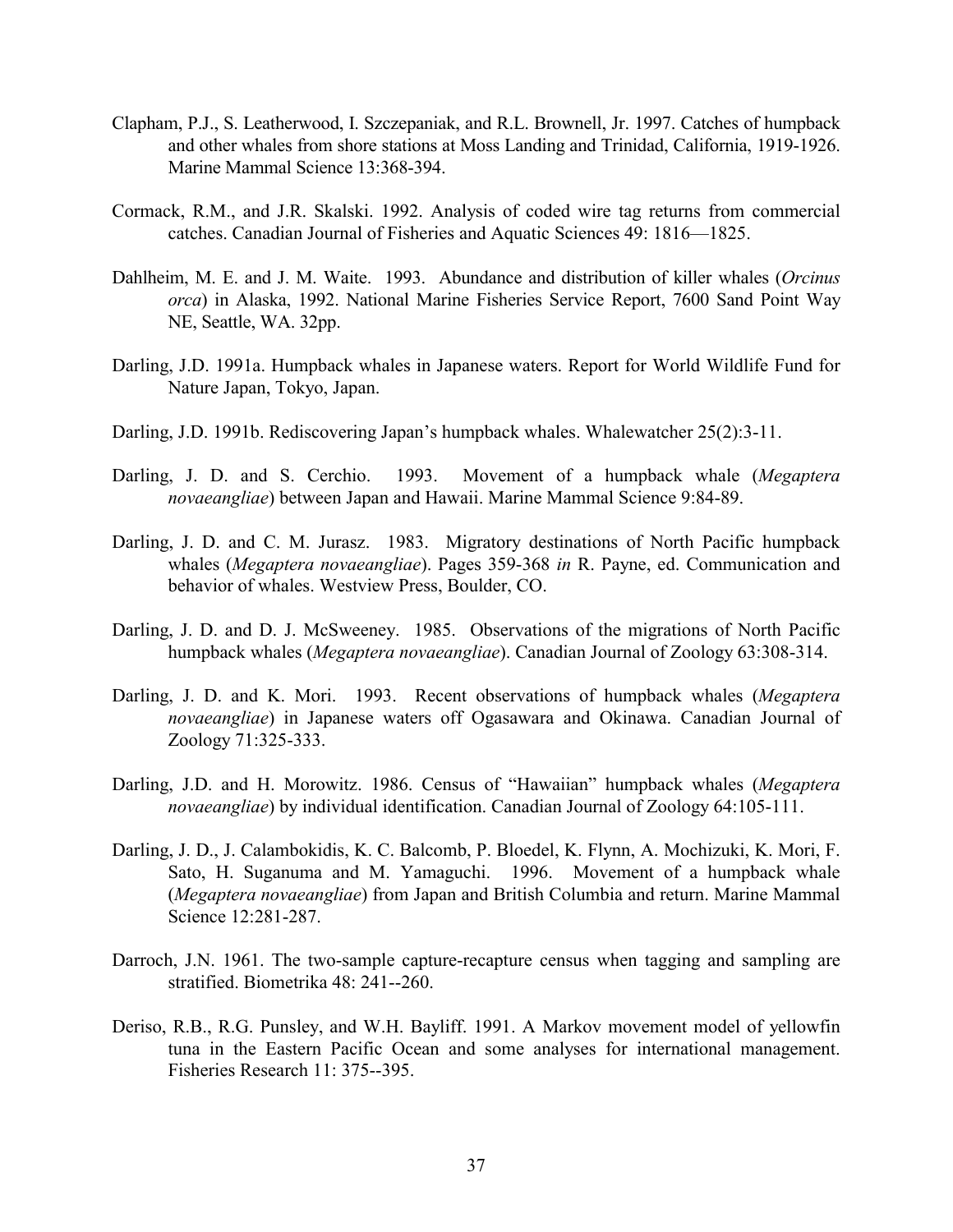- Clapham, P.J., S. Leatherwood, I. Szczepaniak, and R.L. Brownell, Jr. 1997. Catches of humpback and other whales from shore stations at Moss Landing and Trinidad, California, 1919-1926. Marine Mammal Science 13:368-394.
- Cormack, R.M., and J.R. Skalski. 1992. Analysis of coded wire tag returns from commercial catches. Canadian Journal of Fisheries and Aquatic Sciences 49: 1816—1825.
- Dahlheim, M. E. and J. M. Waite. 1993. Abundance and distribution of killer whales (*Orcinus orca*) in Alaska, 1992. National Marine Fisheries Service Report, 7600 Sand Point Way NE, Seattle, WA. 32pp.
- Darling, J.D. 1991a. Humpback whales in Japanese waters. Report for World Wildlife Fund for Nature Japan, Tokyo, Japan.
- Darling, J.D. 1991b. Rediscovering Japan's humpback whales. Whalewatcher 25(2):3-11.
- Darling, J. D. and S. Cerchio. 1993. Movement of a humpback whale (*Megaptera novaeangliae*) between Japan and Hawaii. Marine Mammal Science 9:84-89.
- Darling, J. D. and C. M. Jurasz. 1983. Migratory destinations of North Pacific humpback whales (*Megaptera novaeangliae*). Pages 359-368 *in* R. Payne, ed. Communication and behavior of whales. Westview Press, Boulder, CO.
- Darling, J. D. and D. J. McSweeney. 1985. Observations of the migrations of North Pacific humpback whales (*Megaptera novaeangliae*). Canadian Journal of Zoology 63:308-314.
- Darling, J. D. and K. Mori. 1993. Recent observations of humpback whales (*Megaptera novaeangliae*) in Japanese waters off Ogasawara and Okinawa. Canadian Journal of Zoology 71:325-333.
- Darling, J.D. and H. Morowitz. 1986. Census of "Hawaiian" humpback whales (*Megaptera novaeangliae*) by individual identification. Canadian Journal of Zoology 64:105-111.
- Darling, J. D., J. Calambokidis, K. C. Balcomb, P. Bloedel, K. Flynn, A. Mochizuki, K. Mori, F. Sato, H. Suganuma and M. Yamaguchi. 1996. Movement of a humpback whale (*Megaptera novaeangliae*) from Japan and British Columbia and return. Marine Mammal Science 12:281-287.
- Darroch, J.N. 1961. The two-sample capture-recapture census when tagging and sampling are stratified. Biometrika 48: 241--260.
- Deriso, R.B., R.G. Punsley, and W.H. Bayliff. 1991. A Markov movement model of yellowfin tuna in the Eastern Pacific Ocean and some analyses for international management. Fisheries Research 11: 375--395.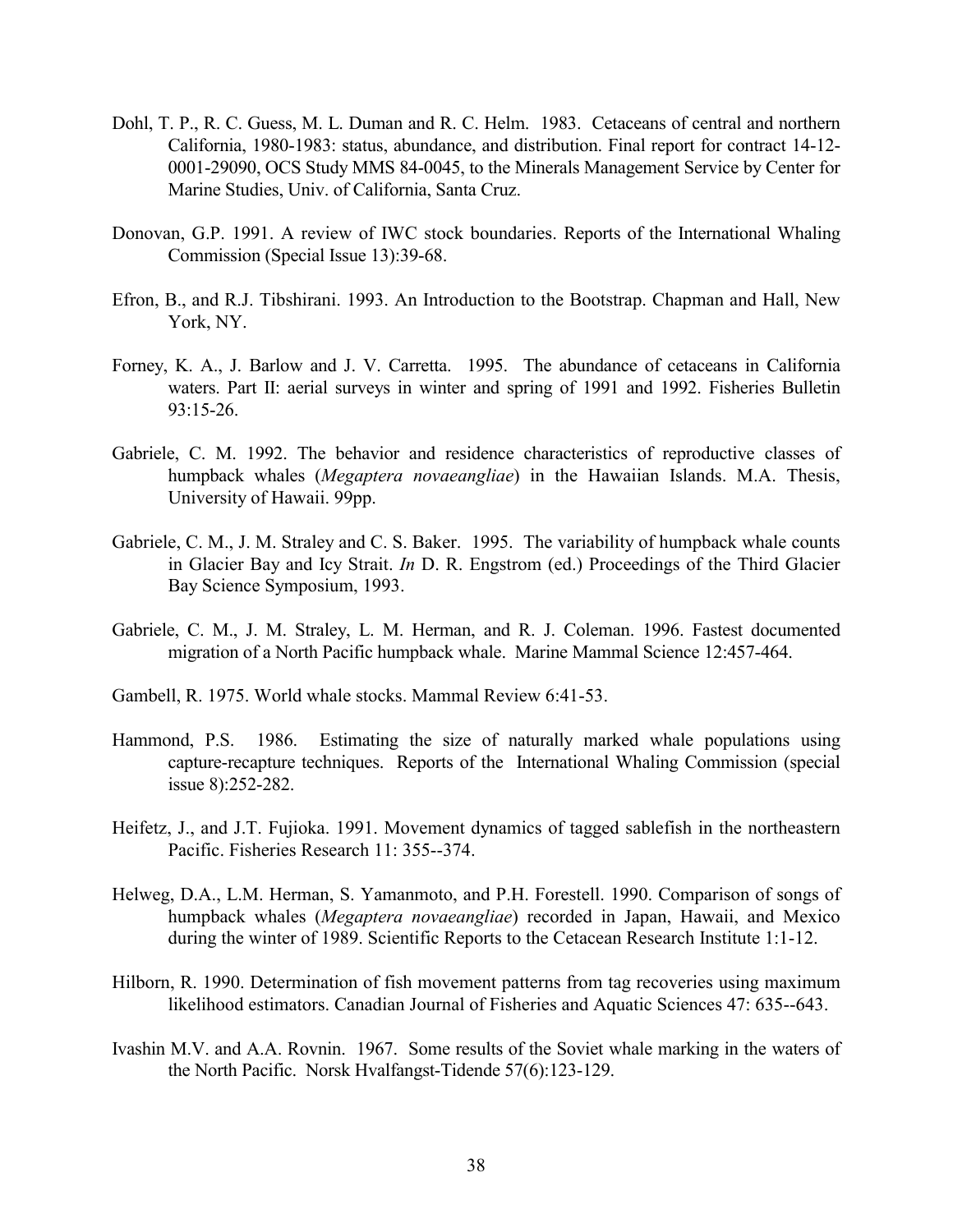- Dohl, T. P., R. C. Guess, M. L. Duman and R. C. Helm. 1983. Cetaceans of central and northern California, 1980-1983: status, abundance, and distribution. Final report for contract 14-12- 0001-29090, OCS Study MMS 84-0045, to the Minerals Management Service by Center for Marine Studies, Univ. of California, Santa Cruz.
- Donovan, G.P. 1991. A review of IWC stock boundaries. Reports of the International Whaling Commission (Special Issue 13):39-68.
- Efron, B., and R.J. Tibshirani. 1993. An Introduction to the Bootstrap. Chapman and Hall, New York, NY.
- Forney, K. A., J. Barlow and J. V. Carretta. 1995. The abundance of cetaceans in California waters. Part II: aerial surveys in winter and spring of 1991 and 1992. Fisheries Bulletin 93:15-26.
- Gabriele, C. M. 1992. The behavior and residence characteristics of reproductive classes of humpback whales (*Megaptera novaeangliae*) in the Hawaiian Islands. M.A. Thesis, University of Hawaii. 99pp.
- Gabriele, C. M., J. M. Straley and C. S. Baker. 1995. The variability of humpback whale counts in Glacier Bay and Icy Strait. *In* D. R. Engstrom (ed.) Proceedings of the Third Glacier Bay Science Symposium, 1993.
- Gabriele, C. M., J. M. Straley, L. M. Herman, and R. J. Coleman. 1996. Fastest documented migration of a North Pacific humpback whale. Marine Mammal Science 12:457-464.
- Gambell, R. 1975. World whale stocks. Mammal Review 6:41-53.
- Hammond, P.S. 1986. Estimating the size of naturally marked whale populations using capture-recapture techniques. Reports of the International Whaling Commission (special issue 8):252-282.
- Heifetz, J., and J.T. Fujioka. 1991. Movement dynamics of tagged sablefish in the northeastern Pacific. Fisheries Research 11: 355--374.
- Helweg, D.A., L.M. Herman, S. Yamanmoto, and P.H. Forestell. 1990. Comparison of songs of humpback whales (*Megaptera novaeangliae*) recorded in Japan, Hawaii, and Mexico during the winter of 1989. Scientific Reports to the Cetacean Research Institute 1:1-12.
- Hilborn, R. 1990. Determination of fish movement patterns from tag recoveries using maximum likelihood estimators. Canadian Journal of Fisheries and Aquatic Sciences 47: 635--643.
- Ivashin M.V. and A.A. Rovnin. 1967. Some results of the Soviet whale marking in the waters of the North Pacific. Norsk Hvalfangst-Tidende 57(6):123-129.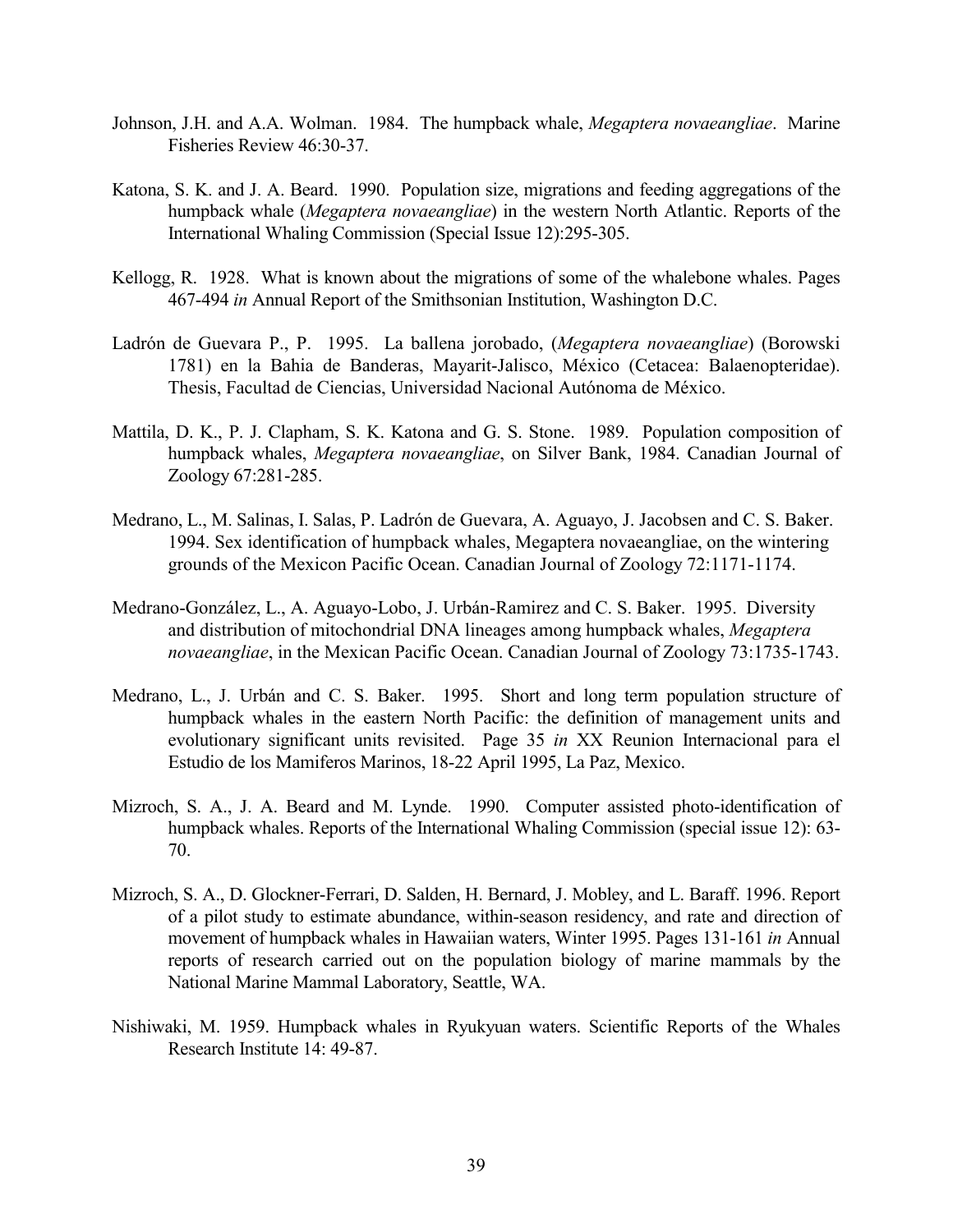- Johnson, J.H. and A.A. Wolman. 1984. The humpback whale, *Megaptera novaeangliae*. Marine Fisheries Review 46:30-37.
- Katona, S. K. and J. A. Beard. 1990. Population size, migrations and feeding aggregations of the humpback whale (*Megaptera novaeangliae*) in the western North Atlantic. Reports of the International Whaling Commission (Special Issue 12):295-305.
- Kellogg, R. 1928. What is known about the migrations of some of the whalebone whales. Pages 467-494 *in* Annual Report of the Smithsonian Institution, Washington D.C.
- Ladrón de Guevara P., P. 1995. La ballena jorobado, (*Megaptera novaeangliae*) (Borowski 1781) en la Bahia de Banderas, Mayarit-Jalisco, México (Cetacea: Balaenopteridae). Thesis, Facultad de Ciencias, Universidad Nacional Autónoma de México.
- Mattila, D. K., P. J. Clapham, S. K. Katona and G. S. Stone. 1989. Population composition of humpback whales, *Megaptera novaeangliae*, on Silver Bank, 1984. Canadian Journal of Zoology 67:281-285.
- Medrano, L., M. Salinas, I. Salas, P. Ladrón de Guevara, A. Aguayo, J. Jacobsen and C. S. Baker. 1994. Sex identification of humpback whales, Megaptera novaeangliae, on the wintering grounds of the Mexicon Pacific Ocean. Canadian Journal of Zoology 72:1171-1174.
- Medrano-González, L., A. Aguayo-Lobo, J. Urbán-Ramirez and C. S. Baker. 1995. Diversity and distribution of mitochondrial DNA lineages among humpback whales, *Megaptera novaeangliae*, in the Mexican Pacific Ocean. Canadian Journal of Zoology 73:1735-1743.
- Medrano, L., J. Urbán and C. S. Baker. 1995. Short and long term population structure of humpback whales in the eastern North Pacific: the definition of management units and evolutionary significant units revisited. Page 35 *in* XX Reunion Internacional para el Estudio de los Mamiferos Marinos, 18-22 April 1995, La Paz, Mexico.
- Mizroch, S. A., J. A. Beard and M. Lynde. 1990. Computer assisted photo-identification of humpback whales. Reports of the International Whaling Commission (special issue 12): 63- 70.
- Mizroch, S. A., D. Glockner-Ferrari, D. Salden, H. Bernard, J. Mobley, and L. Baraff. 1996. Report of a pilot study to estimate abundance, within-season residency, and rate and direction of movement of humpback whales in Hawaiian waters, Winter 1995. Pages 131-161 *in* Annual reports of research carried out on the population biology of marine mammals by the National Marine Mammal Laboratory, Seattle, WA.
- Nishiwaki, M. 1959. Humpback whales in Ryukyuan waters. Scientific Reports of the Whales Research Institute 14: 49-87.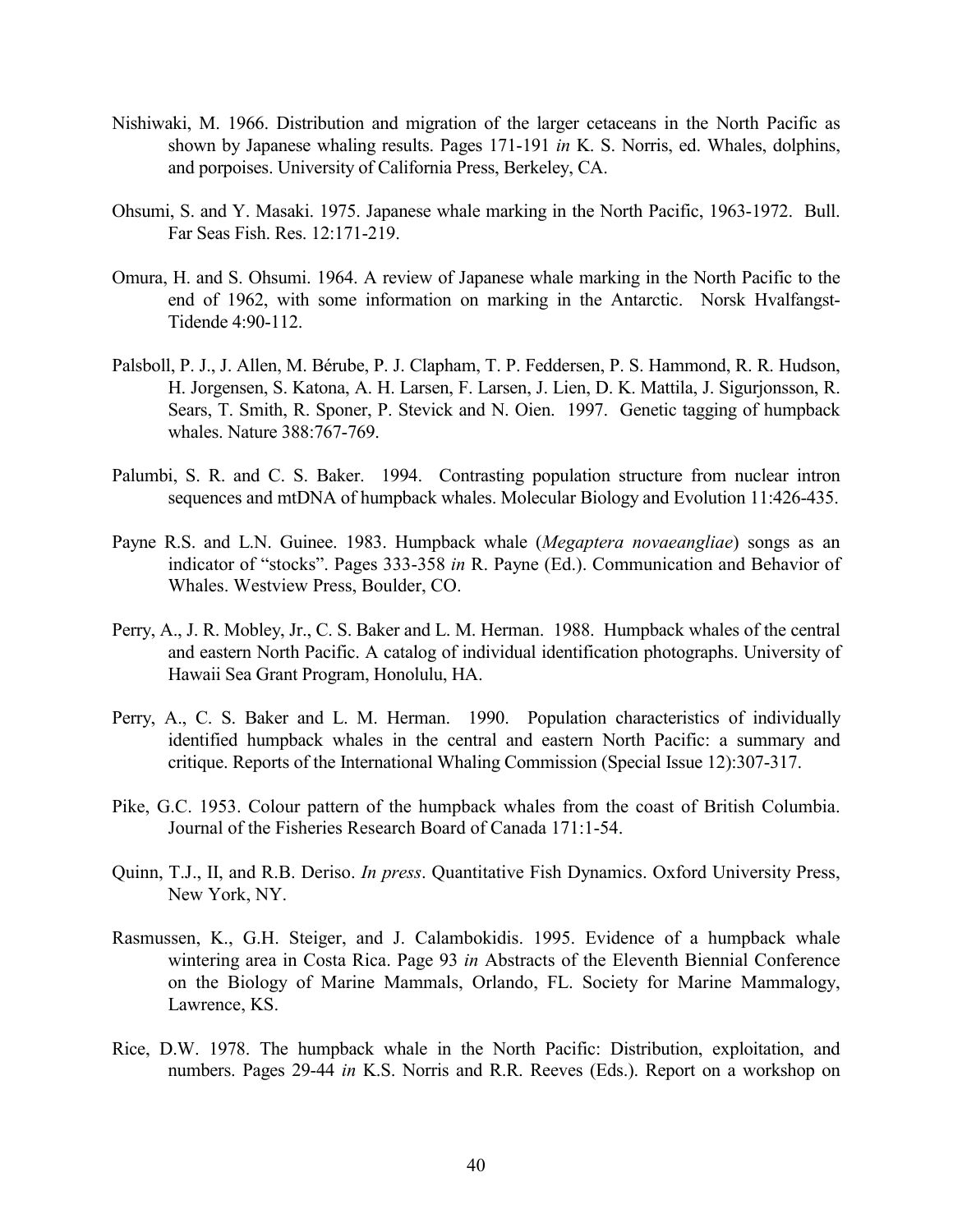- Nishiwaki, M. 1966. Distribution and migration of the larger cetaceans in the North Pacific as shown by Japanese whaling results. Pages 171-191 *in* K. S. Norris, ed. Whales, dolphins, and porpoises. University of California Press, Berkeley, CA.
- Ohsumi, S. and Y. Masaki. 1975. Japanese whale marking in the North Pacific, 1963-1972. Bull. Far Seas Fish. Res. 12:171-219.
- Omura, H. and S. Ohsumi. 1964. A review of Japanese whale marking in the North Pacific to the end of 1962, with some information on marking in the Antarctic. Norsk Hvalfangst-Tidende 4:90-112.
- Palsboll, P. J., J. Allen, M. Bérube, P. J. Clapham, T. P. Feddersen, P. S. Hammond, R. R. Hudson, H. Jorgensen, S. Katona, A. H. Larsen, F. Larsen, J. Lien, D. K. Mattila, J. Sigurjonsson, R. Sears, T. Smith, R. Sponer, P. Stevick and N. Oien. 1997. Genetic tagging of humpback whales. Nature 388:767-769.
- Palumbi, S. R. and C. S. Baker. 1994. Contrasting population structure from nuclear intron sequences and mtDNA of humpback whales. Molecular Biology and Evolution 11:426-435.
- Payne R.S. and L.N. Guinee. 1983. Humpback whale (*Megaptera novaeangliae*) songs as an indicator of "stocks". Pages 333-358 *in* R. Payne (Ed.). Communication and Behavior of Whales. Westview Press, Boulder, CO.
- Perry, A., J. R. Mobley, Jr., C. S. Baker and L. M. Herman. 1988. Humpback whales of the central and eastern North Pacific. A catalog of individual identification photographs. University of Hawaii Sea Grant Program, Honolulu, HA.
- Perry, A., C. S. Baker and L. M. Herman. 1990. Population characteristics of individually identified humpback whales in the central and eastern North Pacific: a summary and critique. Reports of the International Whaling Commission (Special Issue 12):307-317.
- Pike, G.C. 1953. Colour pattern of the humpback whales from the coast of British Columbia. Journal of the Fisheries Research Board of Canada 171:1-54.
- Quinn, T.J., II, and R.B. Deriso. *In press*. Quantitative Fish Dynamics. Oxford University Press, New York, NY.
- Rasmussen, K., G.H. Steiger, and J. Calambokidis. 1995. Evidence of a humpback whale wintering area in Costa Rica. Page 93 *in* Abstracts of the Eleventh Biennial Conference on the Biology of Marine Mammals, Orlando, FL. Society for Marine Mammalogy, Lawrence, KS.
- Rice, D.W. 1978. The humpback whale in the North Pacific: Distribution, exploitation, and numbers. Pages 29-44 *in* K.S. Norris and R.R. Reeves (Eds.). Report on a workshop on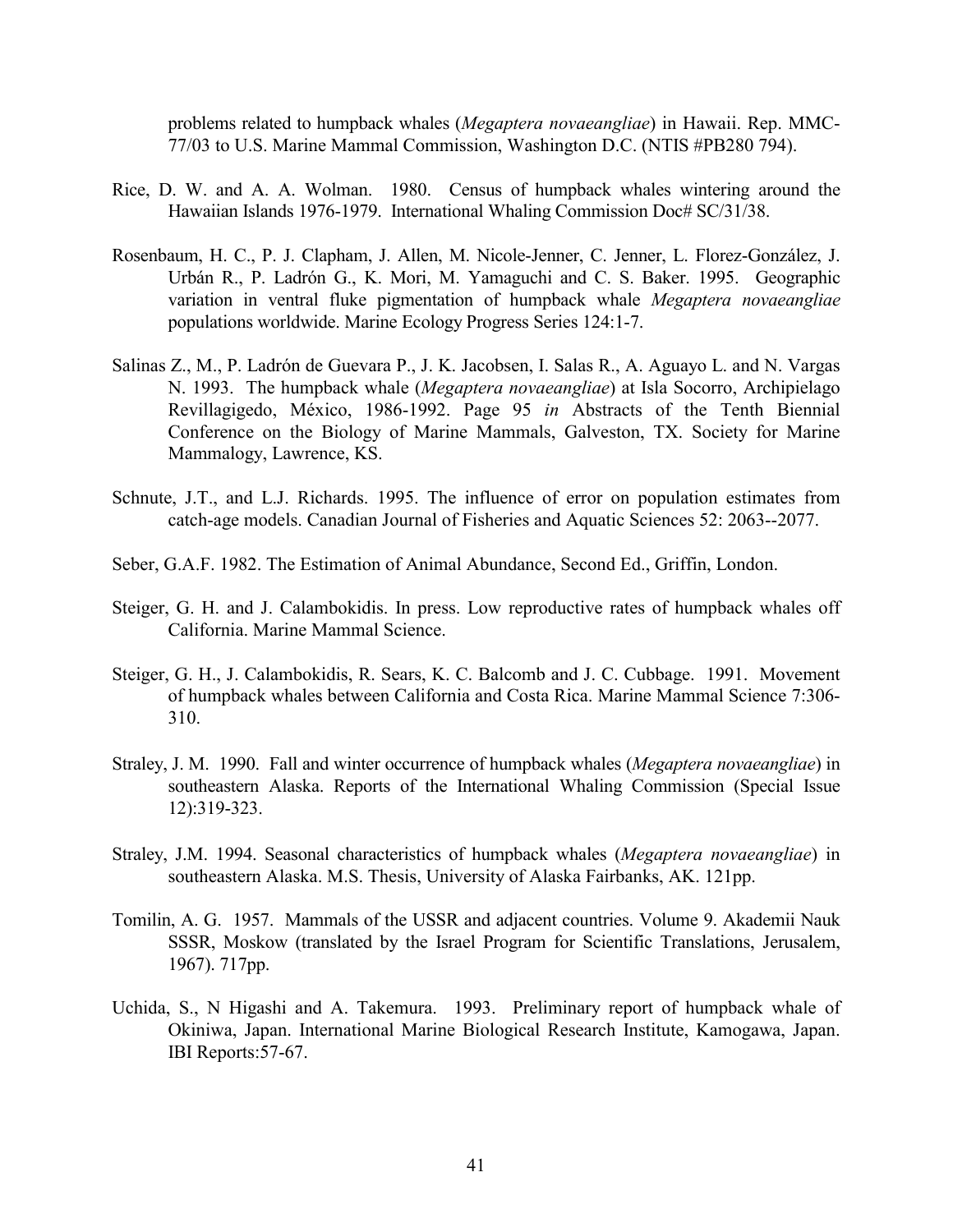problems related to humpback whales (*Megaptera novaeangliae*) in Hawaii. Rep. MMC-77/03 to U.S. Marine Mammal Commission, Washington D.C. (NTIS #PB280 794).

- Rice, D. W. and A. A. Wolman. 1980. Census of humpback whales wintering around the Hawaiian Islands 1976-1979. International Whaling Commission Doc# SC/31/38.
- Rosenbaum, H. C., P. J. Clapham, J. Allen, M. Nicole-Jenner, C. Jenner, L. Florez-González, J. Urbán R., P. Ladrón G., K. Mori, M. Yamaguchi and C. S. Baker. 1995. Geographic variation in ventral fluke pigmentation of humpback whale *Megaptera novaeangliae* populations worldwide. Marine Ecology Progress Series 124:1-7.
- Salinas Z., M., P. Ladrón de Guevara P., J. K. Jacobsen, I. Salas R., A. Aguayo L. and N. Vargas N. 1993. The humpback whale (*Megaptera novaeangliae*) at Isla Socorro, Archipielago Revillagigedo, México, 1986-1992. Page 95 *in* Abstracts of the Tenth Biennial Conference on the Biology of Marine Mammals, Galveston, TX. Society for Marine Mammalogy, Lawrence, KS.
- Schnute, J.T., and L.J. Richards. 1995. The influence of error on population estimates from catch-age models. Canadian Journal of Fisheries and Aquatic Sciences 52: 2063--2077.
- Seber, G.A.F. 1982. The Estimation of Animal Abundance, Second Ed., Griffin, London.
- Steiger, G. H. and J. Calambokidis. In press. Low reproductive rates of humpback whales off California. Marine Mammal Science.
- Steiger, G. H., J. Calambokidis, R. Sears, K. C. Balcomb and J. C. Cubbage. 1991. Movement of humpback whales between California and Costa Rica. Marine Mammal Science 7:306- 310.
- Straley, J. M. 1990. Fall and winter occurrence of humpback whales (*Megaptera novaeangliae*) in southeastern Alaska. Reports of the International Whaling Commission (Special Issue 12):319-323.
- Straley, J.M. 1994. Seasonal characteristics of humpback whales (*Megaptera novaeangliae*) in southeastern Alaska. M.S. Thesis, University of Alaska Fairbanks, AK. 121pp.
- Tomilin, A. G. 1957. Mammals of the USSR and adjacent countries. Volume 9. Akademii Nauk SSSR, Moskow (translated by the Israel Program for Scientific Translations, Jerusalem, 1967). 717pp.
- Uchida, S., N Higashi and A. Takemura. 1993. Preliminary report of humpback whale of Okiniwa, Japan. International Marine Biological Research Institute, Kamogawa, Japan. IBI Reports:57-67.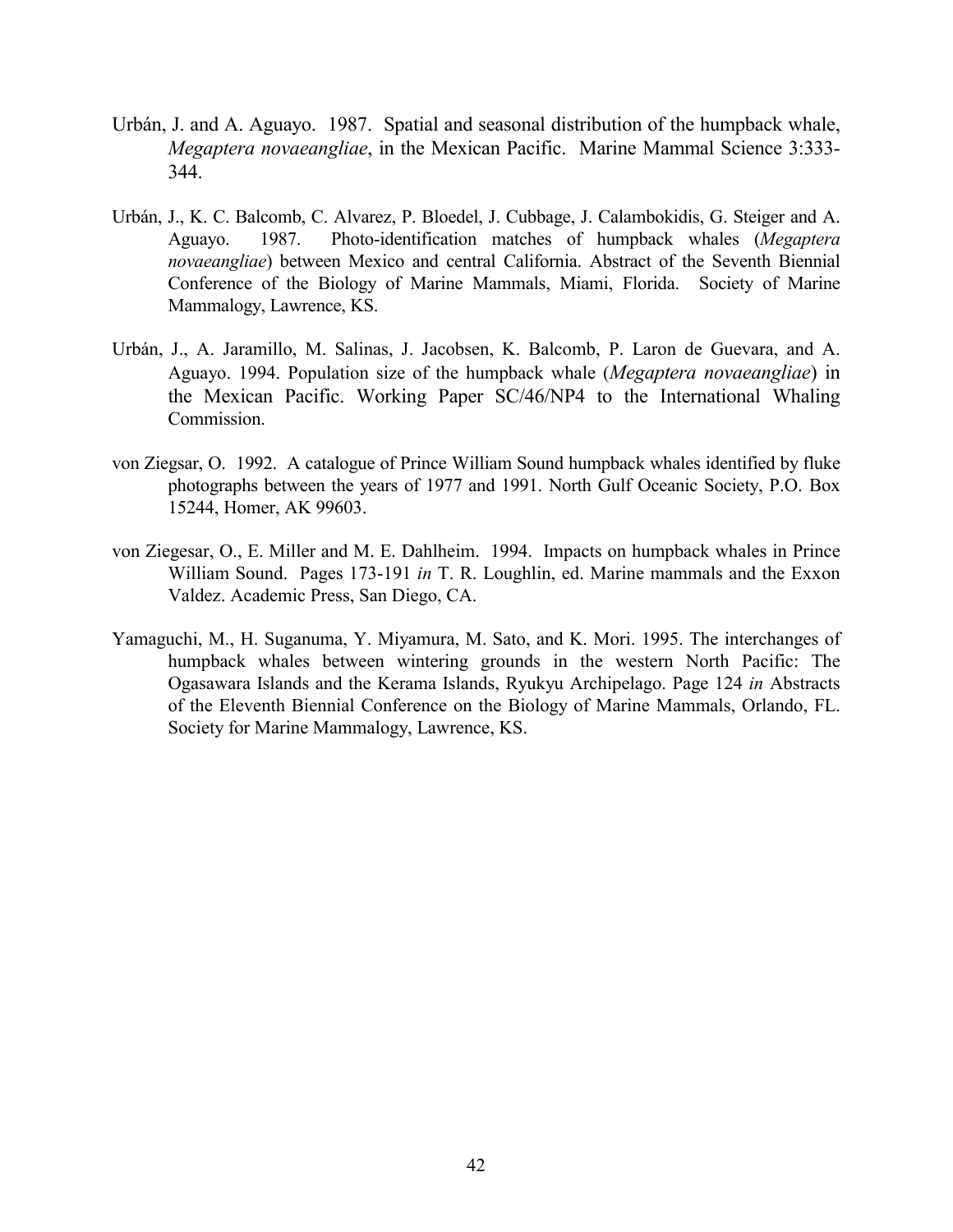- Urbán, J. and A. Aguayo. 1987. Spatial and seasonal distribution of the humpback whale, *Megaptera novaeangliae*, in the Mexican Pacific. Marine Mammal Science 3:333- 344.
- Urbán, J., K. C. Balcomb, C. Alvarez, P. Bloedel, J. Cubbage, J. Calambokidis, G. Steiger and A. Aguayo. 1987. Photo-identification matches of humpback whales (*Megaptera novaeangliae*) between Mexico and central California. Abstract of the Seventh Biennial Conference of the Biology of Marine Mammals, Miami, Florida. Society of Marine Mammalogy, Lawrence, KS.
- Urbán, J., A. Jaramillo, M. Salinas, J. Jacobsen, K. Balcomb, P. Laron de Guevara, and A. Aguayo. 1994. Population size of the humpback whale (*Megaptera novaeangliae*) in the Mexican Pacific. Working Paper SC/46/NP4 to the International Whaling Commission.
- von Ziegsar, O. 1992. A catalogue of Prince William Sound humpback whales identified by fluke photographs between the years of 1977 and 1991. North Gulf Oceanic Society, P.O. Box 15244, Homer, AK 99603.
- von Ziegesar, O., E. Miller and M. E. Dahlheim. 1994. Impacts on humpback whales in Prince William Sound. Pages 173-191 *in* T. R. Loughlin, ed. Marine mammals and the Exxon Valdez. Academic Press, San Diego, CA.
- Yamaguchi, M., H. Suganuma, Y. Miyamura, M. Sato, and K. Mori. 1995. The interchanges of humpback whales between wintering grounds in the western North Pacific: The Ogasawara Islands and the Kerama Islands, Ryukyu Archipelago. Page 124 *in* Abstracts of the Eleventh Biennial Conference on the Biology of Marine Mammals, Orlando, FL. Society for Marine Mammalogy, Lawrence, KS.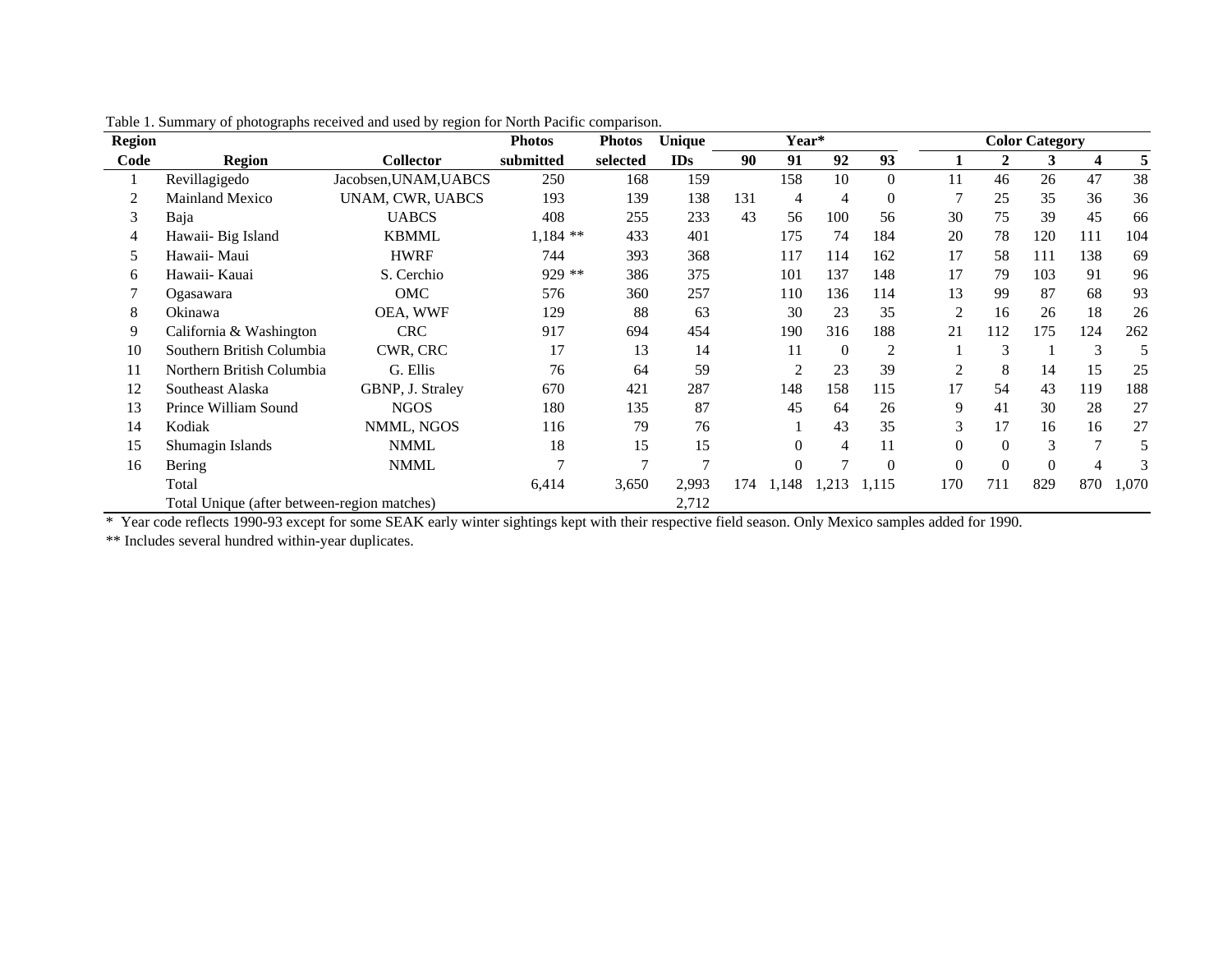| <b>Region</b> |                                             |                       | <b>Photos</b> | <b>Photos</b> | Unique     | Year* |                |                |                |                |          | <b>Color Category</b> |     |       |
|---------------|---------------------------------------------|-----------------------|---------------|---------------|------------|-------|----------------|----------------|----------------|----------------|----------|-----------------------|-----|-------|
| Code          | <b>Region</b>                               | <b>Collector</b>      | submitted     | selected      | <b>IDs</b> | 90    | 91             | 92             | 93             |                | 2        | 3                     | 4   | 5     |
|               | Revillagigedo                               | Jacobsen, UNAM, UABCS | 250           | 168           | 159        |       | 158            | 10             | $\overline{0}$ | 11             | 46       | 26                    | 47  | 38    |
|               | <b>Mainland Mexico</b>                      | UNAM, CWR, UABCS      | 193           | 139           | 138        | 131   | 4              | $\overline{4}$ | $\theta$       |                | 25       | 35                    | 36  | 36    |
| 3             | Baja                                        | <b>UABCS</b>          | 408           | 255           | 233        | 43    | 56             | 100            | 56             | 30             | 75       | 39                    | 45  | 66    |
|               | Hawaii- Big Island                          | <b>KBMML</b>          | $1,184$ **    | 433           | 401        |       | 175            | 74             | 184            | 20             | 78       | 120                   | 111 | 104   |
| 5             | Hawaii- Maui                                | <b>HWRF</b>           | 744           | 393           | 368        |       | 117            | 114            | 162            | 17             | 58       | 111                   | 138 | 69    |
| 6             | Hawaii- Kauai                               | S. Cerchio            | 929 **        | 386           | 375        |       | 101            | 137            | 148            | 17             | 79       | 103                   | 91  | 96    |
|               | Ogasawara                                   | OMC                   | 576           | 360           | 257        |       | 110            | 136            | 114            | 13             | 99       | 87                    | 68  | 93    |
| 8             | Okinawa                                     | OEA, WWF              | 129           | 88            | 63         |       | 30             | 23             | 35             | 2              | 16       | 26                    | 18  | 26    |
| 9             | California & Washington                     | <b>CRC</b>            | 917           | 694           | 454        |       | 190            | 316            | 188            | 21             | 112      | 175                   | 124 | 262   |
| 10            | Southern British Columbia                   | CWR, CRC              | 17            | 13            | 14         |       | 11             | $\Omega$       | $\overline{2}$ |                | 3        |                       | 3   | 5     |
| 11            | Northern British Columbia                   | G. Ellis              | 76            | 64            | 59         |       | $\overline{2}$ | 23             | 39             | $\overline{2}$ | 8        | 14                    | 15  | 25    |
| 12            | Southeast Alaska                            | GBNP, J. Straley      | 670           | 421           | 287        |       | 148            | 158            | 115            | 17             | 54       | 43                    | 119 | 188   |
| 13            | Prince William Sound                        | <b>NGOS</b>           | 180           | 135           | 87         |       | 45             | 64             | 26             | 9              | 41       | 30                    | 28  | 27    |
| 14            | Kodiak                                      | NMML, NGOS            | 116           | 79            | 76         |       |                | 43             | 35             | 3              | 17       | 16                    | 16  | 27    |
| 15            | Shumagin Islands                            | NMML                  | 18            | 15            | 15         |       | $\Omega$       | 4              | 11             | $\Omega$       | $\Omega$ | 3                     |     | 5     |
| 16            | Bering                                      | <b>NMML</b>           |               |               |            |       | $\theta$       |                | $\theta$       |                | $\theta$ | $\theta$              |     | 3     |
|               | Total                                       |                       | 6,414         | 3,650         | 2,993      | 174   | 1,148          | 1,213          | 1,115          | 170            | 711      | 829                   | 870 | 1,070 |
|               | Total Unique (after between-region matches) |                       |               |               | 2,712      |       |                |                |                |                |          |                       |     |       |

Table 1. Summary of photographs received and used by region for North Pacific comparison.

\* Year code reflects 1990-93 except for some SEAK early winter sightings kept with their respective field season. Only Mexico samples added for 1990.

\*\* Includes several hundred within-year duplicates.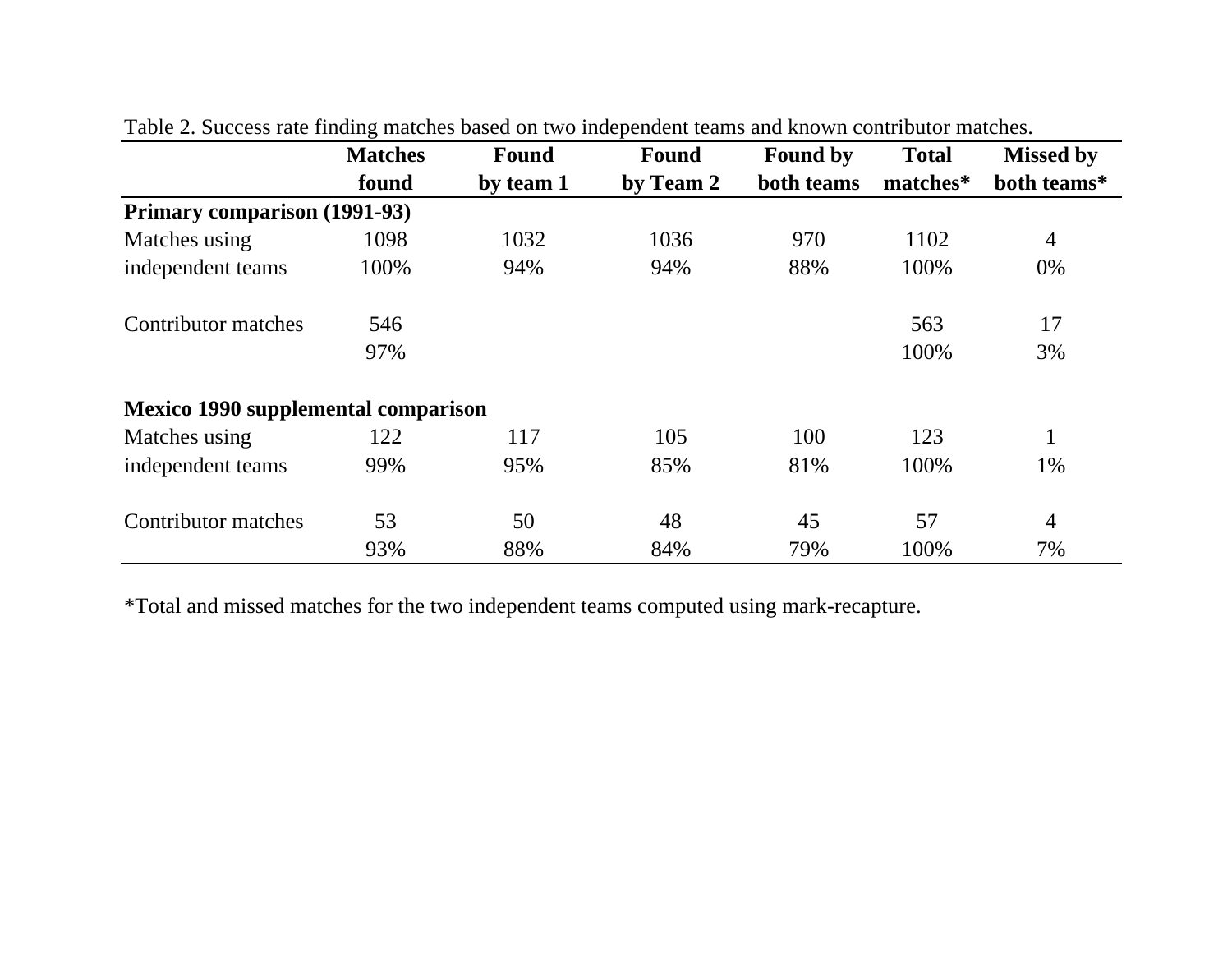|                                            | <b>Matches</b> | <b>Found</b> | <b>Found</b> | <b>Found by</b> | <b>Total</b> | <b>Missed by</b> |
|--------------------------------------------|----------------|--------------|--------------|-----------------|--------------|------------------|
|                                            | found          | by team 1    | by Team 2    | both teams      | matches*     | both teams*      |
| Primary comparison (1991-93)               |                |              |              |                 |              |                  |
| Matches using                              | 1098           | 1032         | 1036         | 970             | 1102         | $\overline{4}$   |
| independent teams                          | 100%           | 94%          | 94%          | 88%             | 100%         | 0%               |
| Contributor matches                        | 546            |              |              |                 | 563          | 17               |
|                                            | 97%            |              |              |                 | 100%         | 3%               |
| <b>Mexico 1990 supplemental comparison</b> |                |              |              |                 |              |                  |
| Matches using                              | 122            | 117          | 105          | 100             | 123          |                  |
| independent teams                          | 99%            | 95%          | 85%          | 81%             | 100%         | 1%               |
| Contributor matches                        | 53             | 50           | 48           | 45              | 57           | $\overline{4}$   |
|                                            | 93%            | 88%          | 84%          | 79%             | 100%         | 7%               |

| Table 2. Success rate finding matches based on two independent teams and known contributor matches. |  |  |  |  |
|-----------------------------------------------------------------------------------------------------|--|--|--|--|
|                                                                                                     |  |  |  |  |

\*Total and missed matches for the two independent teams computed using mark-recapture.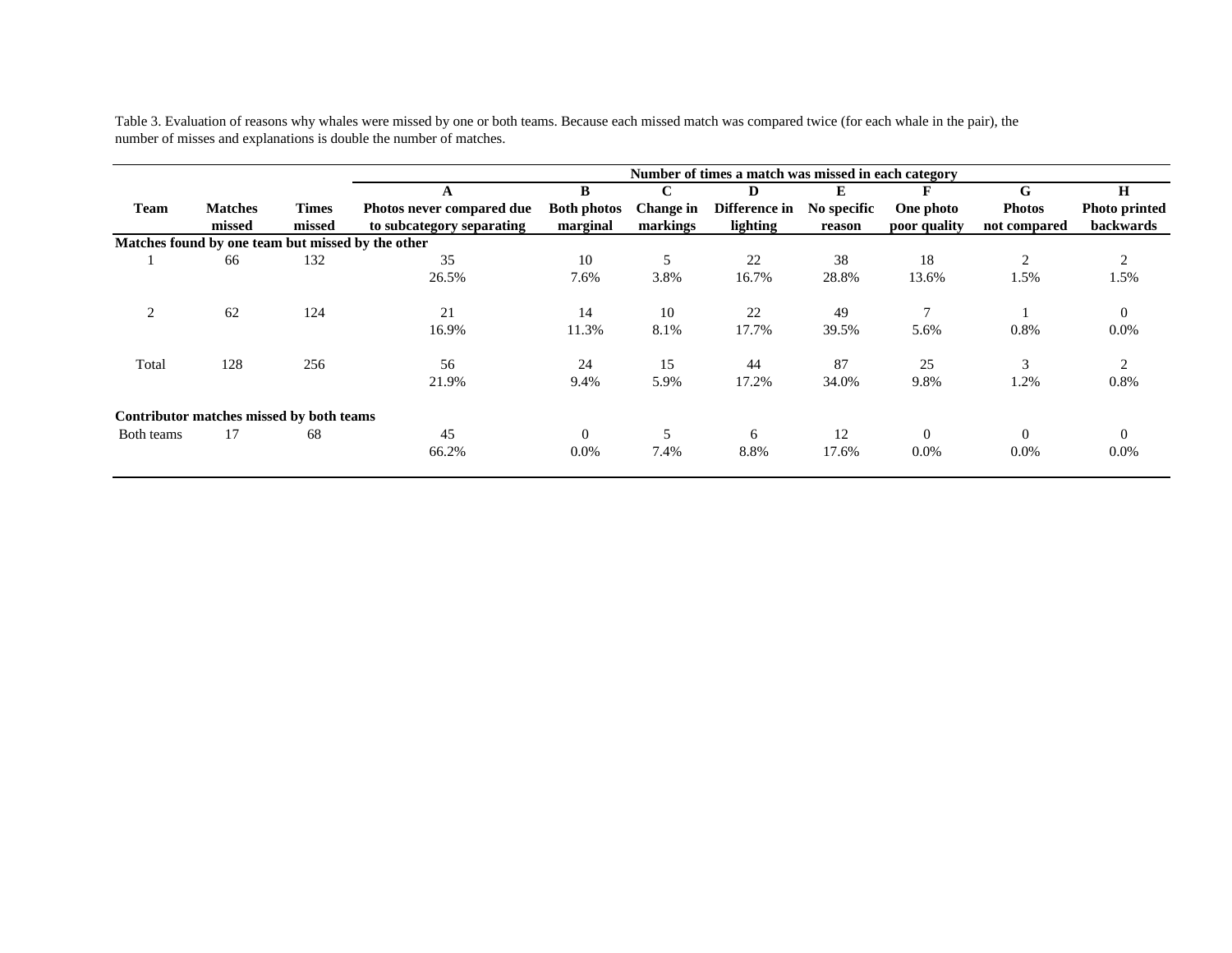Table 3. Evaluation of reasons why whales were missed by one or both teams. Because each missed match was compared twice (for each whale in the pair), the number of misses and explanations is double the number of matches.

|                |                                                   |              |                           |                    |                  | Number of times a match was missed in each category |             |               |               |                      |
|----------------|---------------------------------------------------|--------------|---------------------------|--------------------|------------------|-----------------------------------------------------|-------------|---------------|---------------|----------------------|
|                |                                                   |              |                           | B                  | $\mathbf C$      | D                                                   | E           |               | G             | H                    |
| <b>Team</b>    | <b>Matches</b>                                    | <b>Times</b> | Photos never compared due | <b>Both photos</b> | <b>Change in</b> | Difference in                                       | No specific | One photo     | <b>Photos</b> | <b>Photo printed</b> |
|                | missed                                            | missed       | to subcategory separating | marginal           | markings         | lighting                                            | reason      | poor quality  | not compared  | backwards            |
|                | Matches found by one team but missed by the other |              |                           |                    |                  |                                                     |             |               |               |                      |
|                | 66                                                | 132          | 35                        | 10                 | 5                | 22                                                  | 38          | 18            | 2             | 2                    |
|                |                                                   |              | 26.5%                     | 7.6%               | 3.8%             | 16.7%                                               | 28.8%       | 13.6%         | 1.5%          | 1.5%                 |
| $\overline{2}$ | 62                                                | 124          | 21                        | 14                 | 10               | 22                                                  | 49          | $\mathcal{I}$ |               | $\overline{0}$       |
|                |                                                   |              | 16.9%                     | 11.3%              | 8.1%             | 17.7%                                               | 39.5%       | 5.6%          | 0.8%          | $0.0\%$              |
| Total          | 128                                               | 256          | 56                        | 24                 | 15               | 44                                                  | 87          | 25            | 3             | 2                    |
|                |                                                   |              | 21.9%                     | 9.4%               | 5.9%             | 17.2%                                               | 34.0%       | 9.8%          | 1.2%          | 0.8%                 |
|                | Contributor matches missed by both teams          |              |                           |                    |                  |                                                     |             |               |               |                      |
| Both teams     | 17                                                | 68           | 45                        | $\Omega$           | 5                | 6                                                   | 12          | $\Omega$      | $\Omega$      | $\Omega$             |
|                |                                                   |              | 66.2%                     | $0.0\%$            | 7.4%             | 8.8%                                                | 17.6%       | $0.0\%$       | $0.0\%$       | $0.0\%$              |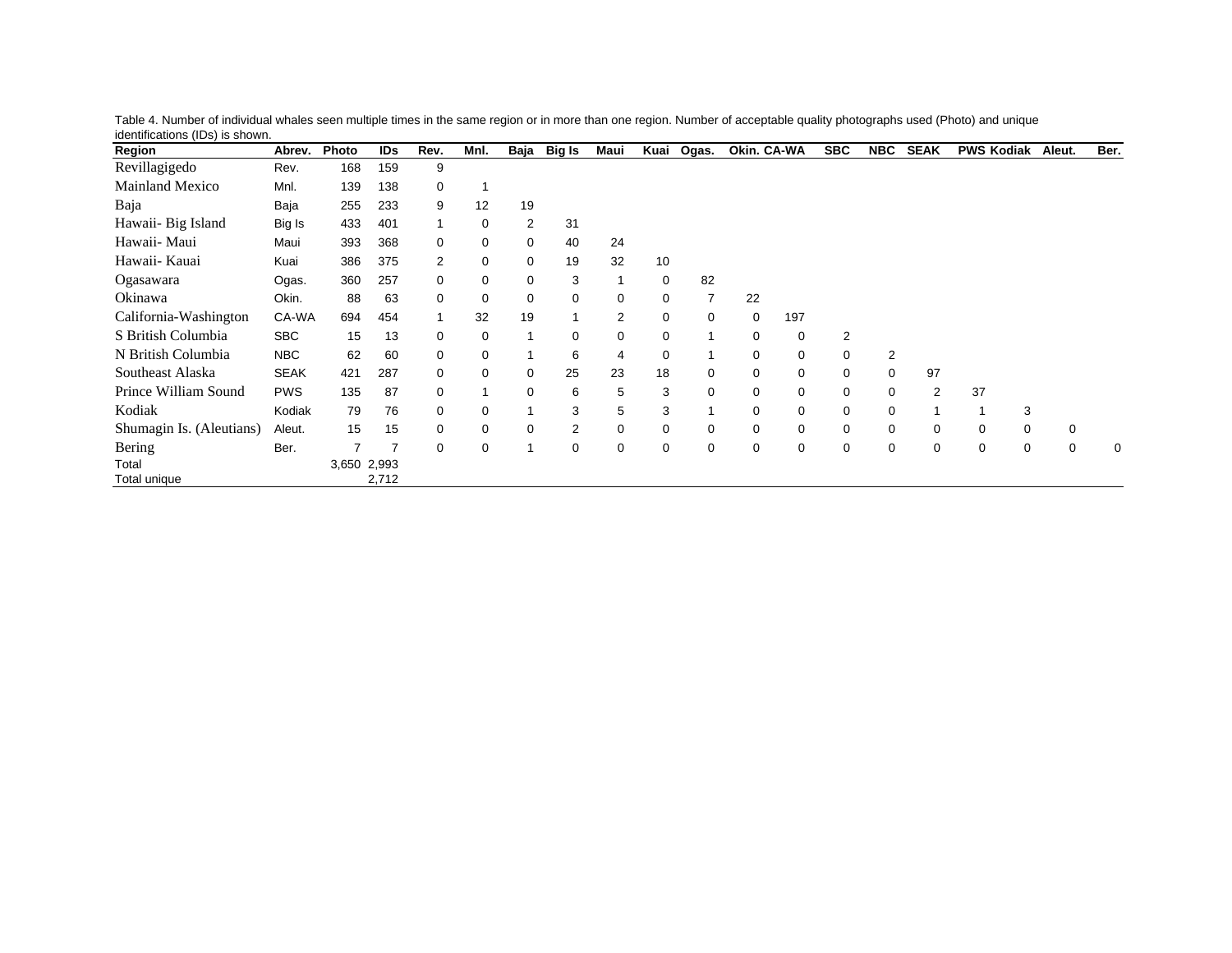| Region                   | Abrev.      | Photo       | IDs   | Rev.         | Mnl.        | Baja           | Big Is         | Maui           | Kuai        | Ogas.        | Okin. CA-WA |     | <b>SBC</b>     | <b>NBC</b> | <b>SEAK</b> | <b>PWS Kodiak</b> | Aleut.      | Ber. |
|--------------------------|-------------|-------------|-------|--------------|-------------|----------------|----------------|----------------|-------------|--------------|-------------|-----|----------------|------------|-------------|-------------------|-------------|------|
| Revillagigedo            | Rev.        | 168         | 159   | 9            |             |                |                |                |             |              |             |     |                |            |             |                   |             |      |
| <b>Mainland Mexico</b>   | Mnl.        | 139         | 138   | 0            |             |                |                |                |             |              |             |     |                |            |             |                   |             |      |
| Baja                     | Baja        | 255         | 233   | 9            | 12          | 19             |                |                |             |              |             |     |                |            |             |                   |             |      |
| Hawaii- Big Island       | Big Is      | 433         | 401   | $\mathbf 1$  | 0           | $\overline{2}$ | 31             |                |             |              |             |     |                |            |             |                   |             |      |
| Hawaii- Maui             | Maui        | 393         | 368   | 0            | 0           | $\mathbf 0$    | 40             | 24             |             |              |             |     |                |            |             |                   |             |      |
| Hawaii- Kauai            | Kuai        | 386         | 375   | 2            | 0           | $\mathbf 0$    | 19             | 32             | 10          |              |             |     |                |            |             |                   |             |      |
| Ogasawara                | Ogas.       | 360         | 257   | 0            | $\mathbf 0$ | $\mathbf 0$    | 3              |                | 0           | 82           |             |     |                |            |             |                   |             |      |
| Okinawa                  | Okin.       | 88          | 63    | 0            | $\mathbf 0$ | $\mathbf 0$    | 0              | 0              | $\mathbf 0$ | 7            | 22          |     |                |            |             |                   |             |      |
| California-Washington    | CA-WA       | 694         | 454   | $\mathbf{1}$ | 32          | 19             | $\mathbf{1}$   | $\overline{2}$ | $\mathbf 0$ | 0            | $\mathbf 0$ | 197 |                |            |             |                   |             |      |
| S British Columbia       | <b>SBC</b>  | 15          | 13    | 0            | 0           | 1              | 0              | 0              | 0           | 1            | 0           | 0   | $\overline{2}$ |            |             |                   |             |      |
| N British Columbia       | <b>NBC</b>  | 62          | 60    | 0            | 0           | 1              | 6              | 4              | 0           | 1            | 0           | 0   | 0              | 2          |             |                   |             |      |
| Southeast Alaska         | <b>SEAK</b> | 421         | 287   | 0            | 0           | 0              | 25             | 23             | 18          | 0            | 0           | 0   | 0              | 0          | 97          |                   |             |      |
| Prince William Sound     | <b>PWS</b>  | 135         | 87    | 0            |             | 0              | 6              | 5              | 3           | 0            | 0           | 0   | 0              | 0          | 2           | 37                |             |      |
| Kodiak                   | Kodiak      | 79          | 76    | 0            | 0           | 1              | 3              | 5              | 3           | $\mathbf{1}$ | 0           | 0   | 0              | 0          |             | 3                 |             |      |
| Shumagin Is. (Aleutians) | Aleut.      | 15          | 15    | 0            | 0           | $\mathbf 0$    | $\overline{2}$ | 0              | $\mathbf 0$ | 0            | 0           | 0   | 0              | 0          | 0           | 0<br>0            | 0           |      |
| Bering                   | Ber.        |             |       | 0            | 0           | 1              | 0              | 0              | 0           | 0            | 0           | 0   | 0              | 0          | 0           | 0<br>0            | $\mathbf 0$ | 0    |
| Total                    |             | 3,650 2,993 |       |              |             |                |                |                |             |              |             |     |                |            |             |                   |             |      |
| Total unique             |             |             | 2,712 |              |             |                |                |                |             |              |             |     |                |            |             |                   |             |      |

Table 4. Number of individual whales seen multiple times in the same region or in more than one region. Number of acceptable quality photographs used (Photo) and unique identifications (IDs) is shown.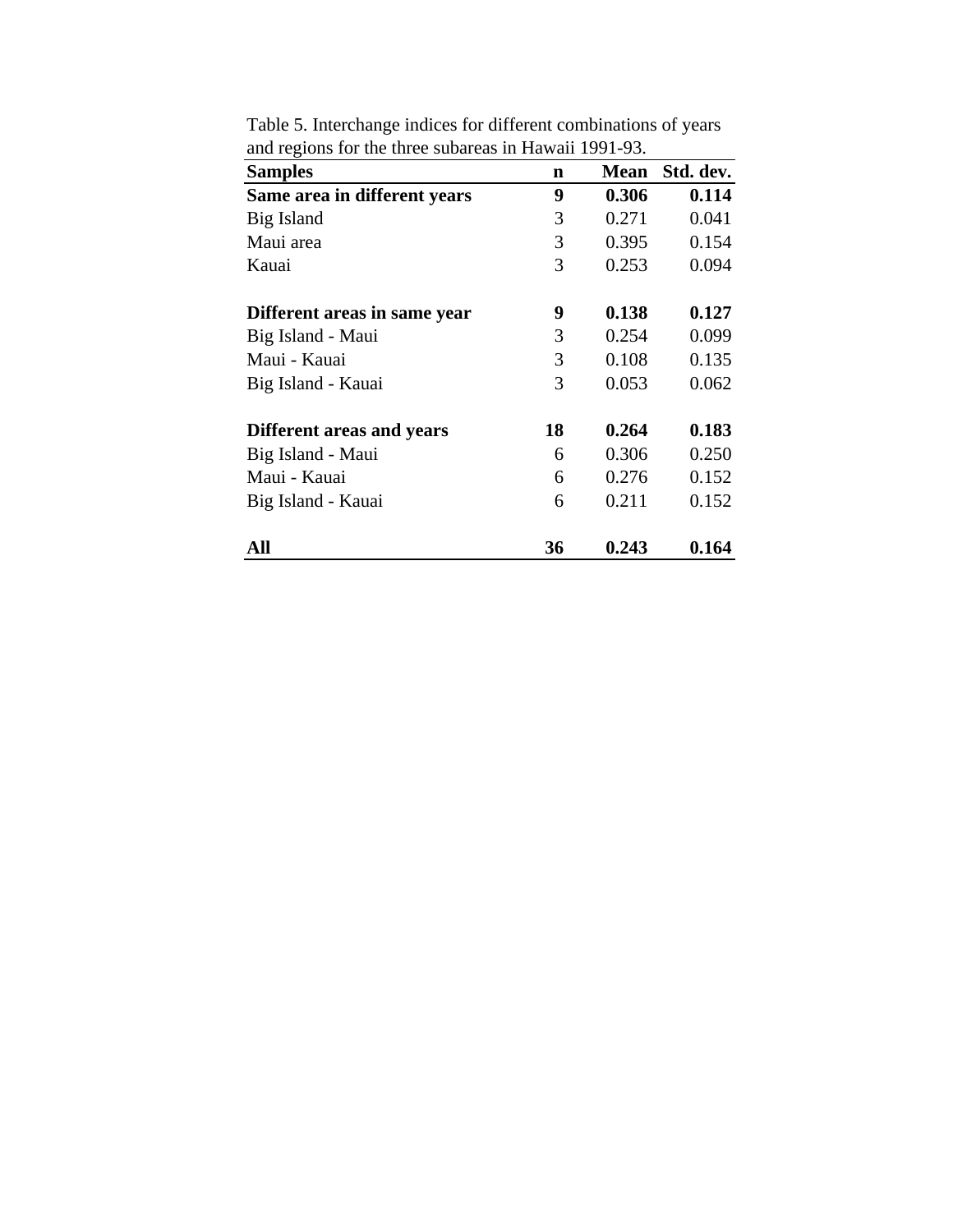| <b>Samples</b>               | $\mathbf n$ | Mean  | Std. dev. |
|------------------------------|-------------|-------|-----------|
| Same area in different years | 9           | 0.306 | 0.114     |
| Big Island                   | 3           | 0.271 | 0.041     |
| Maui area                    | 3           | 0.395 | 0.154     |
| Kauai                        | 3           | 0.253 | 0.094     |
| Different areas in same year | 9           | 0.138 | 0.127     |
| Big Island - Maui            | 3           | 0.254 | 0.099     |
| Maui - Kauai                 | 3           | 0.108 | 0.135     |
| Big Island - Kauai           | 3           | 0.053 | 0.062     |
| Different areas and years    | 18          | 0.264 | 0.183     |
| Big Island - Maui            | 6           | 0.306 | 0.250     |
| Maui - Kauai                 | 6           | 0.276 | 0.152     |
| Big Island - Kauai           | 6           | 0.211 | 0.152     |
| All                          | 36          | 0.243 | 0.164     |

Table 5. Interchange indices for different combinations of years and regions for the three subareas in Hawaii 1991-93.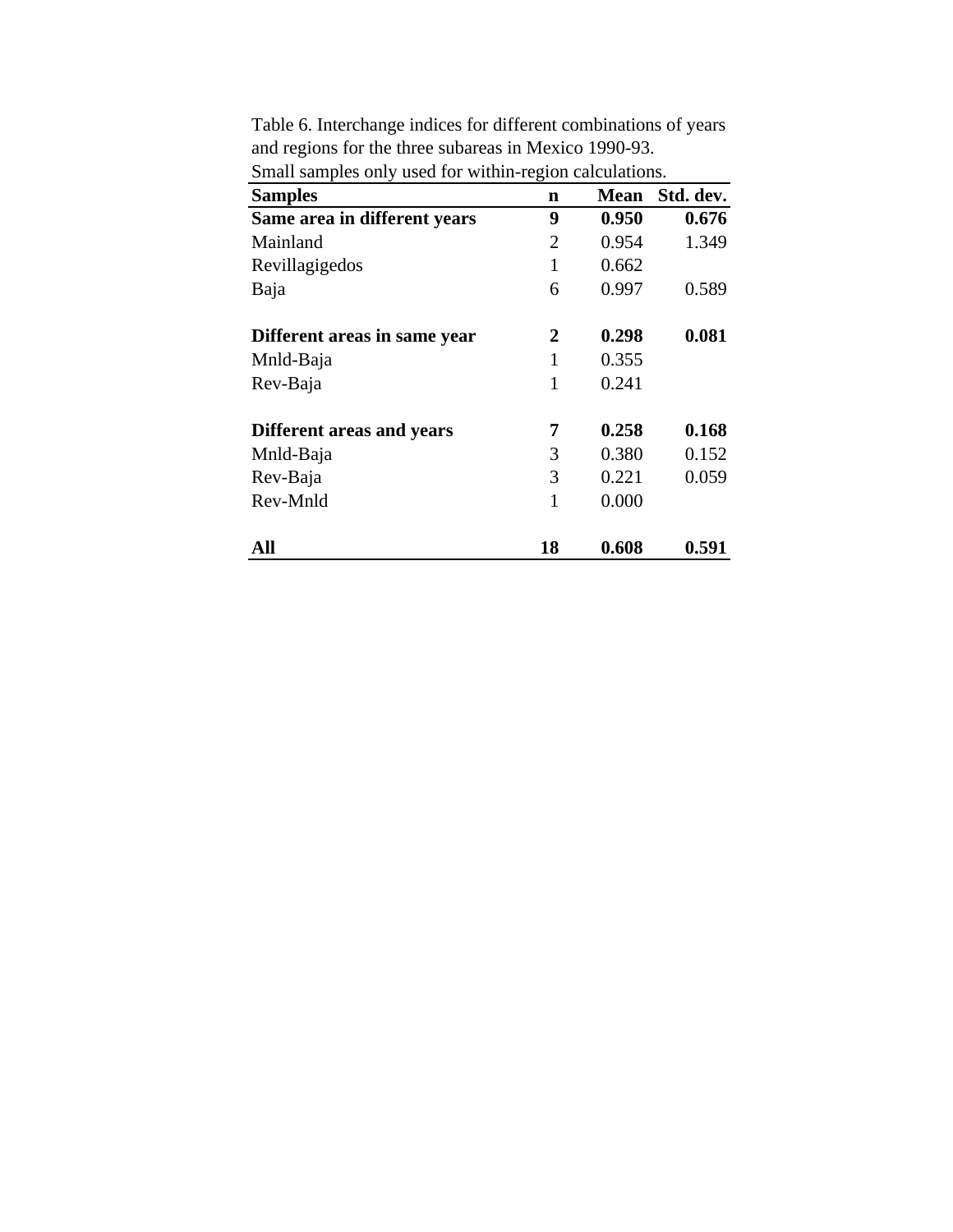| <b>Samples</b>               | $\mathbf n$ | <b>Mean</b> | Std. dev. |
|------------------------------|-------------|-------------|-----------|
| Same area in different years | 9           | 0.950       | 0.676     |
| Mainland                     | 2           | 0.954       | 1.349     |
| Revillagigedos               | 1           | 0.662       |           |
| Baja                         | 6           | 0.997       | 0.589     |
| Different areas in same year | 2           | 0.298       | 0.081     |
| Mnld-Baja                    | 1           | 0.355       |           |
| Rev-Baja                     | 1           | 0.241       |           |
| Different areas and years    | 7           | 0.258       | 0.168     |
| Mnld-Baja                    | 3           | 0.380       | 0.152     |
| Rev-Baja                     | 3           | 0.221       | 0.059     |
| Rev-Mnld                     | 1           | 0.000       |           |
| All                          | 18          | 0.608       | 0.591     |

Table 6. Interchange indices for different combinations of years and regions for the three subareas in Mexico 1990-93. Small samples only used for within-region calculations.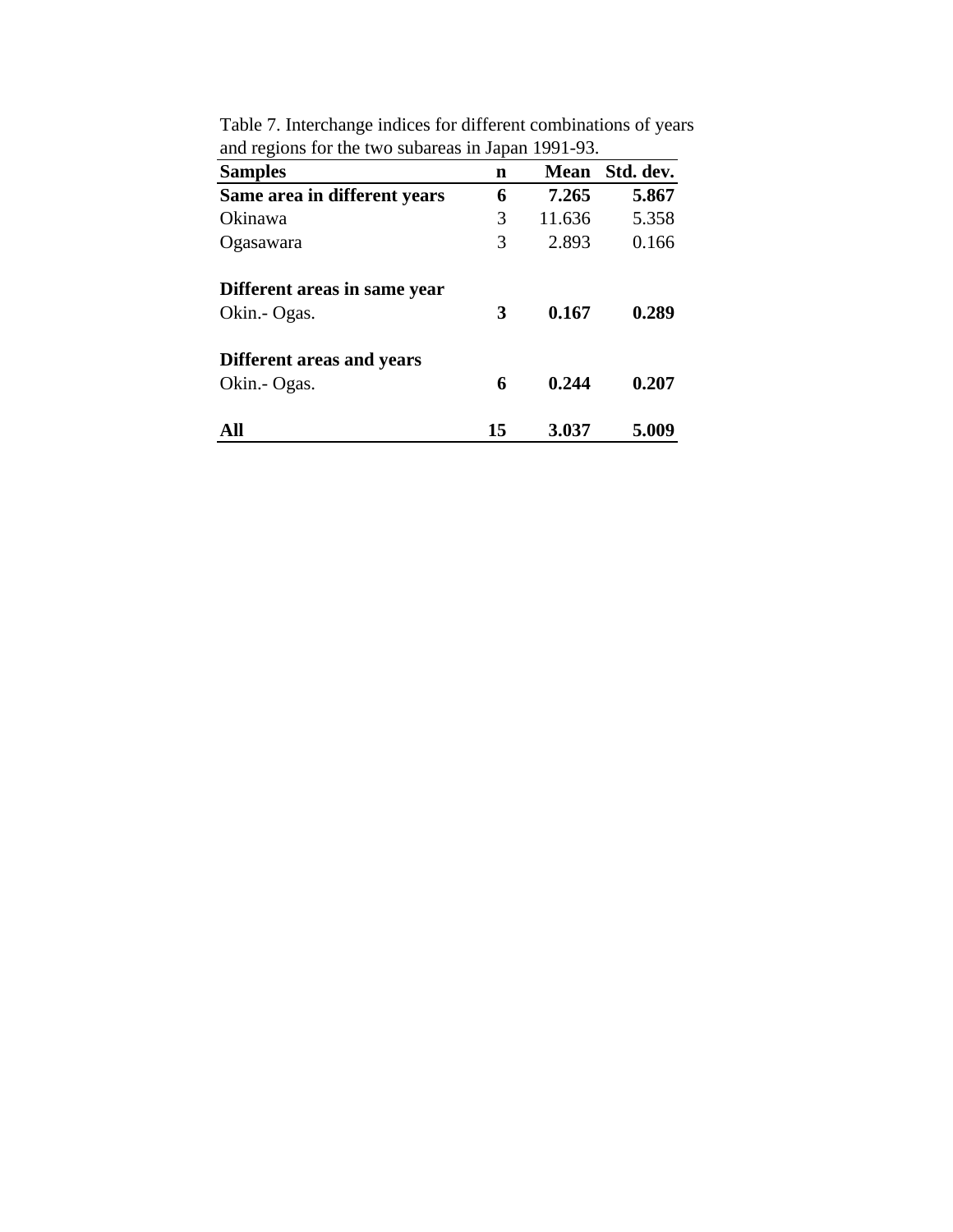| <b>Samples</b>               | n  | <b>Mean</b> | Std. dev. |
|------------------------------|----|-------------|-----------|
| Same area in different years | 6  | 7.265       | 5.867     |
| Okinawa                      | 3  | 11.636      | 5.358     |
| Ogasawara                    | 3  | 2.893       | 0.166     |
| Different areas in same year |    |             |           |
| Okin.- Ogas.                 | 3  | 0.167       | 0.289     |
| Different areas and years    |    |             |           |
| Okin.- Ogas.                 | 6  | 0.244       | 0.207     |
| All                          | 15 | 3.037       | 5.009     |

Table 7. Interchange indices for different combinations of years and regions for the two subareas in Japan 1991-93.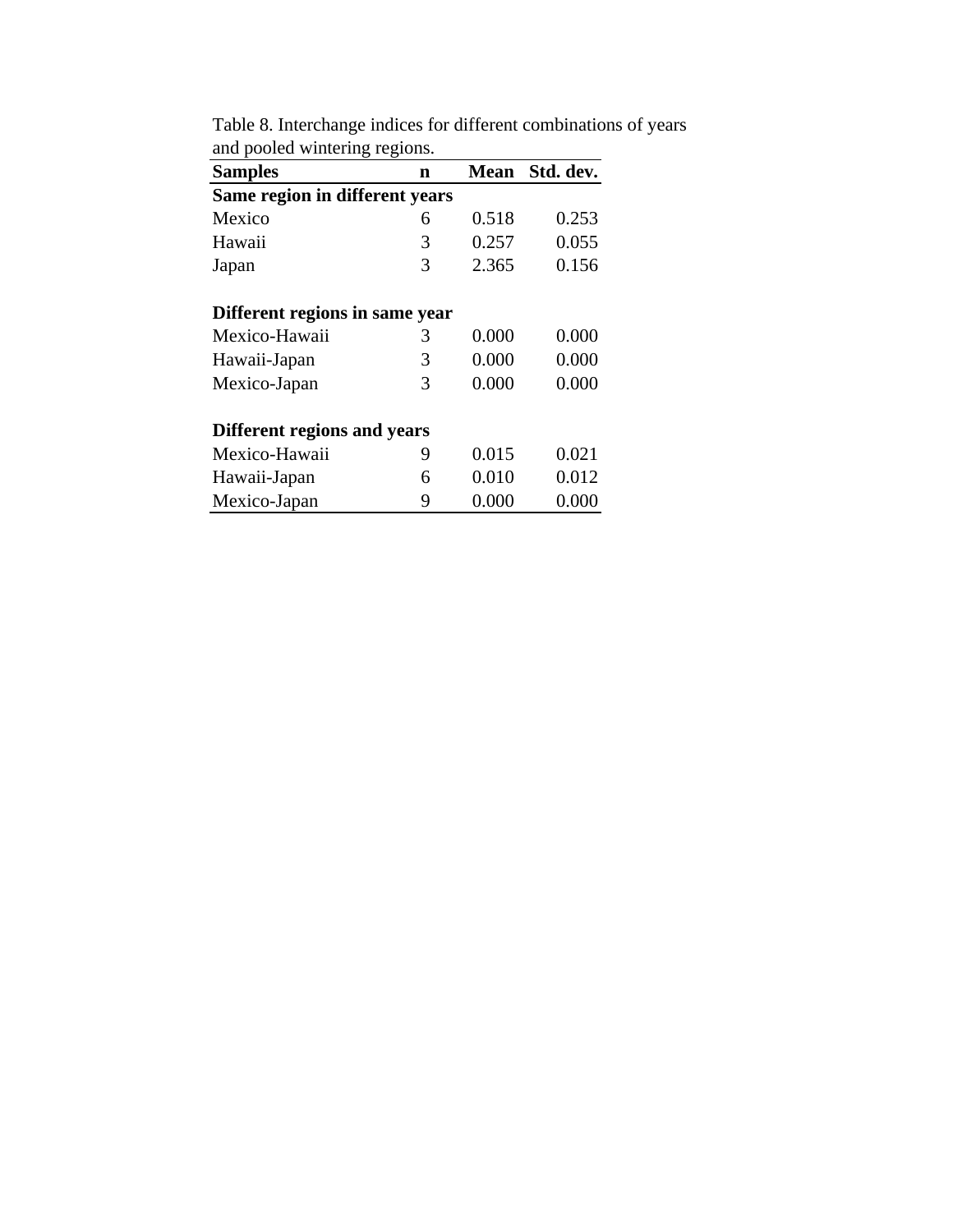| <b>Samples</b>                 | $\mathbf n$ | <b>Mean</b> | Std. dev. |  |  |  |  |  |  |
|--------------------------------|-------------|-------------|-----------|--|--|--|--|--|--|
| Same region in different years |             |             |           |  |  |  |  |  |  |
| Mexico                         | 6           | 0.518       | 0.253     |  |  |  |  |  |  |
| Hawaii                         | 3           | 0.257       | 0.055     |  |  |  |  |  |  |
| Japan                          | 3           | 2.365       | 0.156     |  |  |  |  |  |  |
| Different regions in same year |             |             |           |  |  |  |  |  |  |
| Mexico-Hawaii                  | 3           | 0.000       | 0.000     |  |  |  |  |  |  |
| Hawaii-Japan                   | 3           | 0.000       | 0.000     |  |  |  |  |  |  |
| Mexico-Japan                   | 3           | 0.000       | 0.000     |  |  |  |  |  |  |
| Different regions and years    |             |             |           |  |  |  |  |  |  |
| Mexico-Hawaii                  | 9           | 0.015       | 0.021     |  |  |  |  |  |  |
| Hawaii-Japan                   | 6           | 0.010       | 0.012     |  |  |  |  |  |  |
| Mexico-Japan                   | 9           | 0.000       | 0.000     |  |  |  |  |  |  |

Table 8. Interchange indices for different combinations of years and pooled wintering regions.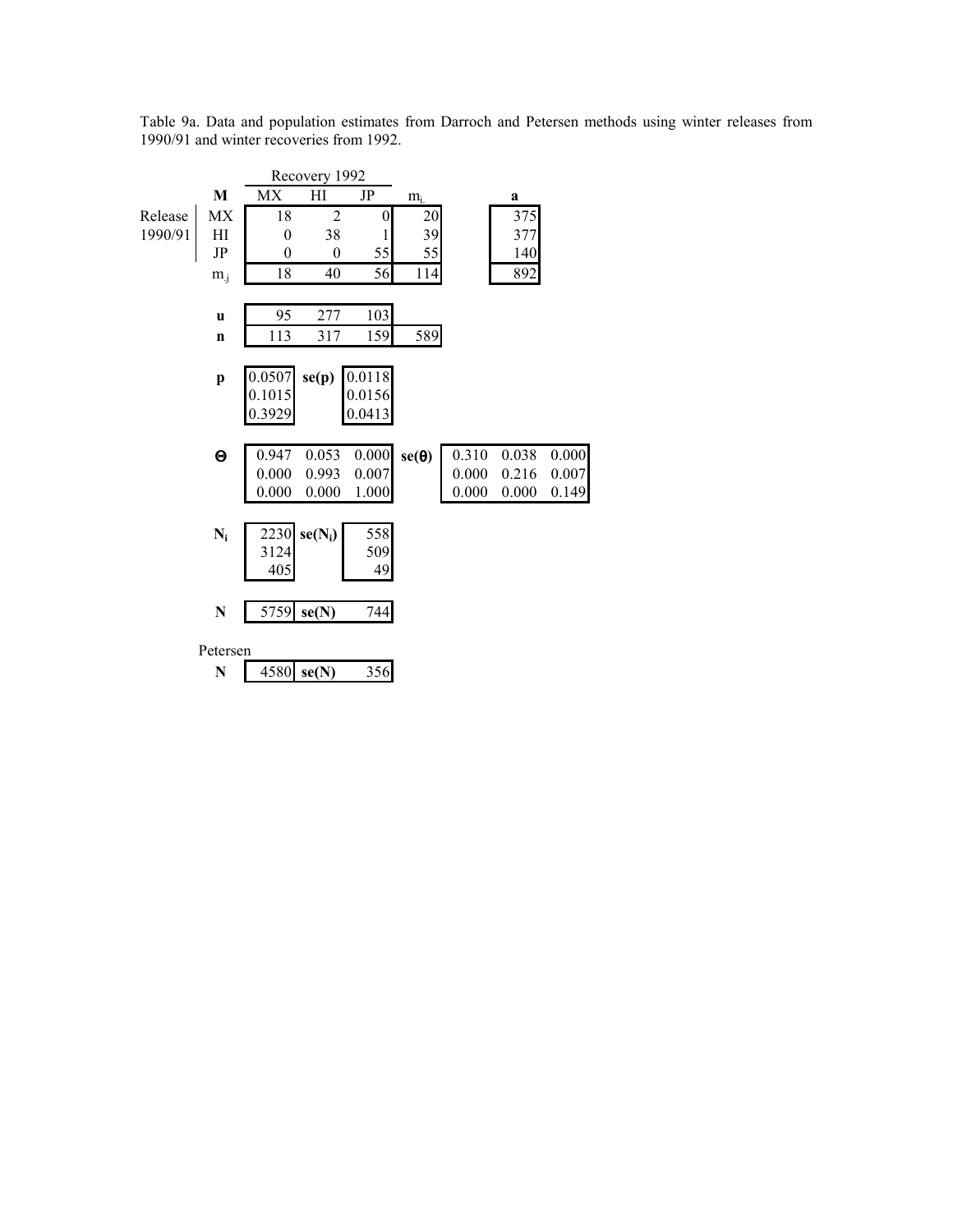Table 9a. Data and population estimates from Darroch and Petersen methods using winter releases from 1990/91 and winter recoveries from 1992.

|         |              |                | Recovery 1992    |        |              |       |       |       |
|---------|--------------|----------------|------------------|--------|--------------|-------|-------|-------|
|         | M            | MX             | H1               | JP     | $m_i$        |       | a     |       |
| Release | MX           | 18             | $\overline{2}$   | 0      | 20           |       | 375   |       |
| 1990/91 | H            | $\overline{0}$ | 38               | 1      | 39           |       | 377   |       |
|         | $\rm{JP}$    | $\theta$       | $\boldsymbol{0}$ | 55     | 55           |       | 140   |       |
|         | $m_{.i}$     | 18             | 40               | 56     | 114          |       | 892   |       |
|         |              |                |                  |        |              |       |       |       |
|         | $\mathbf u$  | 95             | 277              | 103    |              |       |       |       |
|         | $\mathbf n$  | 113            | 317              | 159    | 589          |       |       |       |
|         |              |                |                  |        |              |       |       |       |
|         | $\mathbf{p}$ | 0.0507         | se(p)            | 0.0118 |              |       |       |       |
|         |              | 0.1015         |                  | 0.0156 |              |       |       |       |
|         |              | 0.3929         |                  | 0.0413 |              |       |       |       |
|         |              |                |                  |        |              |       |       |       |
|         | Θ            | 0.947          | 0.053            | 0.000  | $se(\theta)$ | 0.310 | 0.038 | 0.000 |
|         |              | 0.000          | 0.993            | 0.007  |              | 0.000 | 0.216 | 0.007 |
|         |              | 0.000          | 0.000            | 1.000  |              | 0.000 | 0.000 | 0.149 |
|         |              |                |                  |        |              |       |       |       |
|         | $N_i$        | 2230           | $se(N_i)$        | 558    |              |       |       |       |
|         |              | 3124           |                  | 509    |              |       |       |       |
|         |              | 405            |                  | 49     |              |       |       |       |
|         |              |                |                  |        |              |       |       |       |
|         | $\mathbf N$  | 5759           | se(N)            | 744    |              |       |       |       |
|         | Petersen     |                |                  |        |              |       |       |       |
|         | N            | 4580           | se(N)            | 356    |              |       |       |       |
|         |              |                |                  |        |              |       |       |       |
|         |              |                |                  |        |              |       |       |       |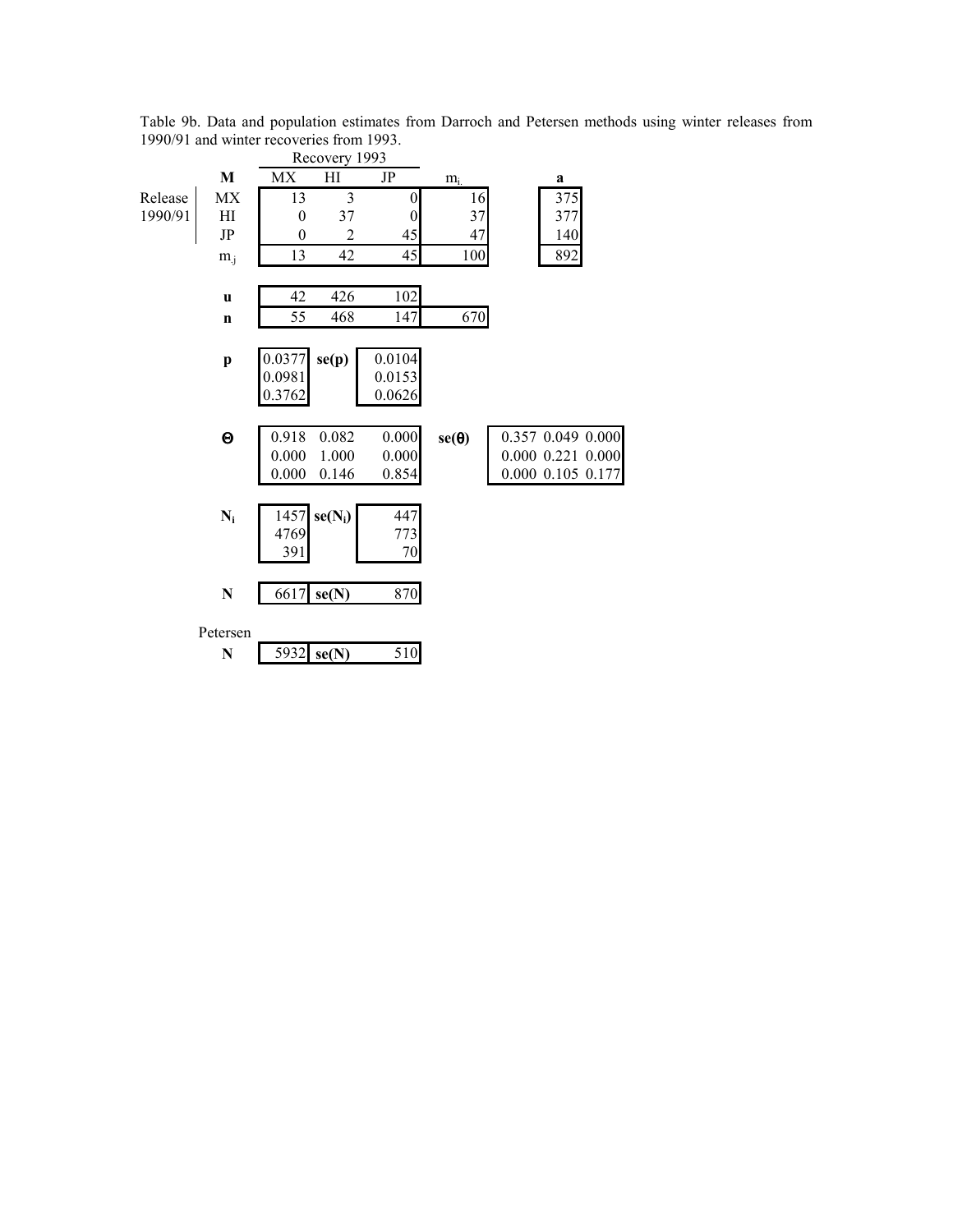|         |              |                         | Recovery 1993  |                  |              |                   |
|---------|--------------|-------------------------|----------------|------------------|--------------|-------------------|
|         | M            | MX                      | H              | $\rm{JP}$        | $m_i$        | a                 |
| Release | MX           | 13                      | 3              | 0                | 16           | 375               |
| 1990/91 | HI           | $\boldsymbol{0}$        | 37             | $\boldsymbol{0}$ | 37           | 377               |
|         | $\rm{JP}$    | $\overline{0}$          | $\overline{c}$ | 45               | 47           | 140               |
|         | $m_{i}$      | 13                      | 42             | 45               | 100          | 892               |
|         |              |                         |                |                  |              |                   |
|         | $\mathbf u$  | 42                      | 426            | 102              |              |                   |
|         | $\mathbf n$  | 55                      | 468            | 147              | 670          |                   |
|         |              |                         |                |                  |              |                   |
|         | $\mathbf{p}$ | $\frac{0.0377}{0.0981}$ | se(p)          | 0.0104           |              |                   |
|         |              |                         |                | 0.0153           |              |                   |
|         |              | 0.3762                  |                | 0.0626           |              |                   |
|         |              |                         |                |                  |              |                   |
|         | $\Theta$     | 0.918                   | 0.082          | 0.000            | $se(\theta)$ | 0.357 0.049 0.000 |
|         |              | 0.000                   | 1.000          | 0.000            |              | 0.000 0.221 0.000 |
|         |              | 0.000                   | 0.146          | 0.854            |              | 0.000 0.105 0.177 |
|         |              |                         |                |                  |              |                   |
|         | $N_i$        | 1457<br>4769            | $se(N_i)$      | 447<br>773       |              |                   |
|         |              | 391                     |                | 70               |              |                   |
|         |              |                         |                |                  |              |                   |
|         | $\mathbf N$  | 6617                    | se(N)          | 870              |              |                   |
|         |              |                         |                |                  |              |                   |
|         | Petersen     |                         |                |                  |              |                   |
|         | N            | 5932                    | se(N)          | 510              |              |                   |
|         |              |                         |                |                  |              |                   |

Table 9b. Data and population estimates from Darroch and Petersen methods using winter releases from 1990/91 and winter recoveries from 1993.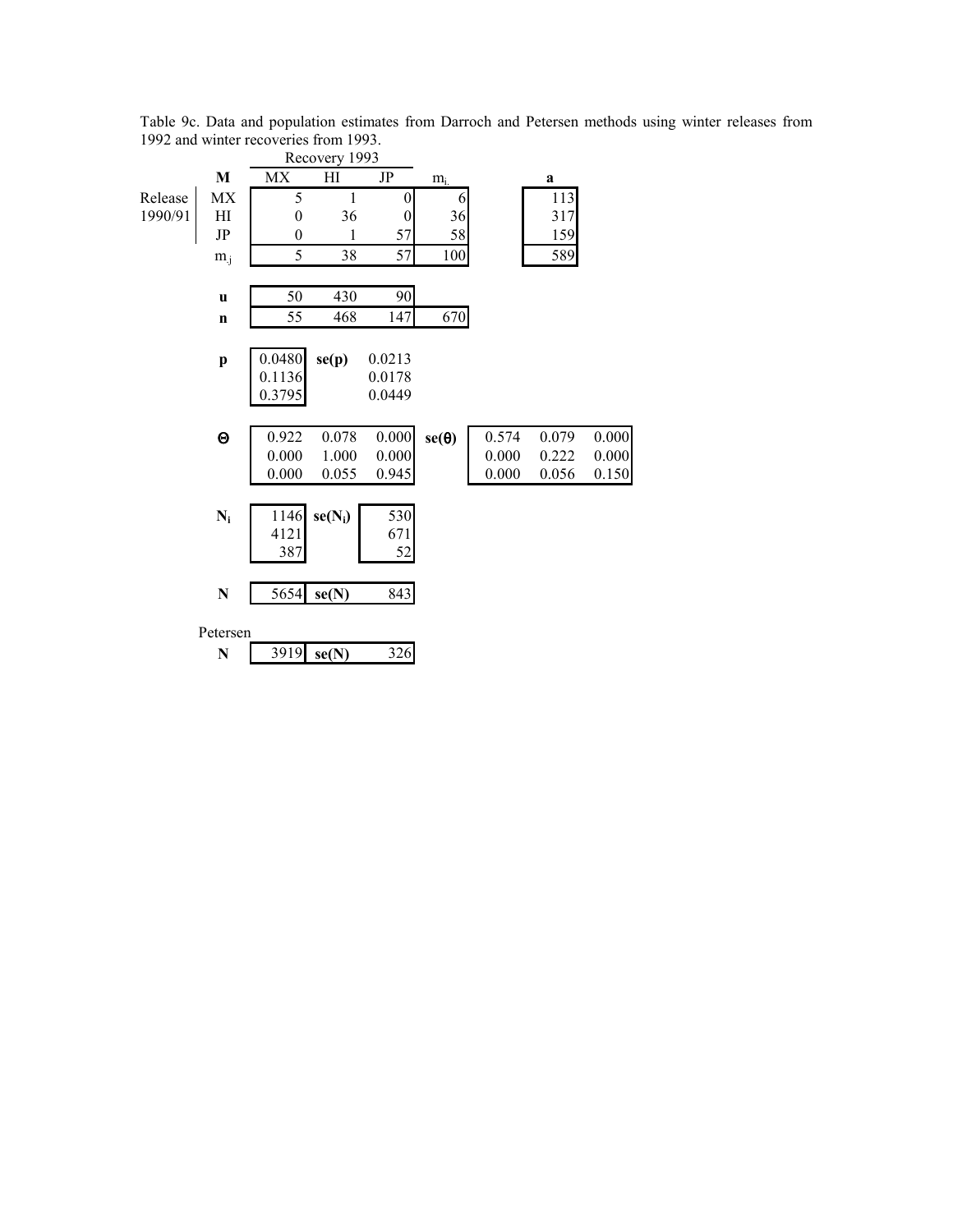|         |              |                  | Recovery 1993 |                  |              |       |             |       |
|---------|--------------|------------------|---------------|------------------|--------------|-------|-------------|-------|
|         | M            | <b>MX</b>        | H1            | JP               | $m_i$        |       | $\mathbf a$ |       |
| Release | MX           | 5                | $\mathbf{1}$  | $\boldsymbol{0}$ | 6            |       | 113         |       |
| 1990/91 | HI           | $\boldsymbol{0}$ | 36            | $\boldsymbol{0}$ | 36           |       | 317         |       |
|         | JP           | $\theta$         | 1             | 57               | 58           |       | 159         |       |
|         | $m_{.j}$     | 5                | 38            | 57               | 100          |       | 589         |       |
|         |              |                  |               |                  |              |       |             |       |
|         | $\mathbf u$  | 50               | 430           | 90               |              |       |             |       |
|         | $\mathbf n$  | 55               | 468           | 147              | 670          |       |             |       |
|         |              |                  |               |                  |              |       |             |       |
|         | $\mathbf{p}$ | 0.0480           | se(p)         | 0.0213           |              |       |             |       |
|         |              | 0.1136           |               | 0.0178           |              |       |             |       |
|         |              | 0.3795           |               | 0.0449           |              |       |             |       |
|         |              |                  |               |                  |              |       |             |       |
|         | $\Theta$     | 0.922            | 0.078         | 0.000            | $se(\theta)$ | 0.574 | 0.079       | 0.000 |
|         |              | 0.000            | 1.000         | 0.000            |              | 0.000 | 0.222       | 0.000 |
|         |              | 0.000            | 0.055         | 0.945            |              | 0.000 | 0.056       | 0.150 |
|         |              |                  |               |                  |              |       |             |       |
|         | $N_i$        | 1146             | $se(N_i)$     | 530              |              |       |             |       |
|         |              | 4121             |               | 671              |              |       |             |       |
|         |              | 387              |               | 52               |              |       |             |       |
|         |              |                  |               |                  |              |       |             |       |
|         | ${\bf N}$    | 5654             | se(N)         | 843              |              |       |             |       |
|         |              |                  |               |                  |              |       |             |       |
|         | Petersen     |                  |               |                  |              |       |             |       |
|         | $\mathbf N$  | 3919             | se(N)         | 326              |              |       |             |       |
|         |              |                  |               |                  |              |       |             |       |

Table 9c. Data and population estimates from Darroch and Petersen methods using winter releases from 1992 and winter recoveries from 1993.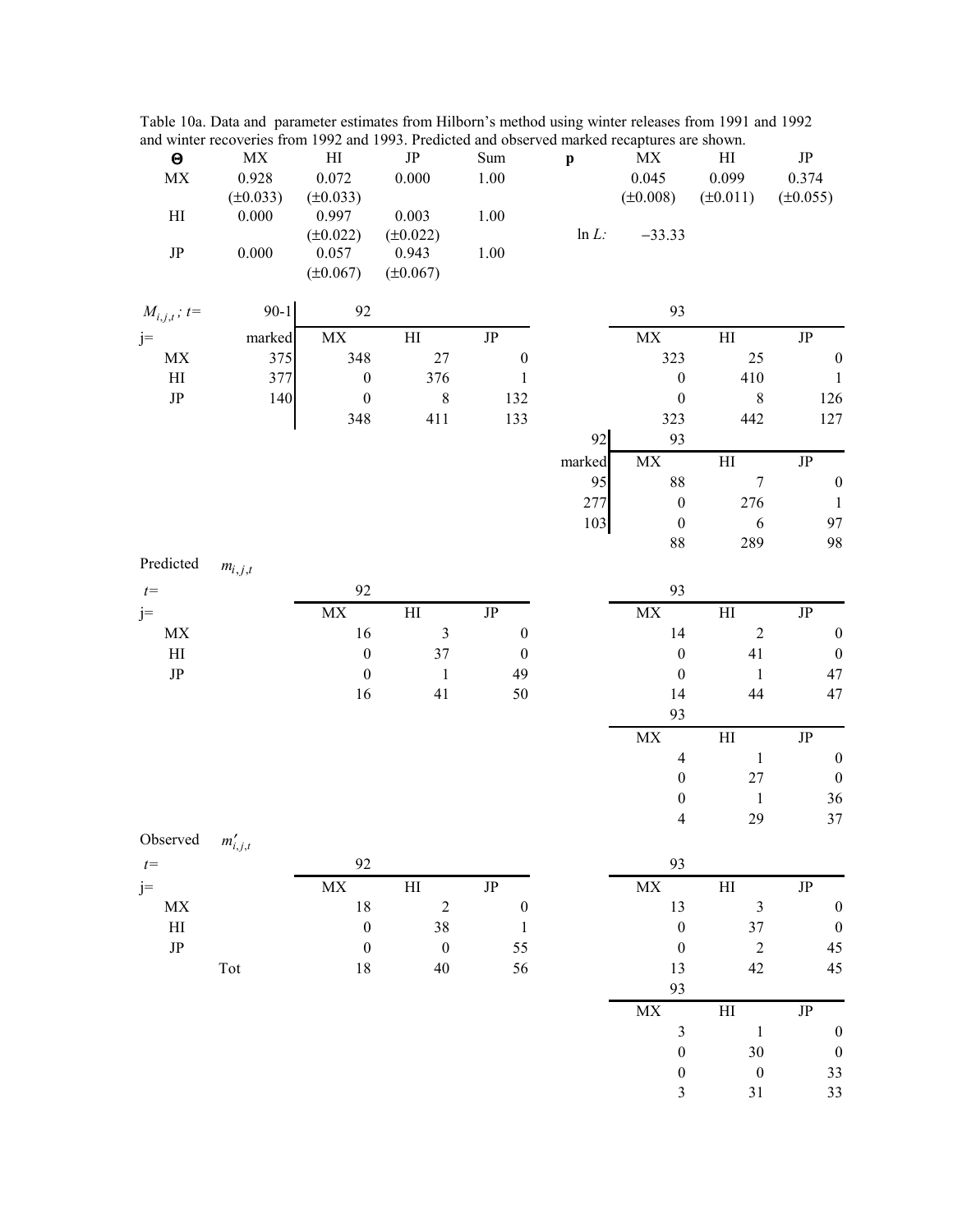Table 10a. Data and parameter estimates from Hilborn's method using winter releases from 1991 and 1992 and winter recoveries from 1992 and 1993. Predicted and observed marked recaptures are shown.

| $\boldsymbol{\Theta}$           | $\mathbf{MX}$ | $\mathop{\rm HI}\nolimits$      | $\rm{JP}$              | Sum              | $\mathbf{p}$ | $\mathbf{MX}$                   | $\mathop{\rm HI}\nolimits$ | $\rm{JP}$        |
|---------------------------------|---------------|---------------------------------|------------------------|------------------|--------------|---------------------------------|----------------------------|------------------|
| $\ensuremath{\text{MX}}\xspace$ | 0.928         | 0.072                           | 0.000                  | $1.00\,$         |              | 0.045                           | 0.099                      | 0.374            |
|                                 | $(\pm 0.033)$ | $(\pm 0.033)$                   |                        |                  |              | $(\pm 0.008)$                   | $(\pm 0.011)$              | $(\pm 0.055)$    |
| H                               | 0.000         | 0.997                           | 0.003                  | $1.00\,$         |              |                                 |                            |                  |
|                                 |               | $(\pm 0.022)$                   | $(\pm 0.022)$          |                  | $ln L$ :     | $-33.33$                        |                            |                  |
| $\rm{JP}$                       | 0.000         | 0.057<br>$(\pm 0.067)$          | 0.943<br>$(\pm 0.067)$ | $1.00\,$         |              |                                 |                            |                  |
| $M_{i,j,t}$ ; t=                | $90 - 1$      | 92                              |                        |                  |              | 93                              |                            |                  |
| $j=$                            | marked        | $\ensuremath{\text{MX}}\xspace$ | H1                     | $\rm{JP}$        |              | $\mathbf{MX}$                   | H <sub>I</sub>             | $\rm{JP}$        |
| MX                              | 375           | 348                             | $27\,$                 | $\boldsymbol{0}$ |              | 323                             | $25\,$                     | $\boldsymbol{0}$ |
| $\rm HI$                        | 377           | $\boldsymbol{0}$                | 376                    | $\mathbf{1}$     |              | $\boldsymbol{0}$                | 410                        | $\mathbf{1}$     |
| $\rm{JP}$                       | 140           | $\boldsymbol{0}$                | $8\,$                  | 132              |              | $\boldsymbol{0}$                | $\,8\,$                    | 126              |
|                                 |               | 348                             | 411                    | 133              |              | 323                             | 442                        | 127              |
|                                 |               |                                 |                        |                  | 92           | 93                              |                            |                  |
|                                 |               |                                 |                        |                  | marked       | $\ensuremath{\text{MX}}\xspace$ | H <sub>I</sub>             | $\rm{JP}$        |
|                                 |               |                                 |                        |                  | 95           | 88                              | $\boldsymbol{7}$           | $\boldsymbol{0}$ |
|                                 |               |                                 |                        |                  | 277          | $\boldsymbol{0}$                | 276                        | $\mathbf{1}$     |
|                                 |               |                                 |                        |                  | 103          | $\boldsymbol{0}$                | $\sqrt{6}$                 | 97               |
|                                 |               |                                 |                        |                  |              | 88                              | 289                        | 98               |
| Predicted                       | $m_{i,j,t}$   |                                 |                        |                  |              |                                 |                            |                  |
| $t =$                           |               | 92                              |                        |                  |              | 93                              |                            |                  |
| $j=$                            |               | $\ensuremath{\text{MX}}\xspace$ | $\rm HI$               | $\rm{JP}$        |              | $\mathbf{MX}$                   | $\mathop{\rm HI}\nolimits$ | $\rm JP$         |
| $\ensuremath{\text{MX}}\xspace$ |               | 16                              | $\mathfrak{Z}$         | $\boldsymbol{0}$ |              | 14                              | $\sqrt{2}$                 | $\boldsymbol{0}$ |
| $\mathop{\rm HI}\nolimits$      |               | $\boldsymbol{0}$                | $37\,$                 | $\boldsymbol{0}$ |              | $\boldsymbol{0}$                | 41                         | $\boldsymbol{0}$ |
| $\rm{JP}$                       |               | $\boldsymbol{0}$                | $\mathbf{1}$           | 49               |              | $\boldsymbol{0}$                | $\mathbf{1}$               | 47               |
|                                 |               | 16                              | 41                     | 50               |              | 14                              | 44                         | 47               |
|                                 |               |                                 |                        |                  |              | 93                              |                            |                  |
|                                 |               |                                 |                        |                  |              | $\ensuremath{\text{MX}}\xspace$ | $\mathop{\rm HI}\nolimits$ | $\rm{JP}$        |
|                                 |               |                                 |                        |                  |              | $\overline{4}$                  | $\mathbf{1}$               | $\boldsymbol{0}$ |
|                                 |               |                                 |                        |                  |              | $\boldsymbol{0}$                | $27\,$                     | $\boldsymbol{0}$ |
|                                 |               |                                 |                        |                  |              | $\boldsymbol{0}$                | $\mathbf{1}$               | 36               |
|                                 |               |                                 |                        |                  |              | $\overline{\mathcal{L}}$        | 29                         | 37               |
| Observed                        |               |                                 |                        |                  |              |                                 |                            |                  |
|                                 | $m'_{i,j,t}$  | 92                              |                        |                  |              | 93                              |                            |                  |
| $t=$                            |               |                                 |                        |                  |              |                                 |                            |                  |
| $j=$                            |               | MX                              | H                      | $\rm{JP}$        |              | MX                              | H                          | $\rm{JP}$        |
| MX                              |               | 18                              | $\sqrt{2}$             | $\boldsymbol{0}$ |              | 13                              | $\mathfrak{Z}$             | $\boldsymbol{0}$ |
| $\mathop{\rm HI}\nolimits$      |               | $\boldsymbol{0}$                | 38                     | $\mathbf{1}$     |              | $\boldsymbol{0}$                | 37                         | $\boldsymbol{0}$ |
| $\rm{JP}$                       |               | $\boldsymbol{0}$                | $\boldsymbol{0}$       | 55               |              | $\boldsymbol{0}$                | $\sqrt{2}$                 | 45               |
|                                 | Tot           | 18                              | 40                     | 56               |              | 13                              | 42                         | 45               |
|                                 |               |                                 |                        |                  |              | 93                              |                            |                  |
|                                 |               |                                 |                        |                  |              | $\ensuremath{\text{MX}}\xspace$ | $\mathop{\rm HI}\nolimits$ | $\rm{JP}$        |
|                                 |               |                                 |                        |                  |              | $\overline{\mathbf{3}}$         | $\mathbf{1}$               | $\boldsymbol{0}$ |
|                                 |               |                                 |                        |                  |              | $\boldsymbol{0}$                | 30                         | $\boldsymbol{0}$ |
|                                 |               |                                 |                        |                  |              | $\boldsymbol{0}$                | $\boldsymbol{0}$           | 33               |
|                                 |               |                                 |                        |                  |              | $\overline{\mathbf{3}}$         | 31                         | 33               |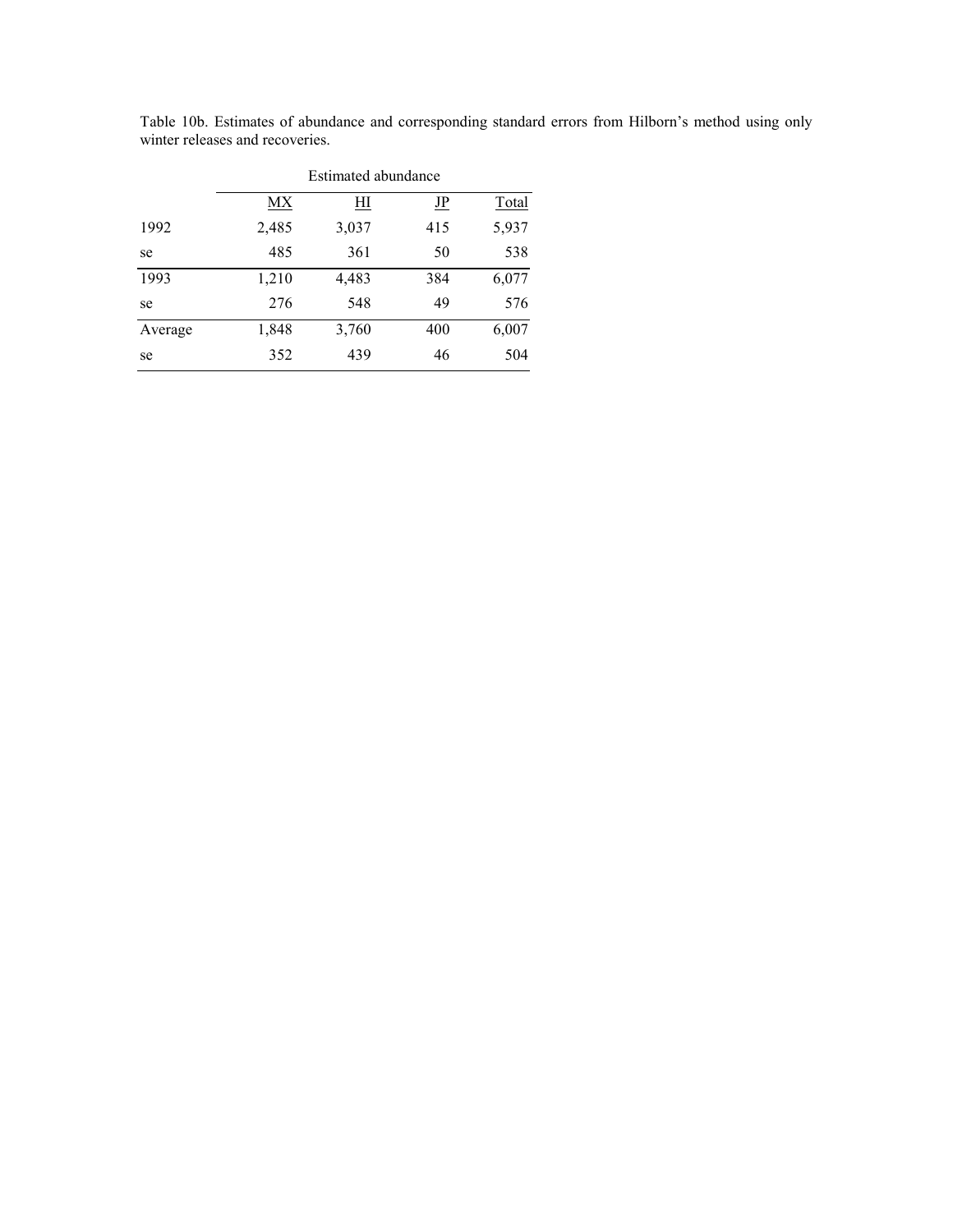|         | Estimated abundance |       |           |              |  |  |  |  |  |
|---------|---------------------|-------|-----------|--------------|--|--|--|--|--|
|         | МX                  | Ш     | <u>JP</u> | <b>Total</b> |  |  |  |  |  |
| 1992    | 2,485               | 3,037 | 415       | 5,937        |  |  |  |  |  |
| se      | 485                 | 361   | 50        | 538          |  |  |  |  |  |
| 1993    | 1,210               | 4,483 | 384       | 6,077        |  |  |  |  |  |
| se      | 276                 | 548   | 49        | 576          |  |  |  |  |  |
| Average | 1,848               | 3,760 | 400       | 6,007        |  |  |  |  |  |
| se      | 352                 | 439   | 46        | 504          |  |  |  |  |  |

Table 10b. Estimates of abundance and corresponding standard errors from Hilborn's method using only winter releases and recoveries.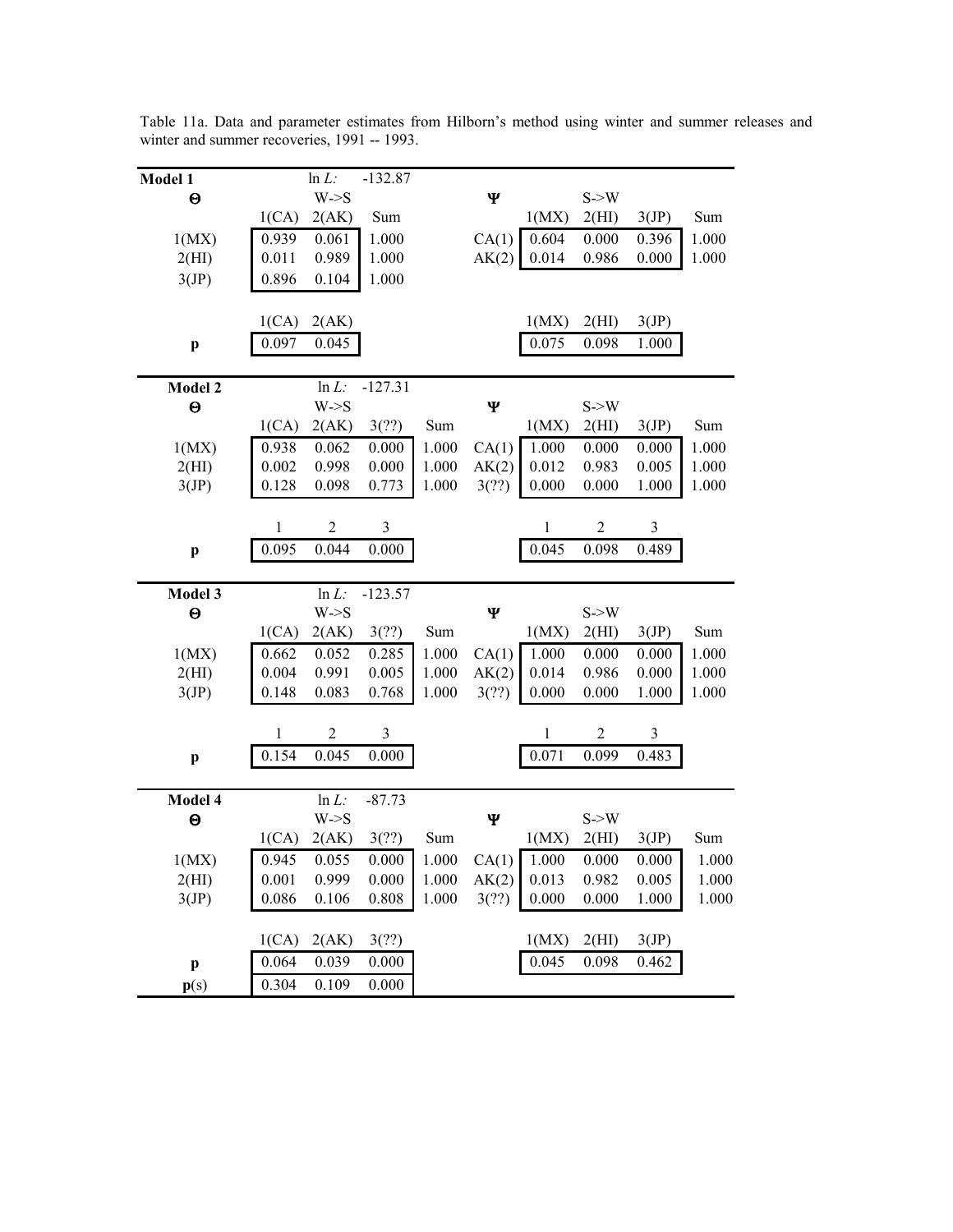| Model 1                   |                | $ln L$ :         | $-132.87$      |       |       |              |                   |                |       |
|---------------------------|----------------|------------------|----------------|-------|-------|--------------|-------------------|----------------|-------|
| $\Theta$                  |                | W > S            |                |       | Ψ     |              | S > W             |                |       |
|                           | 1(CA)          | 2(AK)            | Sum            |       |       | 1(MX)        | 2(HI)             | 3(JP)          | Sum   |
| 1(MX)                     | 0.939          | 0.061            | 1.000          |       | CA(1) | 0.604        | 0.000             | 0.396          | 1.000 |
| 2(HI)                     | 0.011          | 0.989            | 1.000          |       | AK(2) | 0.014        | 0.986             | 0.000          | 1.000 |
| 3(JP)                     | 0.896          | 0.104            | 1.000          |       |       |              |                   |                |       |
|                           |                |                  |                |       |       |              |                   |                |       |
|                           | 1(CA)          | 2(AK)            |                |       |       | 1(MX)        | 2(HI)             | 3(JP)          |       |
| $\mathbf{p}$              | 0.097          | 0.045            |                |       |       | 0.075        | 0.098             | 1.000          |       |
|                           |                |                  |                |       |       |              |                   |                |       |
| Model 2                   |                | $ln L$ :         | $-127.31$      |       |       |              |                   |                |       |
| $\Theta$                  |                | $W\rightarrow S$ |                |       | Ψ     |              | $S \rightarrow W$ |                |       |
|                           | 1(CA)          | 2(AK)            | 3(?)           | Sum   |       | 1(MX)        | 2(HI)             | 3(JP)          | Sum   |
| 1(MX)                     | 0.938          | 0.062            | 0.000          | 1.000 | CA(1) | 1.000        | 0.000             | 0.000          | 1.000 |
| 2(HI)                     | 0.002          | 0.998            | 0.000          | 1.000 | AK(2) | 0.012        | 0.983             | 0.005          | 1.000 |
| 3(JP)                     | 0.128          | 0.098            | 0.773          | 1.000 | 3(?)  | 0.000        | 0.000             | 1.000          | 1.000 |
|                           |                |                  |                |       |       |              |                   |                |       |
|                           | 1              | $\overline{2}$   | $\mathfrak{Z}$ |       |       | 1            | $\overline{2}$    | 3              |       |
| $\boldsymbol{\mathrm{p}}$ | 0.095          | 0.044            | 0.000          |       |       | 0.045        | 0.098             | 0.489          |       |
|                           |                |                  |                |       |       |              |                   |                |       |
|                           |                |                  |                |       |       |              |                   |                |       |
| Model 3                   |                | $ln L$ :         | $-123.57$      |       |       |              |                   |                |       |
| $\boldsymbol{\Theta}$     |                | $W\rightarrow S$ |                |       | Ψ     |              | $S \rightarrow W$ |                |       |
|                           | 1(CA)          | 2(AK)            | 3(?)           | Sum   |       | 1(MX)        | 2(HI)             | 3(JP)          | Sum   |
| 1(MX)                     | 0.662          | 0.052            | 0.285          | 1.000 | CA(1) | 1.000        | 0.000             | 0.000          | 1.000 |
| 2(HI)                     | 0.004          | 0.991            | 0.005          | 1.000 | AK(2) | 0.014        | 0.986             | 0.000          | 1.000 |
| 3(JP)                     | 0.148          | 0.083            | 0.768          | 1.000 | 3(?)  | 0.000        | 0.000             | 1.000          | 1.000 |
|                           |                |                  |                |       |       |              |                   |                |       |
|                           | 1              | $\overline{c}$   | 3              |       |       | $\mathbf{1}$ | $\overline{2}$    | $\mathfrak{Z}$ |       |
| $\boldsymbol{\mathrm{p}}$ | 0.154          | 0.045            | 0.000          |       |       | 0.071        | 0.099             | 0.483          |       |
|                           |                |                  |                |       |       |              |                   |                |       |
| Model 4                   |                | $ln L$ :         | $-87.73$       |       |       |              |                   |                |       |
| $\boldsymbol{\Theta}$     |                | $W\rightarrow S$ |                |       | Ψ     |              | $S \rightarrow W$ |                |       |
|                           | 1(CA)          | 2(AK)            | 3(?)           | Sum   |       | 1(MX)        | 2(HI)             | 3(JP)          | Sum   |
| 1(MX)                     | 0.945          | 0.055            | 0.000          | 1.000 | CA(1) | 1.000        | 0.000             | 0.000          | 1.000 |
| 2(HI)                     | 0.001          | 0.999            | 0.000          | 1.000 | AK(2) | 0.013        | 0.982             | 0.005          | 1.000 |
| 3(JP)                     | 0.086          | 0.106            | 0.808          | 1.000 | 3(?)  | 0.000        | 0.000             | 1.000          | 1.000 |
|                           |                |                  |                |       |       |              |                   |                |       |
|                           | 1(CA)          | 2(AK)            | 3(?)           |       |       | 1(MX)        | 2(HI)             | 3(JP)          |       |
| $\mathbf{p}$<br>p(s)      | 0.064<br>0.304 | 0.039<br>0.109   | 0.000<br>0.000 |       |       | 0.045        | 0.098             | 0.462          |       |

Table 11a. Data and parameter estimates from Hilborn's method using winter and summer releases and winter and summer recoveries, 1991 -- 1993.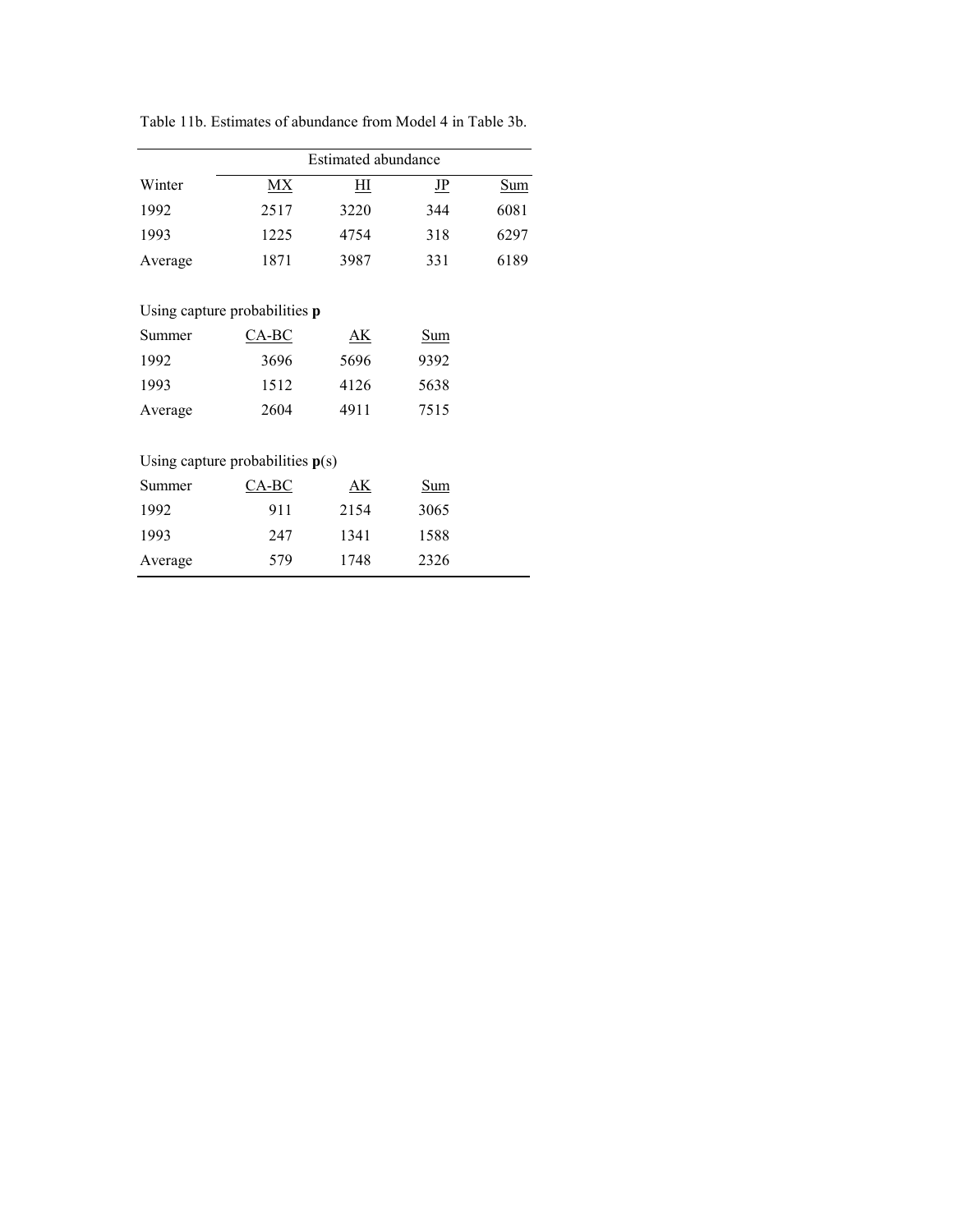|         | Estimated abundance                  |           |                           |      |  |  |  |  |
|---------|--------------------------------------|-----------|---------------------------|------|--|--|--|--|
| Winter  | MX                                   | ΗΙ        | $\underline{\mathbf{IP}}$ | Sum  |  |  |  |  |
| 1992    | 2517                                 | 3220      | 344                       | 6081 |  |  |  |  |
| 1993    | 1225                                 | 4754      | 318                       | 6297 |  |  |  |  |
| Average | 1871                                 | 3987      | 331                       | 6189 |  |  |  |  |
|         |                                      |           |                           |      |  |  |  |  |
|         | Using capture probabilities <b>p</b> |           |                           |      |  |  |  |  |
| Summer  | $CA-BC$                              | <u>АК</u> | Sum                       |      |  |  |  |  |
| 1992    | 3696                                 | 5696      | 9392                      |      |  |  |  |  |
| 1993    | 1512                                 | 4126      | 5638                      |      |  |  |  |  |
| Average | 2604                                 | 4911      | 7515                      |      |  |  |  |  |
|         |                                      |           |                           |      |  |  |  |  |
|         | Using capture probabilities $p(s)$   |           |                           |      |  |  |  |  |
| Summer  | <u>CA-BC</u>                         | <u>АК</u> | Sum                       |      |  |  |  |  |
| 1992    | 911                                  | 2154      | 3065                      |      |  |  |  |  |
| 1993    | 247                                  | 1341      | 1588                      |      |  |  |  |  |
| Average | 579                                  | 1748      | 2326                      |      |  |  |  |  |

Table 11b. Estimates of abundance from Model 4 in Table 3b.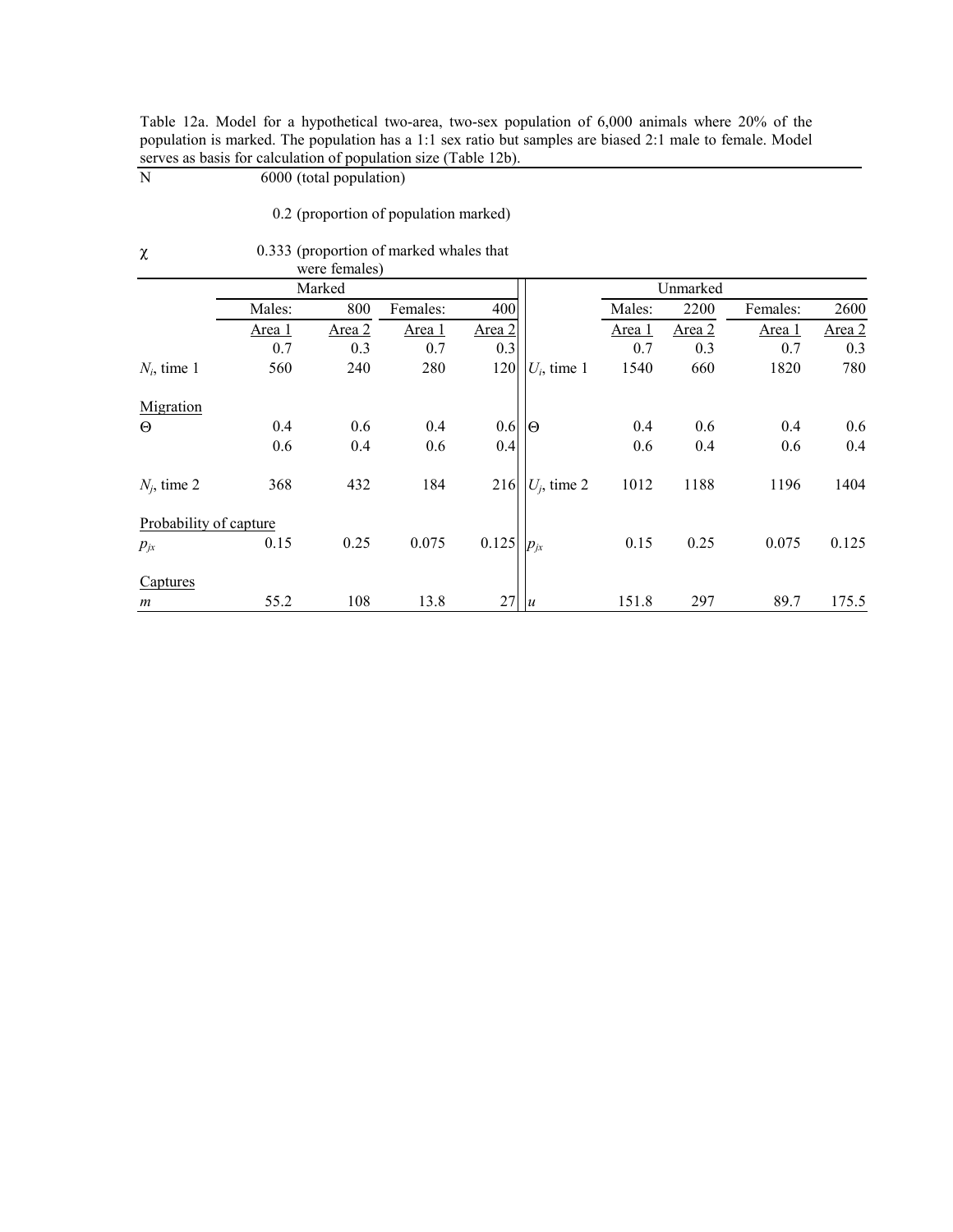| Table 12a. Model for a hypothetical two-area, two-sex population of 6,000 animals where 20% of the        |  |
|-----------------------------------------------------------------------------------------------------------|--|
| population is marked. The population has a 1:1 sex ratio but samples are biased 2:1 male to female. Model |  |
| serves as basis for calculation of population size (Table 12b).                                           |  |

serves as basis for calculation of population<br> $N$  6000 (total population)

0.2 (proportion of population marked)

| $\chi$                 |        |               | 0.333 (proportion of marked whales that |               |                |        |          |          |        |
|------------------------|--------|---------------|-----------------------------------------|---------------|----------------|--------|----------|----------|--------|
|                        |        | were females) |                                         |               |                |        |          |          |        |
|                        |        | Marked        |                                         |               |                |        | Unmarked |          |        |
|                        | Males: | 800           | Females:                                | 400           |                | Males: | 2200     | Females: | 2600   |
|                        | Area 1 | Area 2        | Area 1                                  | <u>Area 2</u> |                | Area 1 | Area 2   | Area 1   | Area 2 |
|                        | 0.7    | 0.3           | 0.7                                     | 0.3           |                | 0.7    | 0.3      | 0.7      | 0.3    |
| $N_i$ , time 1         | 560    | 240           | 280                                     | 120           | $U_i$ , time 1 | 1540   | 660      | 1820     | 780    |
| Migration              |        |               |                                         |               |                |        |          |          |        |
| $\Theta$               | 0.4    | 0.6           | 0.4                                     | 0.6           | IΘ             | 0.4    | 0.6      | 0.4      | 0.6    |
|                        | 0.6    | 0.4           | 0.6                                     | 0.4           |                | 0.6    | 0.4      | 0.6      | 0.4    |
| $N_i$ , time 2         | 368    | 432           | 184                                     | 216           | $U_i$ , time 2 | 1012   | 1188     | 1196     | 1404   |
| Probability of capture |        |               |                                         |               |                |        |          |          |        |
| $p_{jx}$               | 0.15   | 0.25          | 0.075                                   | 0.125         | $p_{jx}$       | 0.15   | 0.25     | 0.075    | 0.125  |
| Captures               |        |               |                                         |               |                |        |          |          |        |
| $\boldsymbol{m}$       | 55.2   | 108           | 13.8                                    | 27            | $\overline{u}$ | 151.8  | 297      | 89.7     | 175.5  |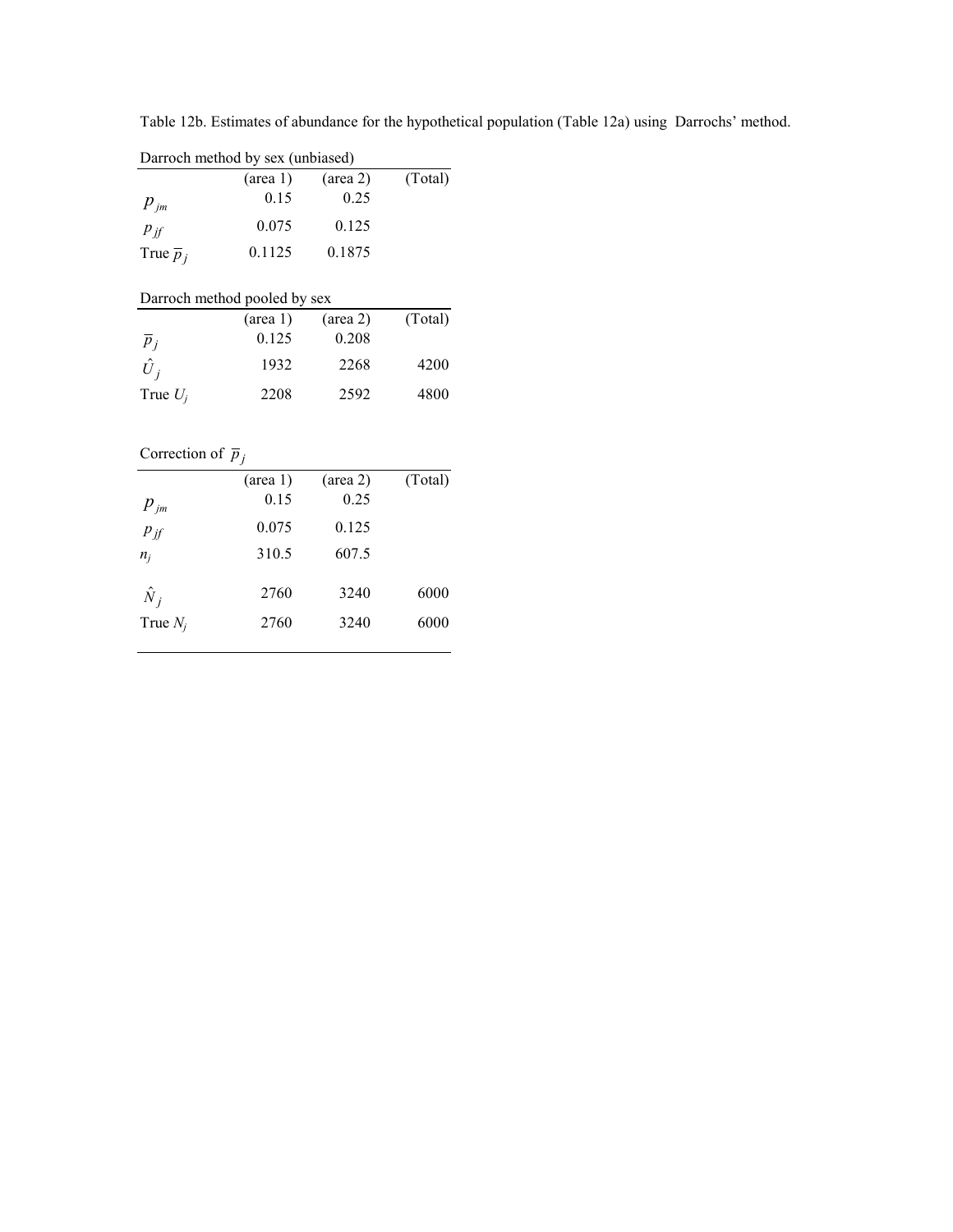|                             | Darroch method by sex (unbiased)<br>$(\text{area} 1)$ | $(\text{area } 2)$ | (Total) |
|-----------------------------|-------------------------------------------------------|--------------------|---------|
| $p_{\scriptscriptstyle jm}$ | 0.15                                                  | 0.25               |         |
| $P_{if}$                    | 0.075                                                 | 0.125              |         |
| True $\overline{p}_i$       | 0.1125                                                | 0.1875             |         |
|                             | Darroch method pooled by sex                          |                    |         |

Table 12b. Estimates of abundance for the hypothetical population (Table 12a) using Darrochs' method.

| Darroch method pooled by sex |                    |                    |         |  |  |  |  |  |
|------------------------------|--------------------|--------------------|---------|--|--|--|--|--|
|                              | $(\text{area } 1)$ | $(\text{area } 2)$ | (Total) |  |  |  |  |  |
| $p_i$                        | 0.125              | 0.208              |         |  |  |  |  |  |
| $\hat{U}_i$                  | 1932               | 2268               | 4200    |  |  |  |  |  |
| True $U_i$                   | 2208               | 2592               | 4800    |  |  |  |  |  |

## Correction of  $\overline{p}_j$

| $p_{\scriptscriptstyle jm}$ | $(\text{area } 1)$<br>0.15 | $(\text{area } 2)$<br>0.25 | (Total) |
|-----------------------------|----------------------------|----------------------------|---------|
| $p_{if}$                    | 0.075                      | 0.125                      |         |
| $n_i$                       | 310.5                      | 607.5                      |         |
| $\hat{N}_i$                 | 2760                       | 3240                       | 6000    |
| True $N_i$                  | 2760                       | 3240                       | 6000    |
|                             |                            |                            |         |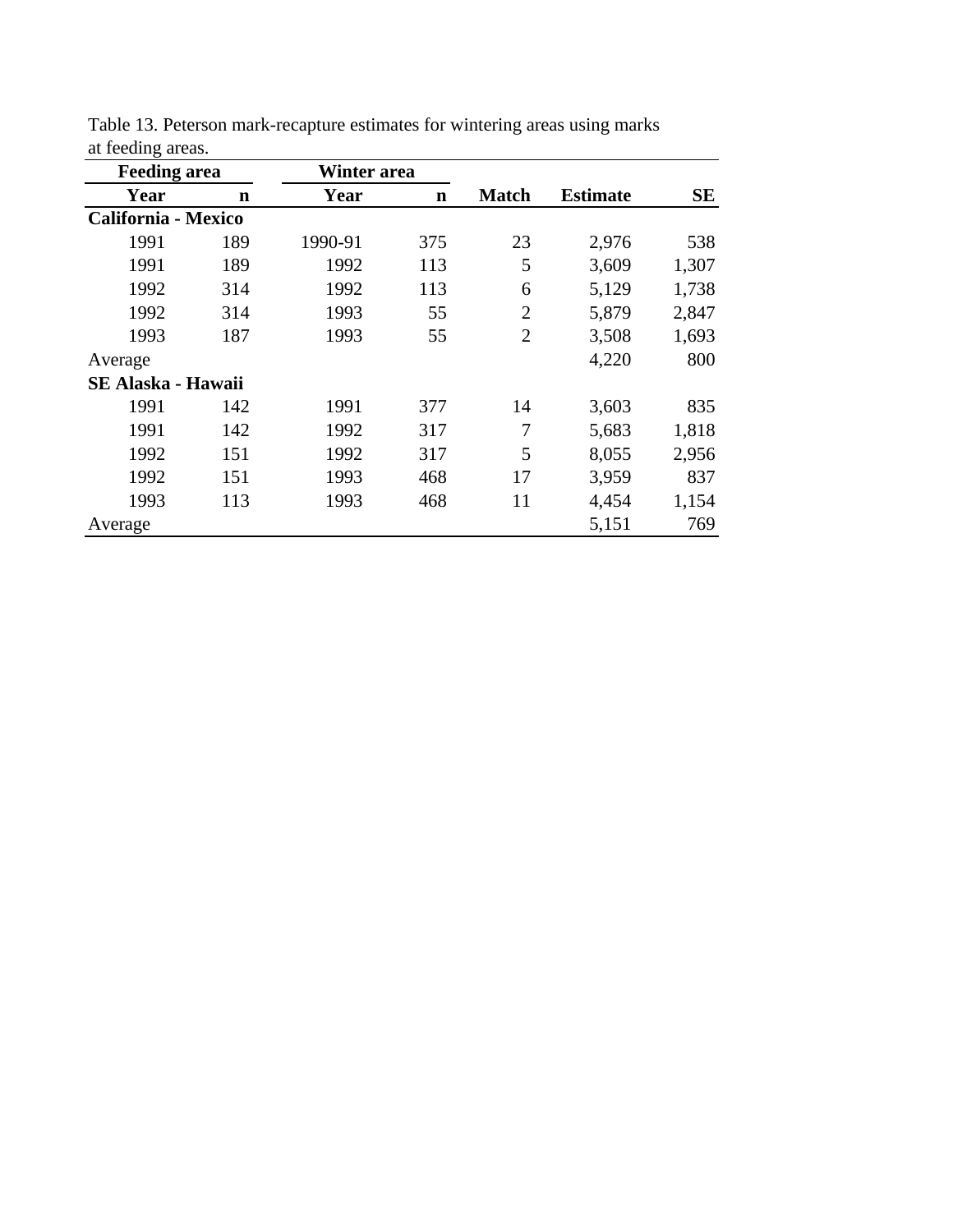| <b>Feeding area</b>        |     | Winter area |             |                |                 |           |
|----------------------------|-----|-------------|-------------|----------------|-----------------|-----------|
| Year                       | n   | Year        | $\mathbf n$ | <b>Match</b>   | <b>Estimate</b> | <b>SE</b> |
| <b>California - Mexico</b> |     |             |             |                |                 |           |
| 1991                       | 189 | 1990-91     | 375         | 23             | 2,976           | 538       |
| 1991                       | 189 | 1992        | 113         | 5              | 3,609           | 1,307     |
| 1992                       | 314 | 1992        | 113         | 6              | 5,129           | 1,738     |
| 1992                       | 314 | 1993        | 55          | $\overline{2}$ | 5,879           | 2,847     |
| 1993                       | 187 | 1993        | 55          | $\overline{2}$ | 3,508           | 1,693     |
| Average                    |     |             |             |                | 4,220           | 800       |
| <b>SE Alaska - Hawaii</b>  |     |             |             |                |                 |           |
| 1991                       | 142 | 1991        | 377         | 14             | 3,603           | 835       |
| 1991                       | 142 | 1992        | 317         | 7              | 5,683           | 1,818     |
| 1992                       | 151 | 1992        | 317         | 5              | 8,055           | 2,956     |
| 1992                       | 151 | 1993        | 468         | 17             | 3,959           | 837       |
| 1993                       | 113 | 1993        | 468         | 11             | 4,454           | 1,154     |
| Average                    |     |             |             |                | 5,151           | 769       |

Table 13. Peterson mark-recapture estimates for wintering areas using marks at feeding areas.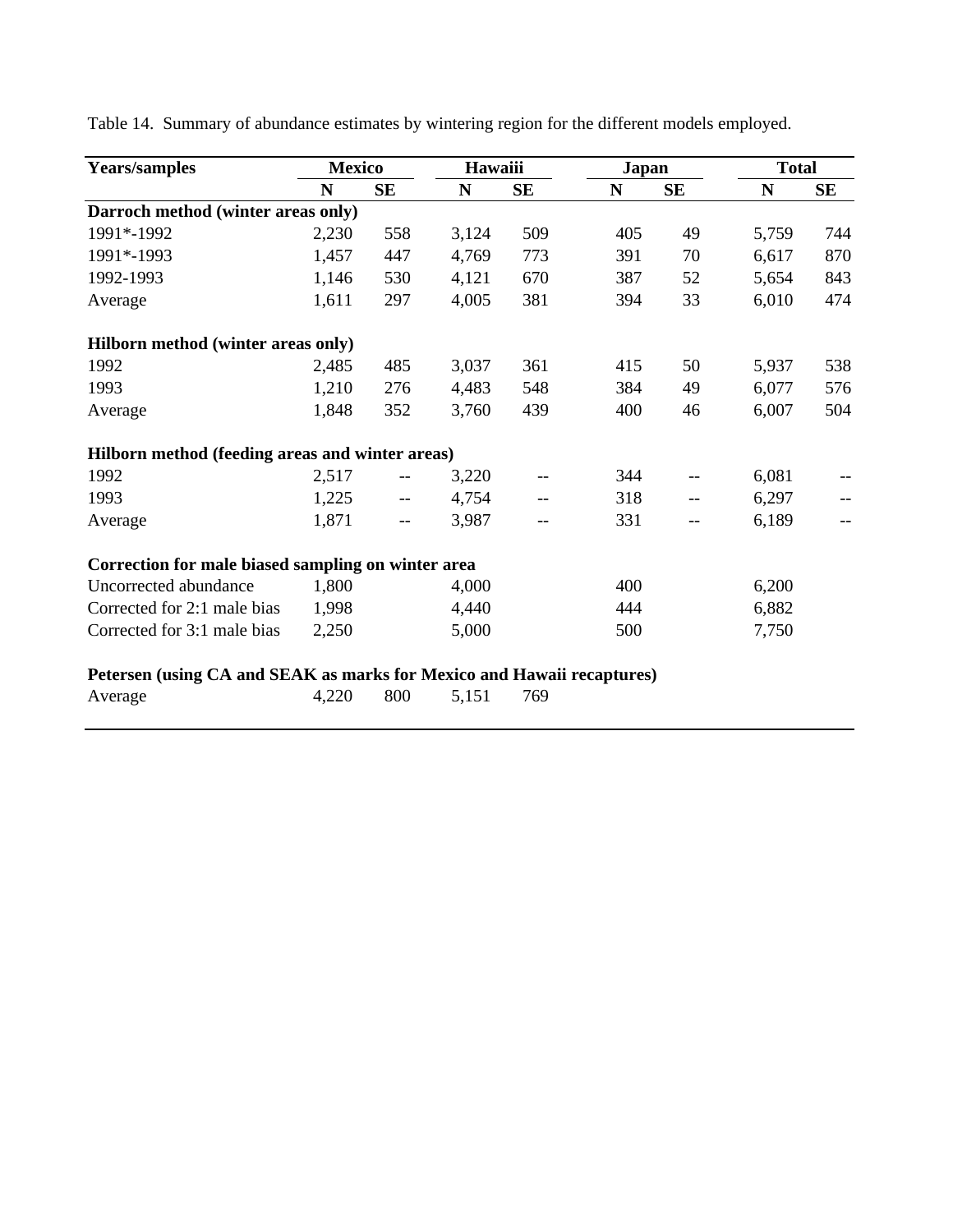| <b>Years/samples</b>                                                   | <b>Mexico</b> |           | Hawaiii     |     | <b>Japan</b> |           | <b>Total</b> |           |
|------------------------------------------------------------------------|---------------|-----------|-------------|-----|--------------|-----------|--------------|-----------|
|                                                                        | N             | <b>SE</b> | $\mathbf N$ | SE  | N            | <b>SE</b> | N            | <b>SE</b> |
| Darroch method (winter areas only)                                     |               |           |             |     |              |           |              |           |
| 1991*-1992                                                             | 2,230         | 558       | 3,124       | 509 | 405          | 49        | 5,759        | 744       |
| 1991*-1993                                                             | 1,457         | 447       | 4,769       | 773 | 391          | 70        | 6,617        | 870       |
| 1992-1993                                                              | 1,146         | 530       | 4,121       | 670 | 387          | 52        | 5,654        | 843       |
| Average                                                                | 1,611         | 297       | 4,005       | 381 | 394          | 33        | 6,010        | 474       |
| Hilborn method (winter areas only)                                     |               |           |             |     |              |           |              |           |
| 1992                                                                   | 2,485         | 485       | 3,037       | 361 | 415          | 50        | 5,937        | 538       |
| 1993                                                                   | 1,210         | 276       | 4,483       | 548 | 384          | 49        | 6,077        | 576       |
| Average                                                                | 1,848         | 352       | 3,760       | 439 | 400          | 46        | 6,007        | 504       |
| Hilborn method (feeding areas and winter areas)                        |               |           |             |     |              |           |              |           |
| 1992                                                                   | 2,517         | $- -$     | 3,220       | --  | 344          | --        | 6,081        |           |
| 1993                                                                   | 1,225         | $-$       | 4,754       | --  | 318          | $-$       | 6,297        |           |
| Average                                                                | 1,871         | $-$       | 3,987       |     | 331          | $- -$     | 6,189        |           |
| Correction for male biased sampling on winter area                     |               |           |             |     |              |           |              |           |
| Uncorrected abundance                                                  | 1,800         |           | 4,000       |     | 400          |           | 6,200        |           |
| Corrected for 2:1 male bias                                            | 1,998         |           | 4,440       |     | 444          |           | 6,882        |           |
| Corrected for 3:1 male bias                                            | 2,250         |           | 5,000       |     | 500          |           | 7,750        |           |
| Petersen (using CA and SEAK as marks for Mexico and Hawaii recaptures) |               |           |             |     |              |           |              |           |
| Average                                                                | 4,220         | 800       | 5,151       | 769 |              |           |              |           |

Table 14. Summary of abundance estimates by wintering region for the different models employed.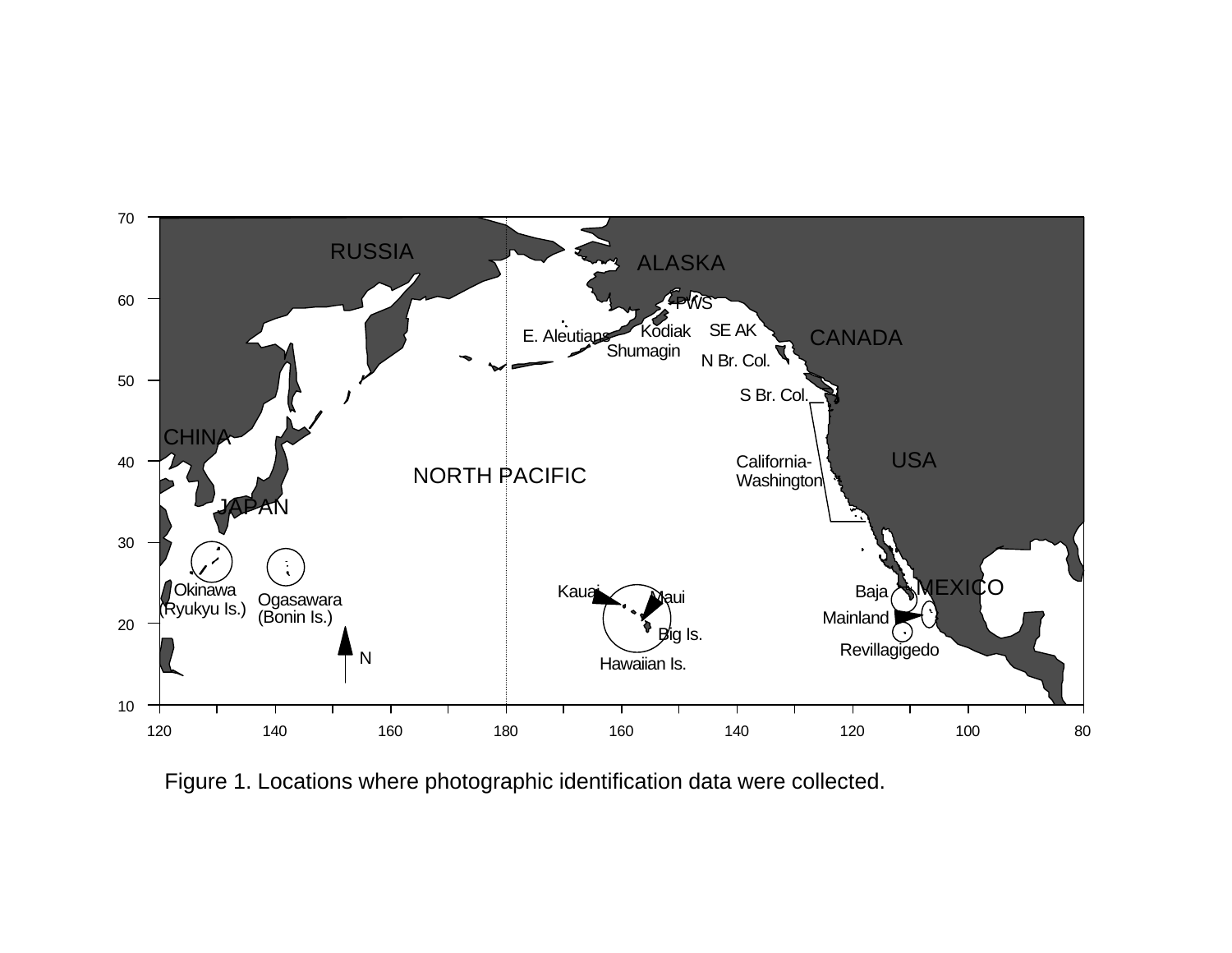

Figure 1. Locations where photographic identification data were collected.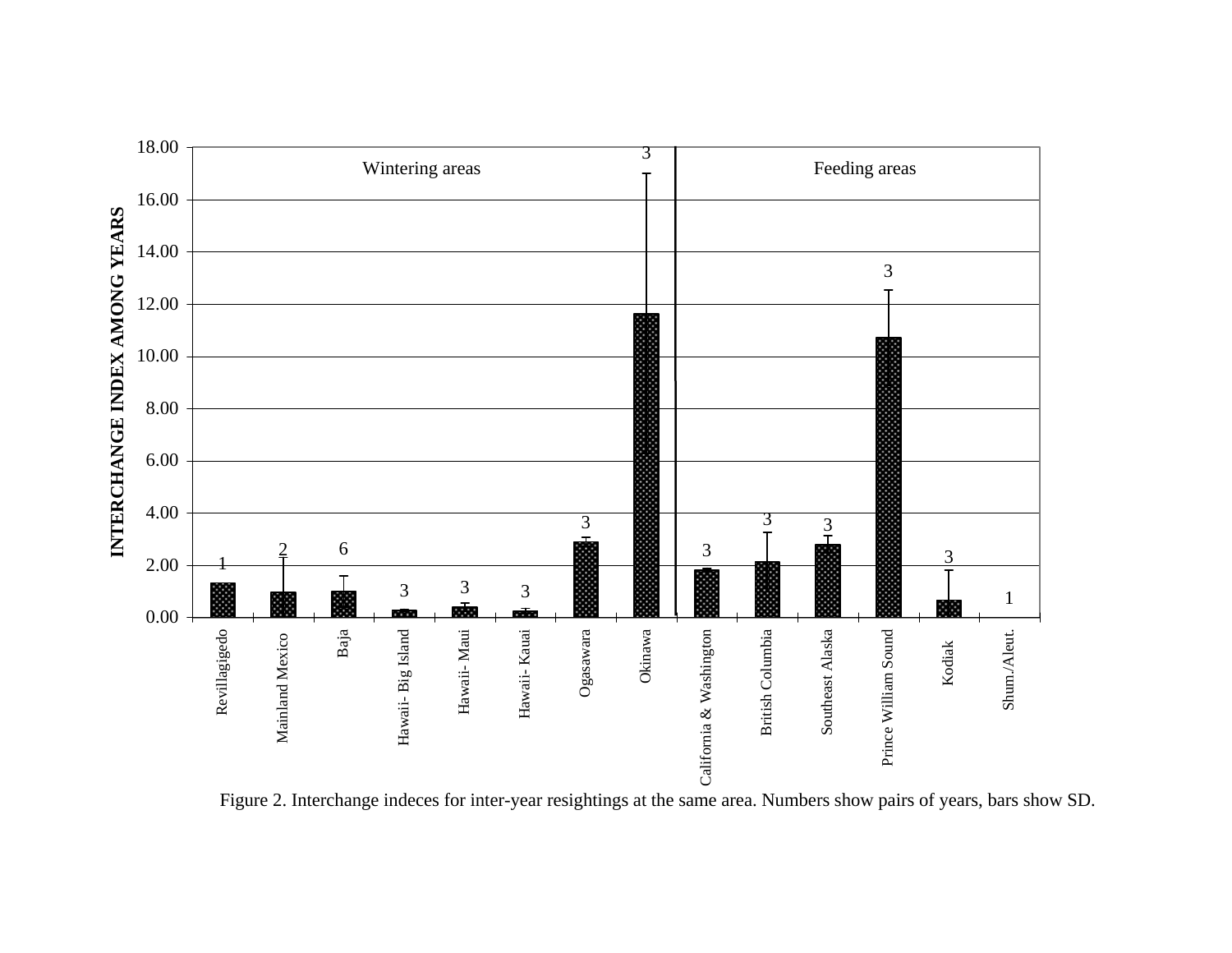

Figure 2. Interchange indeces for inter-year resightings at the same area. Numbers show pairs of years, bars show SD.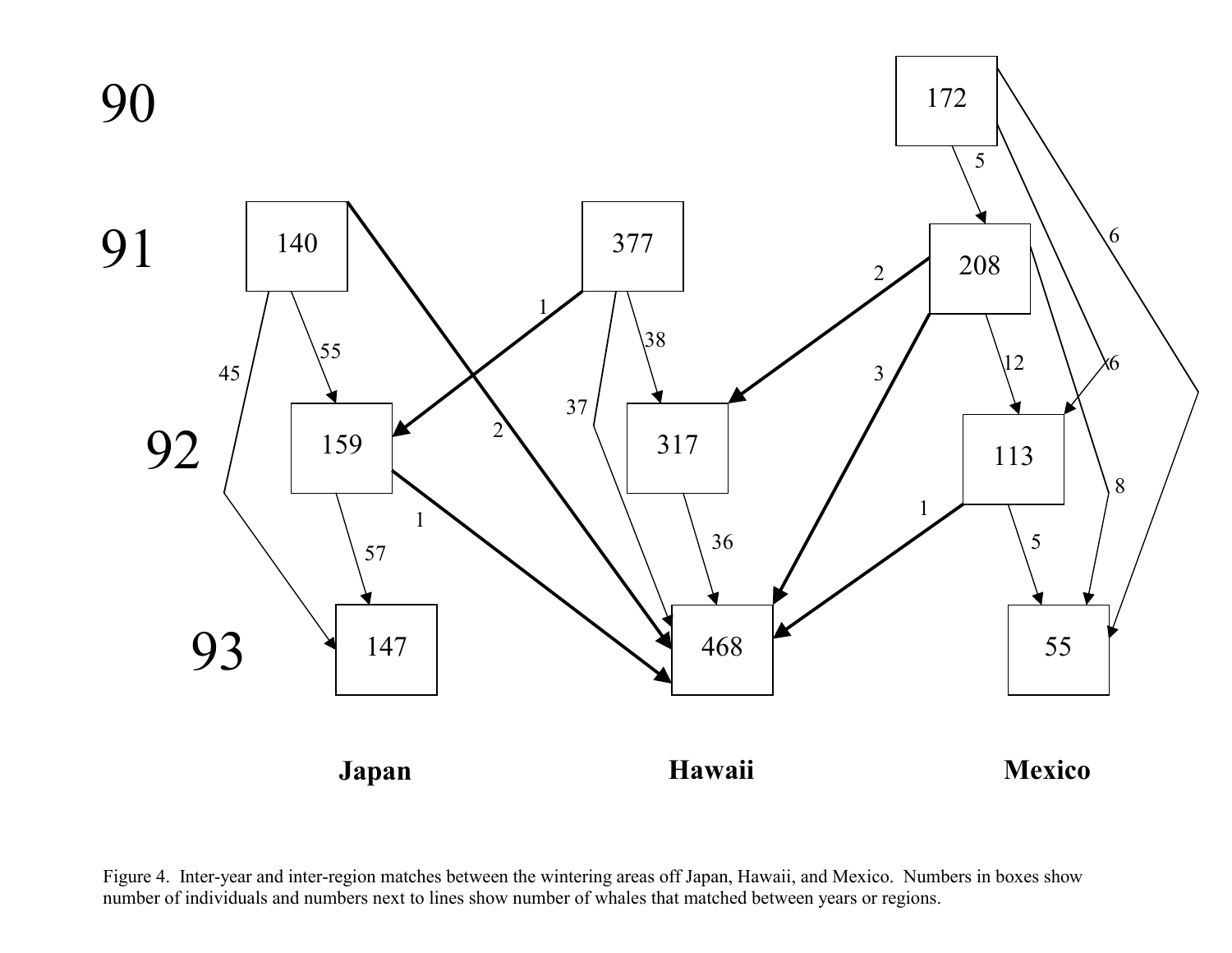

Figure 4. Inter-year and inter-region matches between the wintering areas off Japan, Hawaii, and Mexico. Numbers in boxes show number of individuals and numbers next to lines show number of whales that matched between years or regions.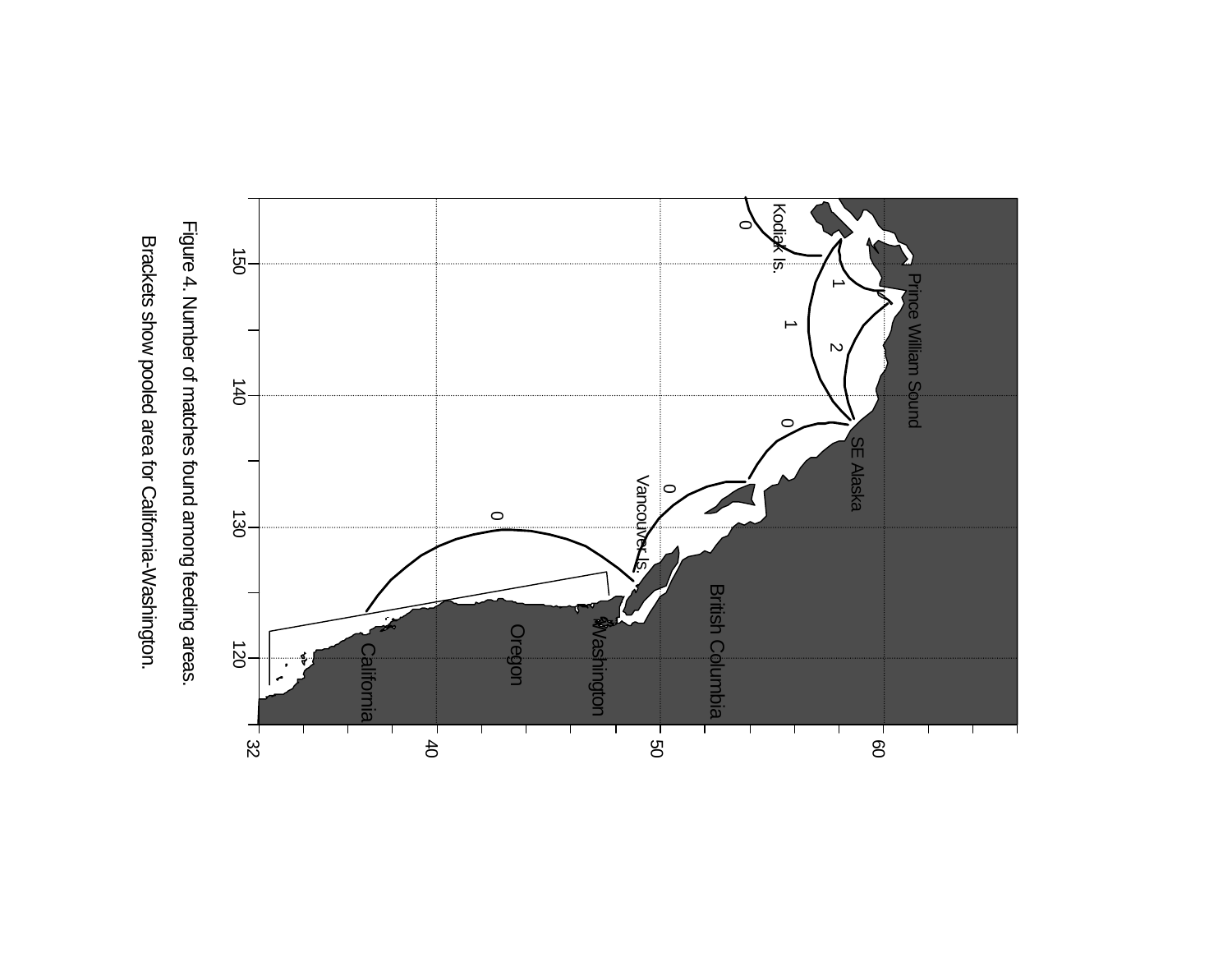



Figure 4. Number of matches found among feeding areas. Figure 4. Number of matches found among feeding areas.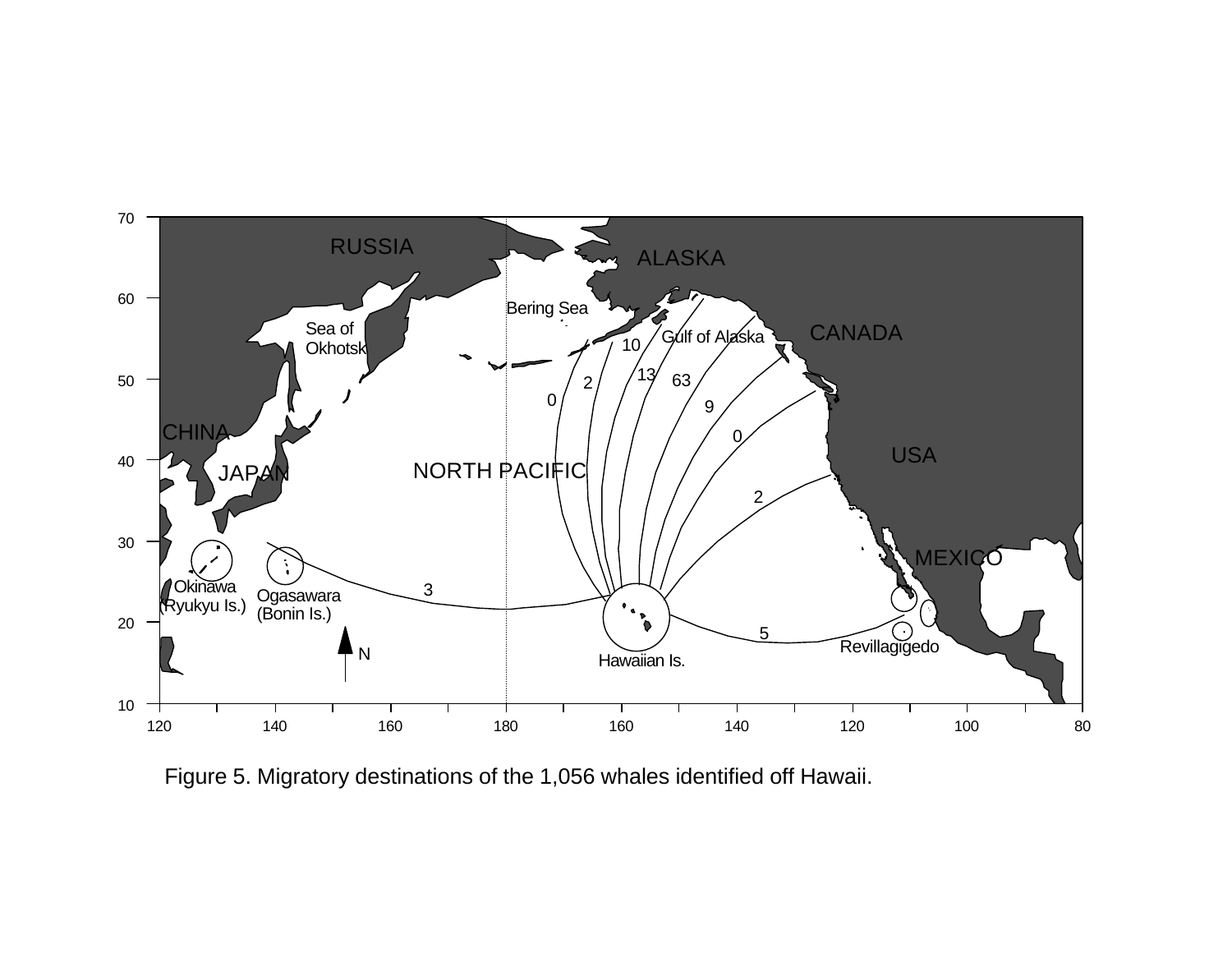

Figure 5. Migratory destinations of the 1,056 whales identified off Hawaii.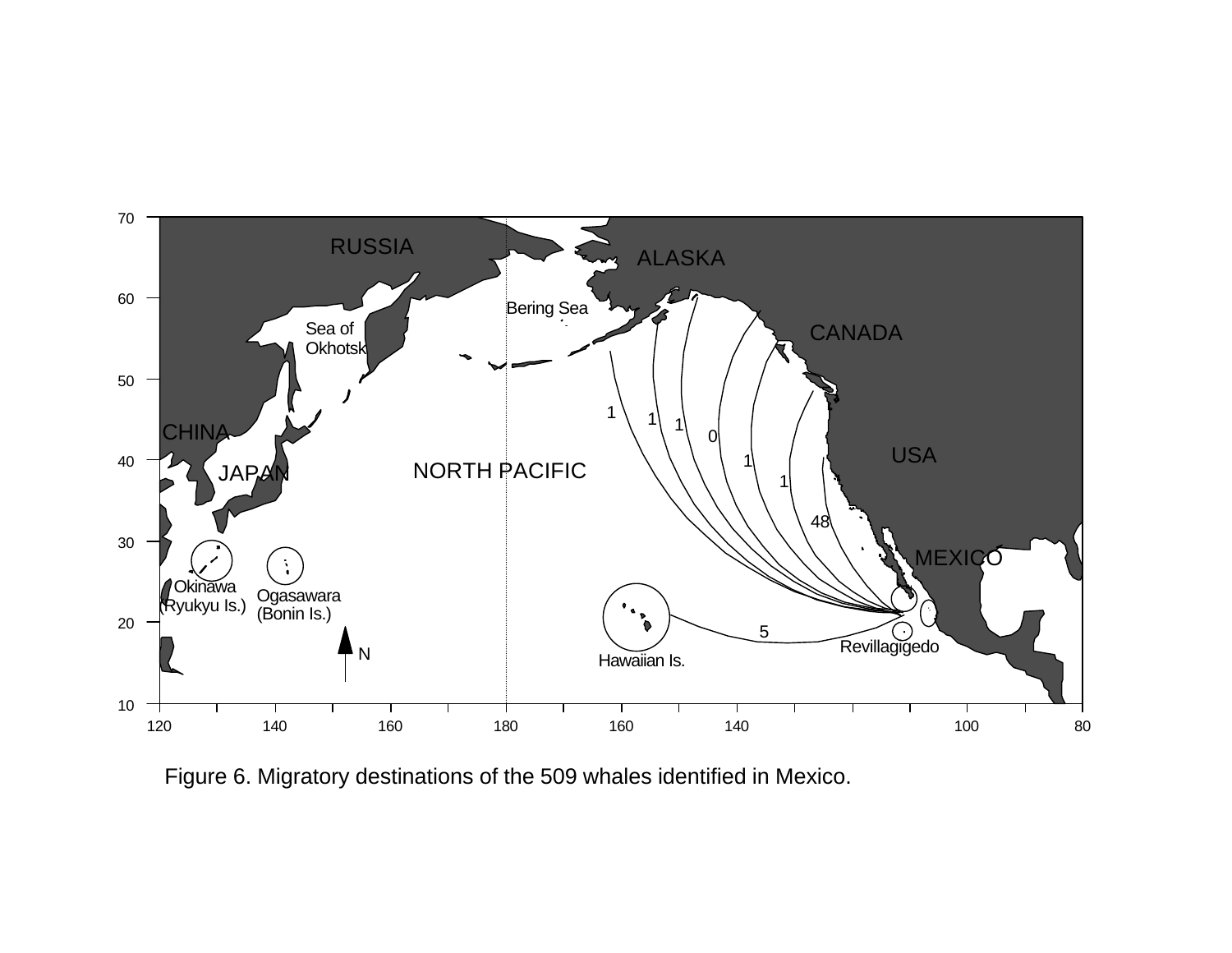

Figure 6. Migratory destinations of the 509 whales identified in Mexico.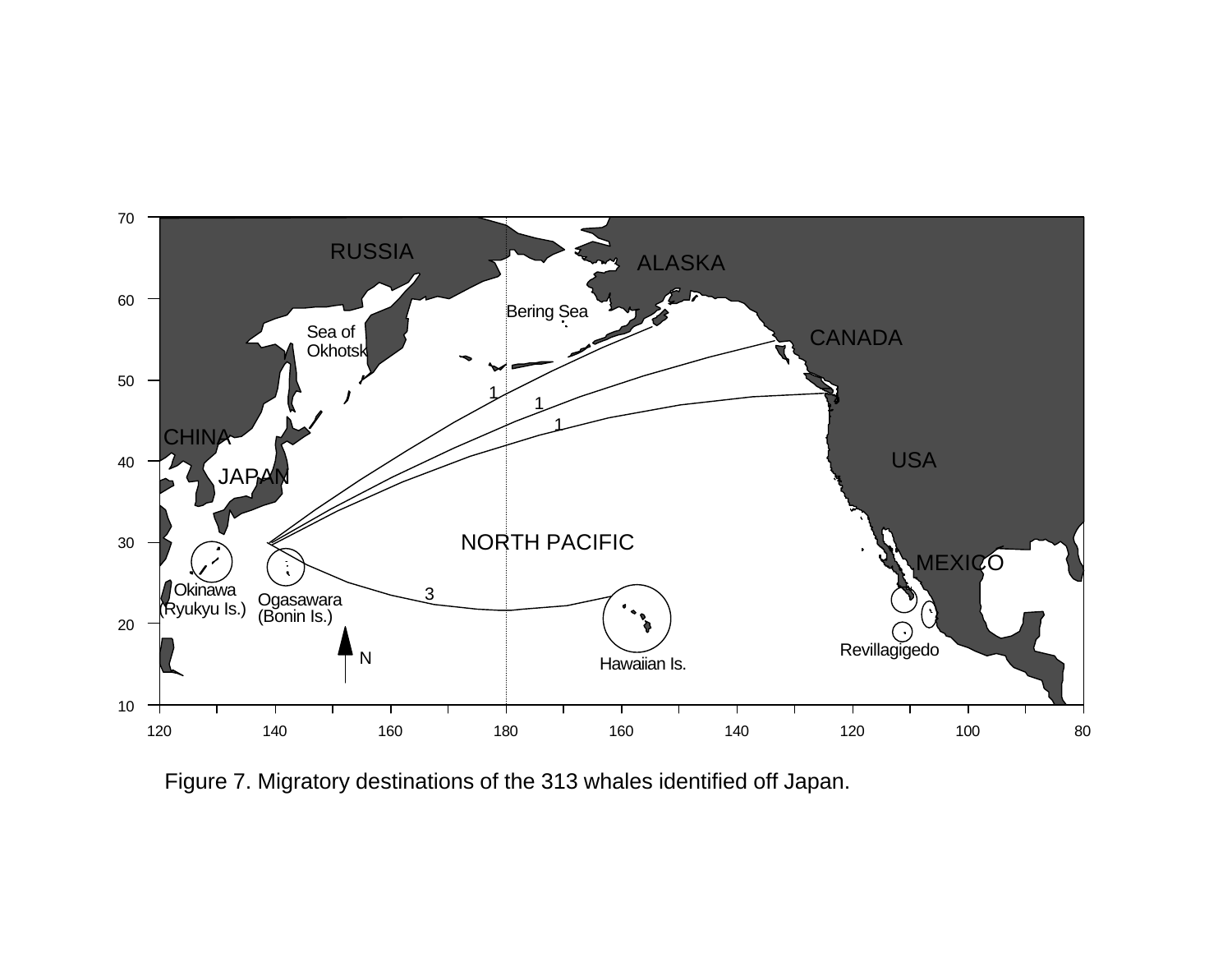

Figure 7. Migratory destinations of the 313 whales identified off Japan.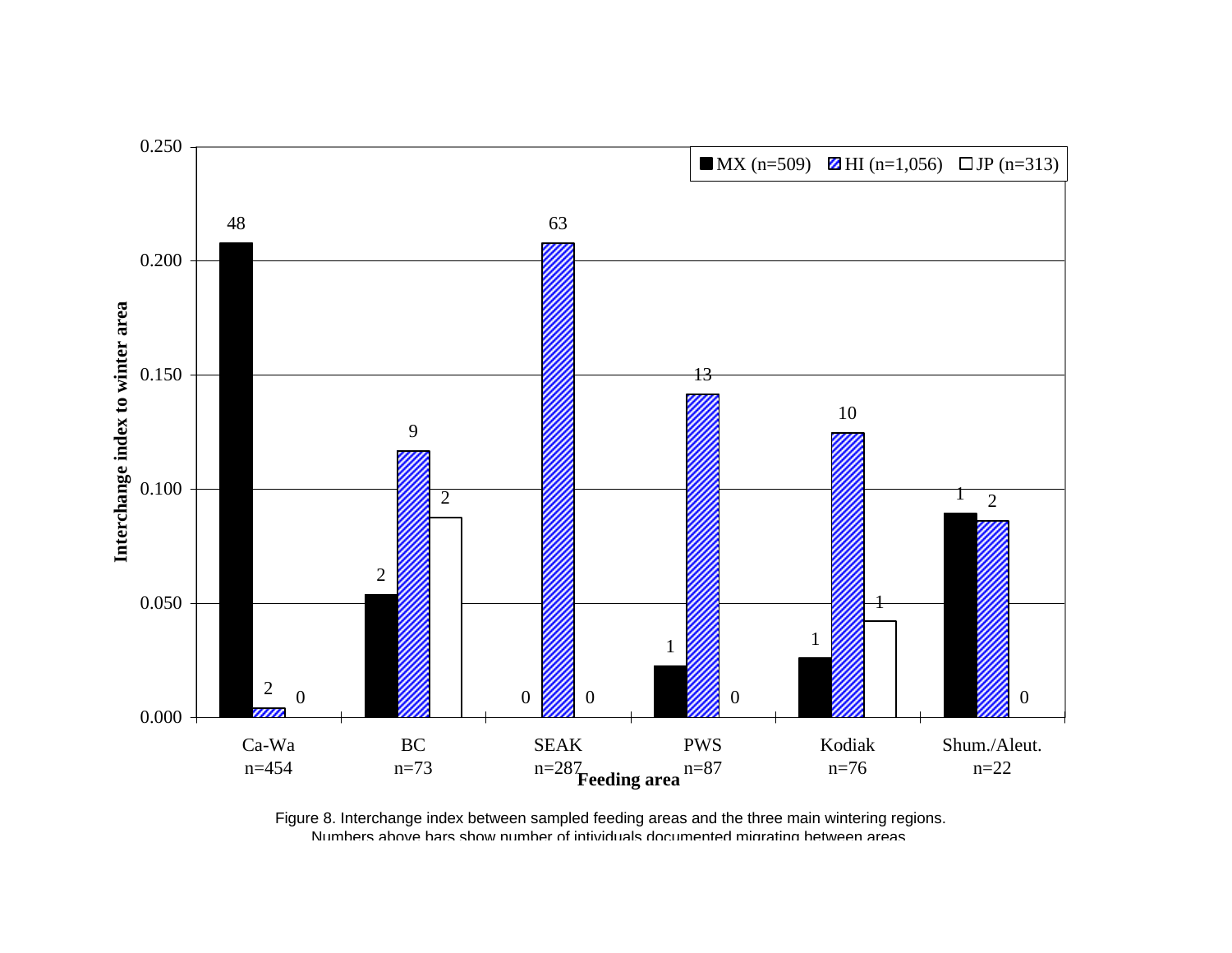

Figure 8. Interchange index between sampled feeding areas and the three main wintering regions. Numbers above bars show number of intividuals documented migrating between areas.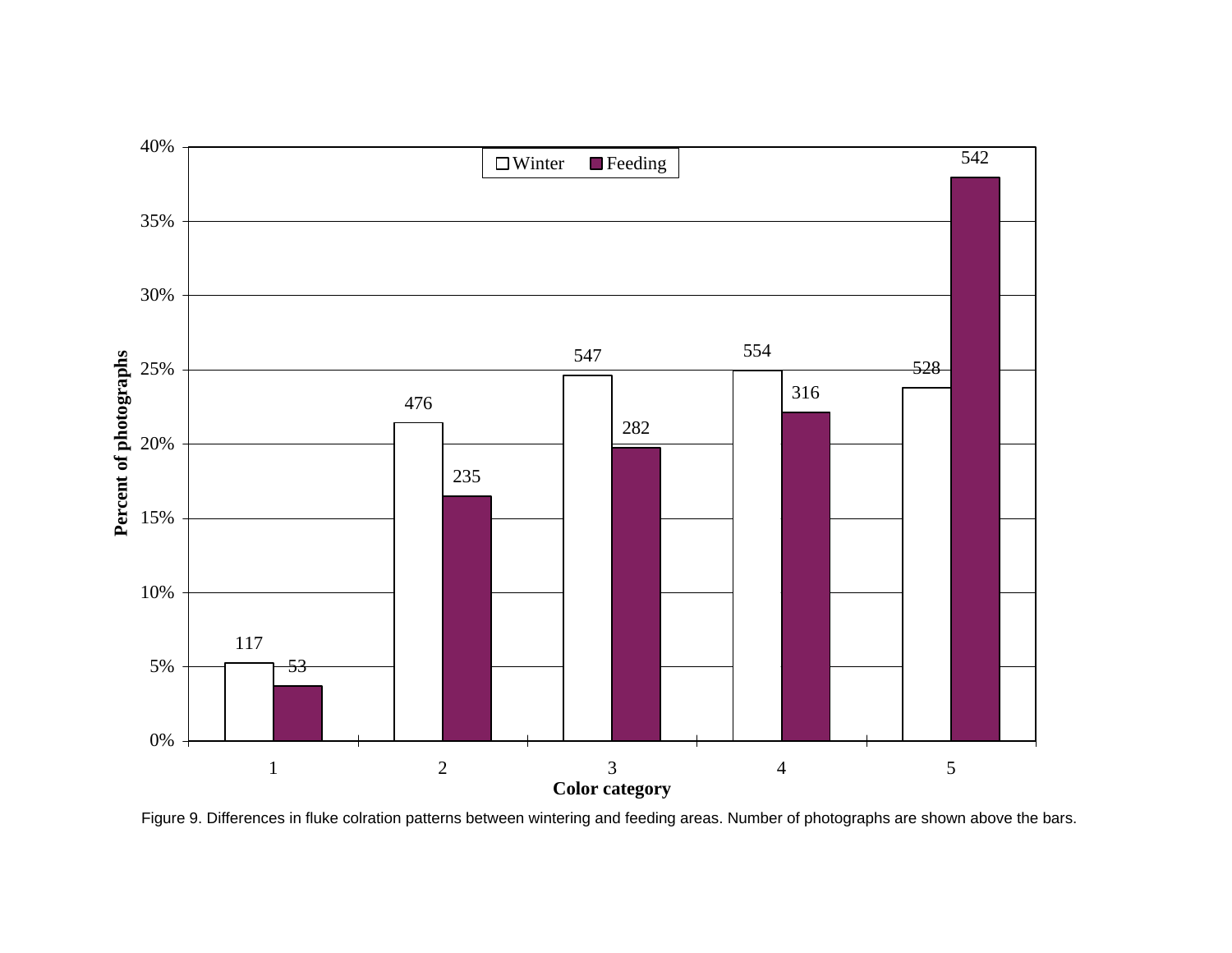

Figure 9. Differences in fluke colration patterns between wintering and feeding areas. Number of photographs are shown above the bars.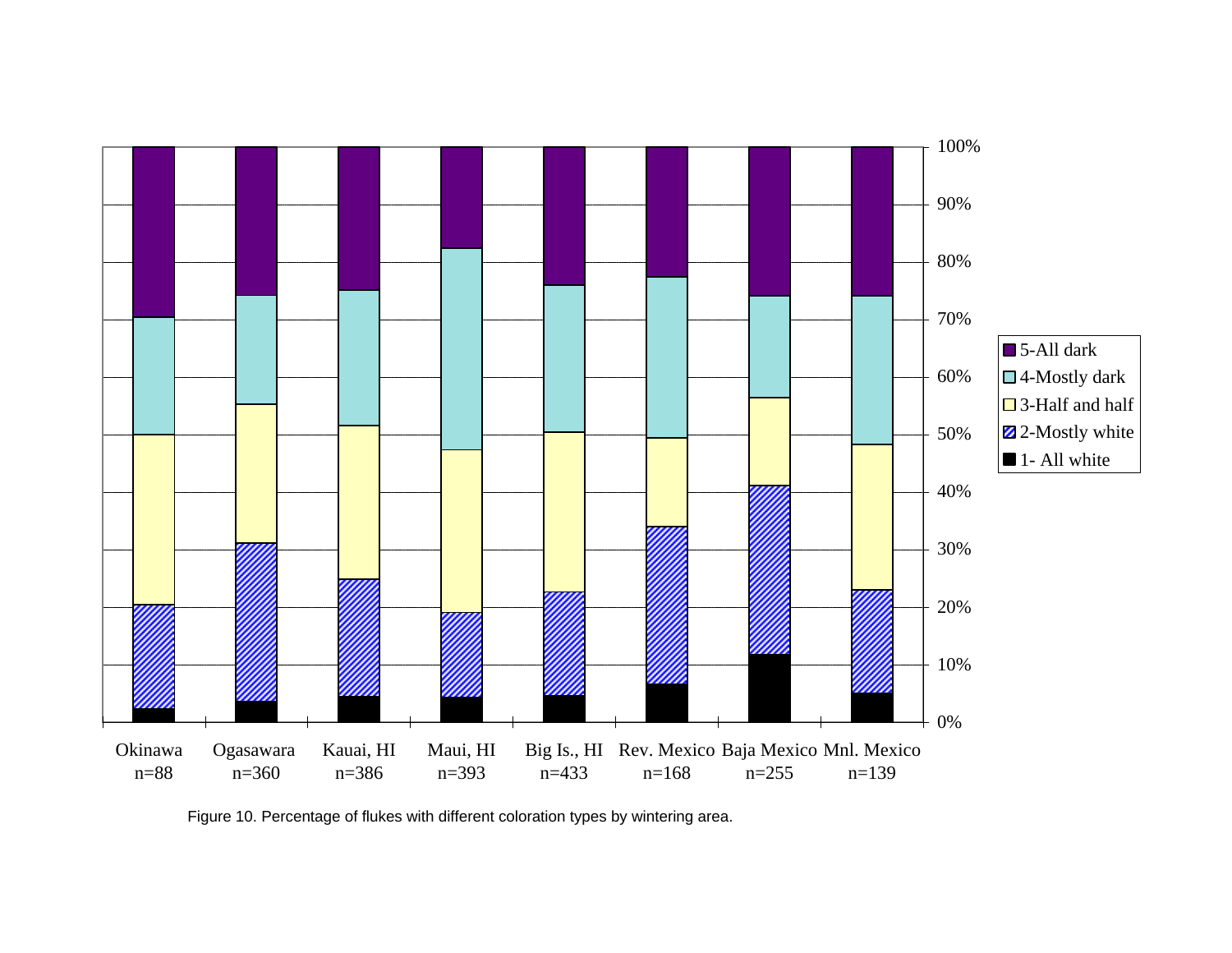

Figure 10. Percentage of flukes with different coloration types by wintering area.